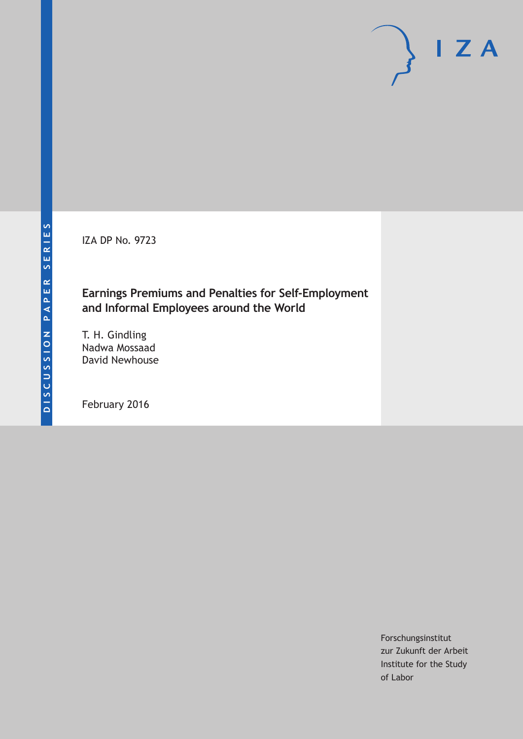IZA DP No. 9723

### **Earnings Premiums and Penalties for Self-Employment and Informal Employees around the World**

T. H. Gindling Nadwa Mossaad David Newhouse

February 2016

Forschungsinstitut zur Zukunft der Arbeit Institute for the Study of Labor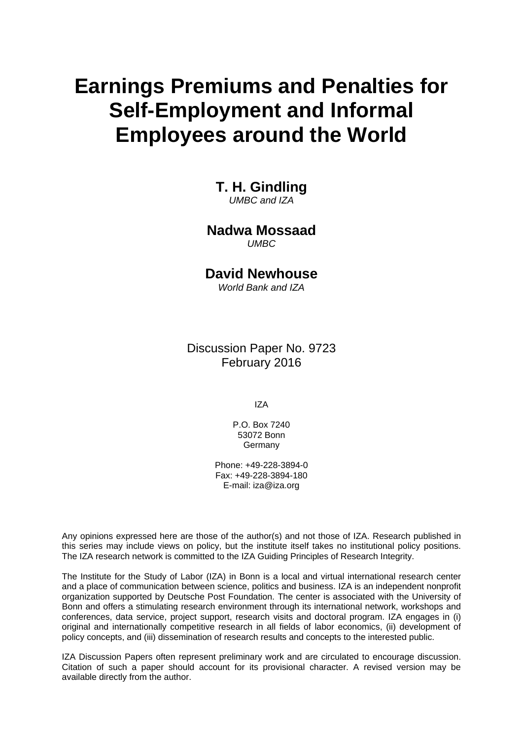# **Earnings Premiums and Penalties for Self-Employment and Informal Employees around the World**

# **T. H. Gindling**

*UMBC and IZA* 

## **Nadwa Mossaad**

*UMBC* 

### **David Newhouse**

*World Bank and IZA*

Discussion Paper No. 9723 February 2016

IZA

P.O. Box 7240 53072 Bonn Germany

Phone: +49-228-3894-0 Fax: +49-228-3894-180 E-mail: iza@iza.org

Any opinions expressed here are those of the author(s) and not those of IZA. Research published in this series may include views on policy, but the institute itself takes no institutional policy positions. The IZA research network is committed to the IZA Guiding Principles of Research Integrity.

The Institute for the Study of Labor (IZA) in Bonn is a local and virtual international research center and a place of communication between science, politics and business. IZA is an independent nonprofit organization supported by Deutsche Post Foundation. The center is associated with the University of Bonn and offers a stimulating research environment through its international network, workshops and conferences, data service, project support, research visits and doctoral program. IZA engages in (i) original and internationally competitive research in all fields of labor economics, (ii) development of policy concepts, and (iii) dissemination of research results and concepts to the interested public.

IZA Discussion Papers often represent preliminary work and are circulated to encourage discussion. Citation of such a paper should account for its provisional character. A revised version may be available directly from the author.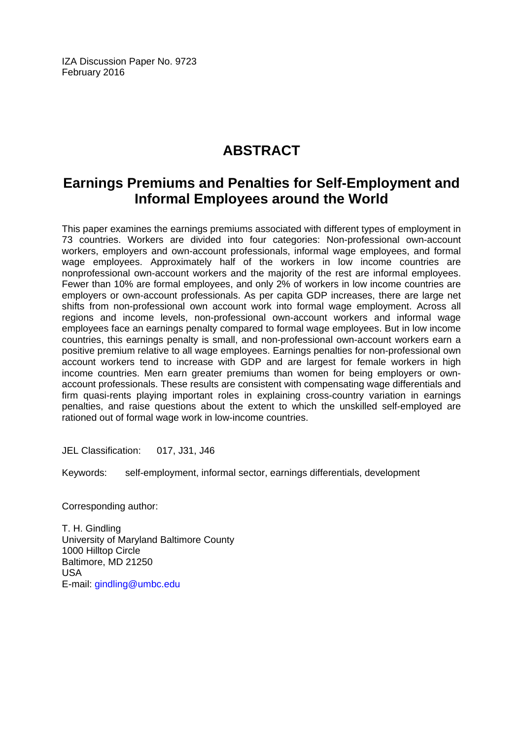IZA Discussion Paper No. 9723 February 2016

# **ABSTRACT**

# **Earnings Premiums and Penalties for Self-Employment and Informal Employees around the World**

This paper examines the earnings premiums associated with different types of employment in 73 countries. Workers are divided into four categories: Non-professional own-account workers, employers and own-account professionals, informal wage employees, and formal wage employees. Approximately half of the workers in low income countries are nonprofessional own-account workers and the majority of the rest are informal employees. Fewer than 10% are formal employees, and only 2% of workers in low income countries are employers or own-account professionals. As per capita GDP increases, there are large net shifts from non-professional own account work into formal wage employment. Across all regions and income levels, non-professional own-account workers and informal wage employees face an earnings penalty compared to formal wage employees. But in low income countries, this earnings penalty is small, and non-professional own-account workers earn a positive premium relative to all wage employees. Earnings penalties for non-professional own account workers tend to increase with GDP and are largest for female workers in high income countries. Men earn greater premiums than women for being employers or ownaccount professionals. These results are consistent with compensating wage differentials and firm quasi-rents playing important roles in explaining cross-country variation in earnings penalties, and raise questions about the extent to which the unskilled self-employed are rationed out of formal wage work in low-income countries.

JEL Classification: 017, J31, J46

Keywords: self-employment, informal sector, earnings differentials, development

Corresponding author:

T. H. Gindling University of Maryland Baltimore County 1000 Hilltop Circle Baltimore, MD 21250 USA E-mail: gindling@umbc.edu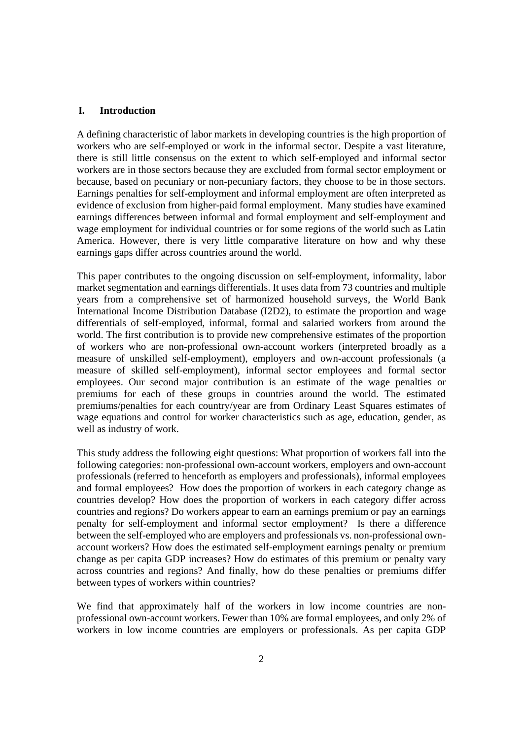#### **I. Introduction**

A defining characteristic of labor markets in developing countries is the high proportion of workers who are self-employed or work in the informal sector. Despite a vast literature, there is still little consensus on the extent to which self-employed and informal sector workers are in those sectors because they are excluded from formal sector employment or because, based on pecuniary or non-pecuniary factors, they choose to be in those sectors. Earnings penalties for self-employment and informal employment are often interpreted as evidence of exclusion from higher-paid formal employment. Many studies have examined earnings differences between informal and formal employment and self-employment and wage employment for individual countries or for some regions of the world such as Latin America. However, there is very little comparative literature on how and why these earnings gaps differ across countries around the world.

This paper contributes to the ongoing discussion on self-employment, informality, labor market segmentation and earnings differentials. It uses data from 73 countries and multiple years from a comprehensive set of harmonized household surveys, the World Bank International Income Distribution Database (I2D2), to estimate the proportion and wage differentials of self-employed, informal, formal and salaried workers from around the world. The first contribution is to provide new comprehensive estimates of the proportion of workers who are non-professional own-account workers (interpreted broadly as a measure of unskilled self-employment), employers and own-account professionals (a measure of skilled self-employment), informal sector employees and formal sector employees. Our second major contribution is an estimate of the wage penalties or premiums for each of these groups in countries around the world. The estimated premiums/penalties for each country/year are from Ordinary Least Squares estimates of wage equations and control for worker characteristics such as age, education, gender, as well as industry of work.

This study address the following eight questions: What proportion of workers fall into the following categories: non-professional own-account workers, employers and own-account professionals (referred to henceforth as employers and professionals), informal employees and formal employees? How does the proportion of workers in each category change as countries develop? How does the proportion of workers in each category differ across countries and regions? Do workers appear to earn an earnings premium or pay an earnings penalty for self-employment and informal sector employment? Is there a difference between the self-employed who are employers and professionals vs. non-professional ownaccount workers? How does the estimated self-employment earnings penalty or premium change as per capita GDP increases? How do estimates of this premium or penalty vary across countries and regions? And finally, how do these penalties or premiums differ between types of workers within countries?

We find that approximately half of the workers in low income countries are nonprofessional own-account workers. Fewer than 10% are formal employees, and only 2% of workers in low income countries are employers or professionals. As per capita GDP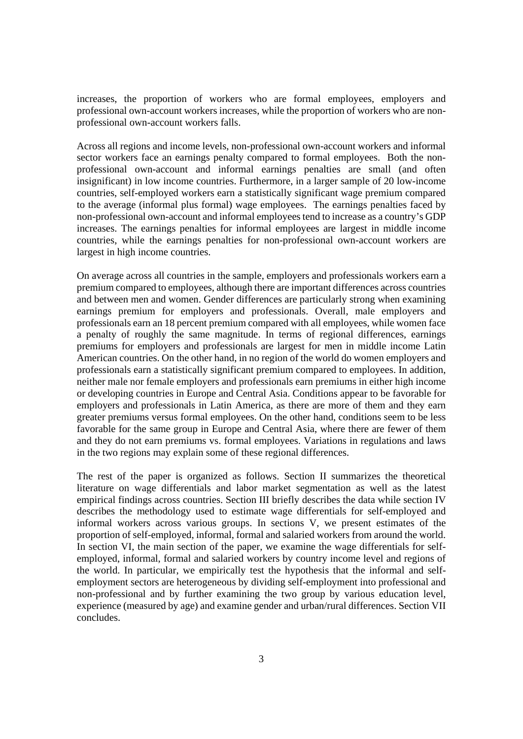increases, the proportion of workers who are formal employees, employers and professional own-account workers increases, while the proportion of workers who are nonprofessional own-account workers falls.

Across all regions and income levels, non-professional own-account workers and informal sector workers face an earnings penalty compared to formal employees. Both the nonprofessional own-account and informal earnings penalties are small (and often insignificant) in low income countries. Furthermore, in a larger sample of 20 low-income countries, self-employed workers earn a statistically significant wage premium compared to the average (informal plus formal) wage employees. The earnings penalties faced by non-professional own-account and informal employees tend to increase as a country's GDP increases. The earnings penalties for informal employees are largest in middle income countries, while the earnings penalties for non-professional own-account workers are largest in high income countries.

On average across all countries in the sample, employers and professionals workers earn a premium compared to employees, although there are important differences across countries and between men and women. Gender differences are particularly strong when examining earnings premium for employers and professionals. Overall, male employers and professionals earn an 18 percent premium compared with all employees, while women face a penalty of roughly the same magnitude. In terms of regional differences, earnings premiums for employers and professionals are largest for men in middle income Latin American countries. On the other hand, in no region of the world do women employers and professionals earn a statistically significant premium compared to employees. In addition, neither male nor female employers and professionals earn premiums in either high income or developing countries in Europe and Central Asia. Conditions appear to be favorable for employers and professionals in Latin America, as there are more of them and they earn greater premiums versus formal employees. On the other hand, conditions seem to be less favorable for the same group in Europe and Central Asia, where there are fewer of them and they do not earn premiums vs. formal employees. Variations in regulations and laws in the two regions may explain some of these regional differences.

The rest of the paper is organized as follows. Section II summarizes the theoretical literature on wage differentials and labor market segmentation as well as the latest empirical findings across countries. Section III briefly describes the data while section IV describes the methodology used to estimate wage differentials for self-employed and informal workers across various groups. In sections V, we present estimates of the proportion of self-employed, informal, formal and salaried workers from around the world. In section VI, the main section of the paper, we examine the wage differentials for selfemployed, informal, formal and salaried workers by country income level and regions of the world. In particular, we empirically test the hypothesis that the informal and selfemployment sectors are heterogeneous by dividing self-employment into professional and non-professional and by further examining the two group by various education level, experience (measured by age) and examine gender and urban/rural differences. Section VII concludes.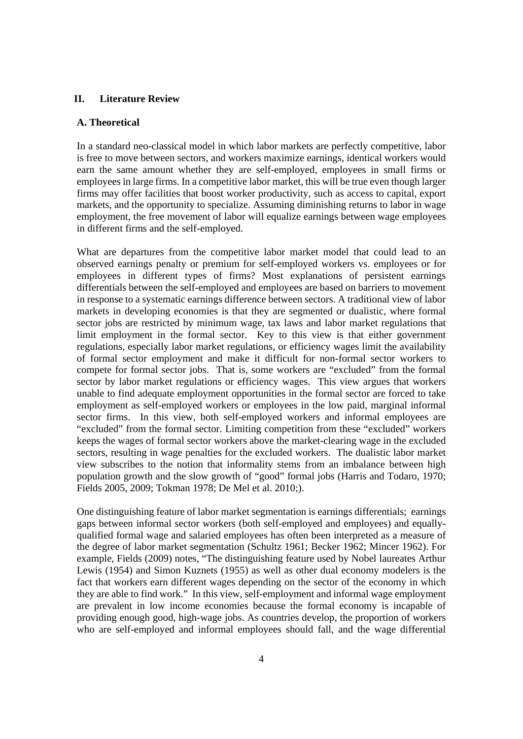#### **II. Literature Review**

#### **A. Theoretical**

In a standard neo-classical model in which labor markets are perfectly competitive, labor is free to move between sectors, and workers maximize earnings, identical workers would earn the same amount whether they are self-employed, employees in small firms or employees in large firms. In a competitive labor market, this will be true even though larger firms may offer facilities that boost worker productivity, such as access to capital, export markets, and the opportunity to specialize. Assuming diminishing returns to labor in wage employment, the free movement of labor will equalize earnings between wage employees in different firms and the self-employed.

What are departures from the competitive labor market model that could lead to an observed earnings penalty or premium for self-employed workers vs. employees or for employees in different types of firms? Most explanations of persistent earnings differentials between the self-employed and employees are based on barriers to movement in response to a systematic earnings difference between sectors. A traditional view of labor markets in developing economies is that they are segmented or dualistic, where formal sector jobs are restricted by minimum wage, tax laws and labor market regulations that limit employment in the formal sector. Key to this view is that either government regulations, especially labor market regulations, or efficiency wages limit the availability of formal sector employment and make it difficult for non-formal sector workers to compete for formal sector jobs. That is, some workers are "excluded" from the formal sector by labor market regulations or efficiency wages. This view argues that workers unable to find adequate employment opportunities in the formal sector are forced to take employment as self-employed workers or employees in the low paid, marginal informal sector firms. In this view, both self-employed workers and informal employees are "excluded" from the formal sector. Limiting competition from these "excluded" workers keeps the wages of formal sector workers above the market-clearing wage in the excluded sectors, resulting in wage penalties for the excluded workers. The dualistic labor market view subscribes to the notion that informality stems from an imbalance between high population growth and the slow growth of "good" formal jobs (Harris and Todaro, 1970; Fields 2005, 2009; Tokman 1978; De Mel et al. 2010;).

One distinguishing feature of labor market segmentation is earnings differentials; earnings gaps between informal sector workers (both self-employed and employees) and equallyqualified formal wage and salaried employees has often been interpreted as a measure of the degree of labor market segmentation (Schultz 1961; Becker 1962; Mincer 1962). For example, Fields (2009) notes, "The distinguishing feature used by Nobel laureates Arthur Lewis (1954) and Simon Kuznets (1955) as well as other dual economy modelers is the fact that workers earn different wages depending on the sector of the economy in which they are able to find work." In this view, self-employment and informal wage employment are prevalent in low income economies because the formal economy is incapable of providing enough good, high-wage jobs. As countries develop, the proportion of workers who are self-employed and informal employees should fall, and the wage differential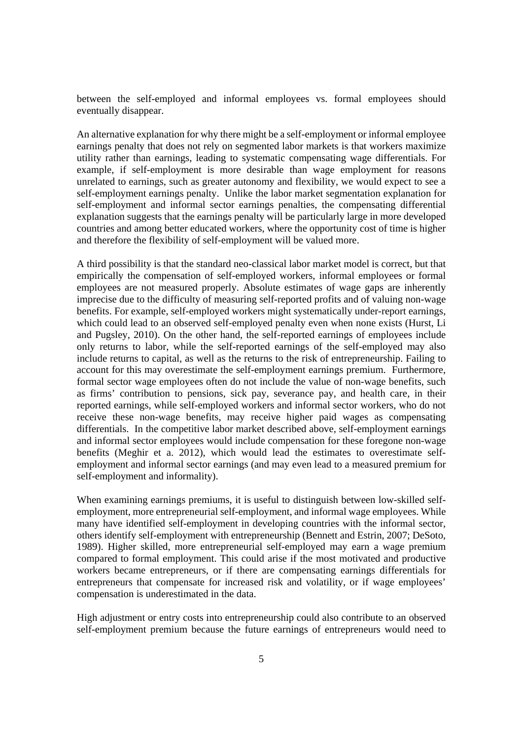between the self-employed and informal employees vs. formal employees should eventually disappear.

An alternative explanation for why there might be a self-employment or informal employee earnings penalty that does not rely on segmented labor markets is that workers maximize utility rather than earnings, leading to systematic compensating wage differentials. For example, if self-employment is more desirable than wage employment for reasons unrelated to earnings, such as greater autonomy and flexibility, we would expect to see a self-employment earnings penalty. Unlike the labor market segmentation explanation for self-employment and informal sector earnings penalties, the compensating differential explanation suggests that the earnings penalty will be particularly large in more developed countries and among better educated workers, where the opportunity cost of time is higher and therefore the flexibility of self-employment will be valued more.

A third possibility is that the standard neo-classical labor market model is correct, but that empirically the compensation of self-employed workers, informal employees or formal employees are not measured properly. Absolute estimates of wage gaps are inherently imprecise due to the difficulty of measuring self-reported profits and of valuing non-wage benefits. For example, self-employed workers might systematically under-report earnings, which could lead to an observed self-employed penalty even when none exists (Hurst, Li and Pugsley, 2010). On the other hand, the self-reported earnings of employees include only returns to labor, while the self-reported earnings of the self-employed may also include returns to capital, as well as the returns to the risk of entrepreneurship. Failing to account for this may overestimate the self-employment earnings premium. Furthermore, formal sector wage employees often do not include the value of non-wage benefits, such as firms' contribution to pensions, sick pay, severance pay, and health care, in their reported earnings, while self-employed workers and informal sector workers, who do not receive these non-wage benefits, may receive higher paid wages as compensating differentials. In the competitive labor market described above, self-employment earnings and informal sector employees would include compensation for these foregone non-wage benefits (Meghir et a. 2012), which would lead the estimates to overestimate selfemployment and informal sector earnings (and may even lead to a measured premium for self-employment and informality).

When examining earnings premiums, it is useful to distinguish between low-skilled selfemployment, more entrepreneurial self-employment, and informal wage employees. While many have identified self-employment in developing countries with the informal sector, others identify self-employment with entrepreneurship (Bennett and Estrin, 2007; DeSoto, 1989). Higher skilled, more entrepreneurial self-employed may earn a wage premium compared to formal employment. This could arise if the most motivated and productive workers became entrepreneurs, or if there are compensating earnings differentials for entrepreneurs that compensate for increased risk and volatility, or if wage employees' compensation is underestimated in the data.

High adjustment or entry costs into entrepreneurship could also contribute to an observed self-employment premium because the future earnings of entrepreneurs would need to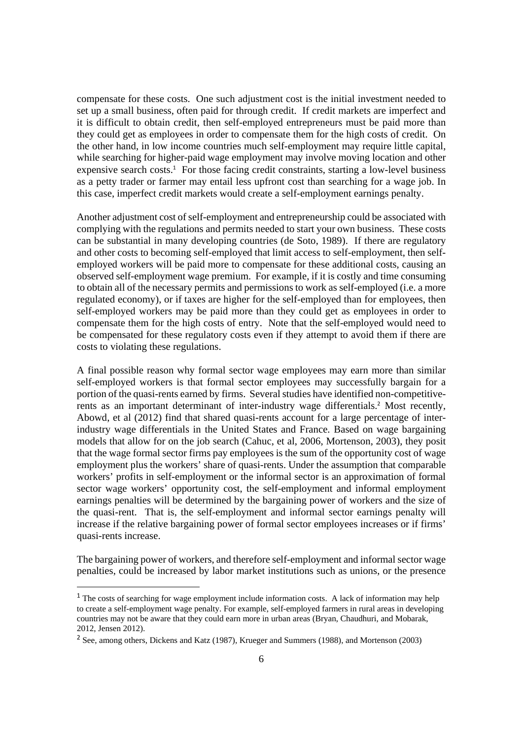compensate for these costs. One such adjustment cost is the initial investment needed to set up a small business, often paid for through credit. If credit markets are imperfect and it is difficult to obtain credit, then self-employed entrepreneurs must be paid more than they could get as employees in order to compensate them for the high costs of credit. On the other hand, in low income countries much self-employment may require little capital, while searching for higher-paid wage employment may involve moving location and other expensive search costs.<sup>1</sup> For those facing credit constraints, starting a low-level business as a petty trader or farmer may entail less upfront cost than searching for a wage job. In this case, imperfect credit markets would create a self-employment earnings penalty.

Another adjustment cost of self-employment and entrepreneurship could be associated with complying with the regulations and permits needed to start your own business. These costs can be substantial in many developing countries (de Soto, 1989). If there are regulatory and other costs to becoming self-employed that limit access to self-employment, then selfemployed workers will be paid more to compensate for these additional costs, causing an observed self-employment wage premium. For example, if it is costly and time consuming to obtain all of the necessary permits and permissions to work as self-employed (i.e. a more regulated economy), or if taxes are higher for the self-employed than for employees, then self-employed workers may be paid more than they could get as employees in order to compensate them for the high costs of entry. Note that the self-employed would need to be compensated for these regulatory costs even if they attempt to avoid them if there are costs to violating these regulations.

A final possible reason why formal sector wage employees may earn more than similar self-employed workers is that formal sector employees may successfully bargain for a portion of the quasi-rents earned by firms. Several studies have identified non-competitiverents as an important determinant of inter-industry wage differentials.<sup>2</sup> Most recently, Abowd, et al (2012) find that shared quasi-rents account for a large percentage of interindustry wage differentials in the United States and France. Based on wage bargaining models that allow for on the job search (Cahuc, et al, 2006, Mortenson, 2003), they posit that the wage formal sector firms pay employees is the sum of the opportunity cost of wage employment plus the workers' share of quasi-rents. Under the assumption that comparable workers' profits in self-employment or the informal sector is an approximation of formal sector wage workers' opportunity cost, the self-employment and informal employment earnings penalties will be determined by the bargaining power of workers and the size of the quasi-rent. That is, the self-employment and informal sector earnings penalty will increase if the relative bargaining power of formal sector employees increases or if firms' quasi-rents increase.

The bargaining power of workers, and therefore self-employment and informal sector wage penalties, could be increased by labor market institutions such as unions, or the presence

<sup>&</sup>lt;sup>1</sup> The costs of searching for wage employment include information costs. A lack of information may help to create a self-employment wage penalty. For example, self-employed farmers in rural areas in developing countries may not be aware that they could earn more in urban areas (Bryan, Chaudhuri, and Mobarak, 2012, Jensen 2012).

<sup>&</sup>lt;sup>2</sup> See, among others, Dickens and Katz (1987), Krueger and Summers (1988), and Mortenson (2003)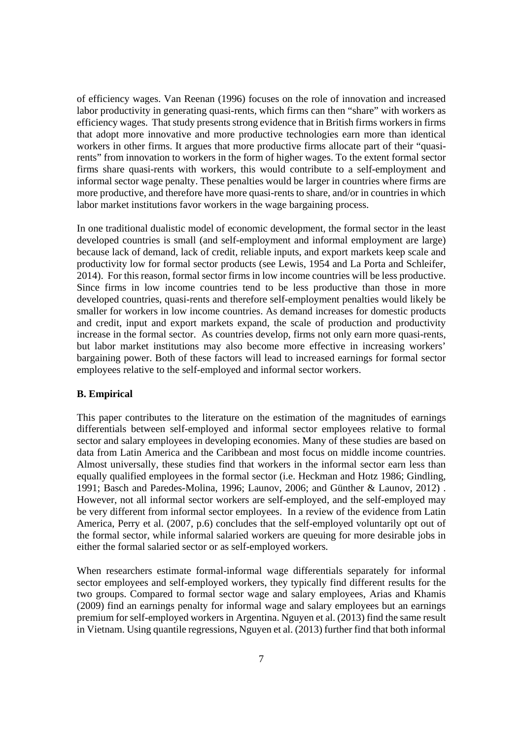of efficiency wages. Van Reenan (1996) focuses on the role of innovation and increased labor productivity in generating quasi-rents, which firms can then "share" with workers as efficiency wages. That study presents strong evidence that in British firms workers in firms that adopt more innovative and more productive technologies earn more than identical workers in other firms. It argues that more productive firms allocate part of their "quasirents" from innovation to workers in the form of higher wages. To the extent formal sector firms share quasi-rents with workers, this would contribute to a self-employment and informal sector wage penalty. These penalties would be larger in countries where firms are more productive, and therefore have more quasi-rents to share, and/or in countries in which labor market institutions favor workers in the wage bargaining process.

In one traditional dualistic model of economic development, the formal sector in the least developed countries is small (and self-employment and informal employment are large) because lack of demand, lack of credit, reliable inputs, and export markets keep scale and productivity low for formal sector products (see Lewis, 1954 and La Porta and Schleifer, 2014). For this reason, formal sector firms in low income countries will be less productive. Since firms in low income countries tend to be less productive than those in more developed countries, quasi-rents and therefore self-employment penalties would likely be smaller for workers in low income countries. As demand increases for domestic products and credit, input and export markets expand, the scale of production and productivity increase in the formal sector. As countries develop, firms not only earn more quasi-rents, but labor market institutions may also become more effective in increasing workers' bargaining power. Both of these factors will lead to increased earnings for formal sector employees relative to the self-employed and informal sector workers.

#### **B. Empirical**

This paper contributes to the literature on the estimation of the magnitudes of earnings differentials between self-employed and informal sector employees relative to formal sector and salary employees in developing economies. Many of these studies are based on data from Latin America and the Caribbean and most focus on middle income countries. Almost universally, these studies find that workers in the informal sector earn less than equally qualified employees in the formal sector (i.e. Heckman and Hotz 1986; Gindling, 1991; Basch and Paredes-Molina, 1996; Launov, 2006; and Günther & Launov, 2012) . However, not all informal sector workers are self-employed, and the self-employed may be very different from informal sector employees. In a review of the evidence from Latin America, Perry et al. (2007, p.6) concludes that the self-employed voluntarily opt out of the formal sector, while informal salaried workers are queuing for more desirable jobs in either the formal salaried sector or as self-employed workers.

When researchers estimate formal-informal wage differentials separately for informal sector employees and self-employed workers, they typically find different results for the two groups. Compared to formal sector wage and salary employees, Arias and Khamis (2009) find an earnings penalty for informal wage and salary employees but an earnings premium for self-employed workers in Argentina. Nguyen et al. (2013) find the same result in Vietnam. Using quantile regressions, Nguyen et al. (2013) further find that both informal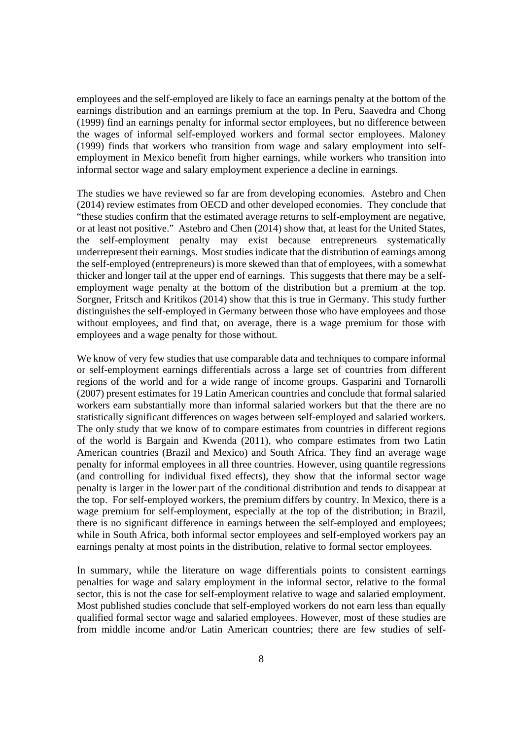employees and the self-employed are likely to face an earnings penalty at the bottom of the earnings distribution and an earnings premium at the top. In Peru, Saavedra and Chong (1999) find an earnings penalty for informal sector employees, but no difference between the wages of informal self-employed workers and formal sector employees. Maloney (1999) finds that workers who transition from wage and salary employment into selfemployment in Mexico benefit from higher earnings, while workers who transition into informal sector wage and salary employment experience a decline in earnings.

The studies we have reviewed so far are from developing economies. Astebro and Chen (2014) review estimates from OECD and other developed economies. They conclude that "these studies confirm that the estimated average returns to self-employment are negative, or at least not positive." Astebro and Chen (2014) show that, at least for the United States, the self-employment penalty may exist because entrepreneurs systematically underrepresent their earnings. Most studies indicate that the distribution of earnings among the self-employed (entrepreneurs) is more skewed than that of employees, with a somewhat thicker and longer tail at the upper end of earnings. This suggests that there may be a selfemployment wage penalty at the bottom of the distribution but a premium at the top. Sorgner, Fritsch and Kritikos (2014) show that this is true in Germany. This study further distinguishes the self-employed in Germany between those who have employees and those without employees, and find that, on average, there is a wage premium for those with employees and a wage penalty for those without.

We know of very few studies that use comparable data and techniques to compare informal or self-employment earnings differentials across a large set of countries from different regions of the world and for a wide range of income groups. Gasparini and Tornarolli (2007) present estimates for 19 Latin American countries and conclude that formal salaried workers earn substantially more than informal salaried workers but that the there are no statistically significant differences on wages between self-employed and salaried workers. The only study that we know of to compare estimates from countries in different regions of the world is Bargain and Kwenda (2011), who compare estimates from two Latin American countries (Brazil and Mexico) and South Africa. They find an average wage penalty for informal employees in all three countries. However, using quantile regressions (and controlling for individual fixed effects), they show that the informal sector wage penalty is larger in the lower part of the conditional distribution and tends to disappear at the top. For self-employed workers, the premium differs by country. In Mexico, there is a wage premium for self-employment, especially at the top of the distribution; in Brazil, there is no significant difference in earnings between the self-employed and employees; while in South Africa, both informal sector employees and self-employed workers pay an earnings penalty at most points in the distribution, relative to formal sector employees.

In summary, while the literature on wage differentials points to consistent earnings penalties for wage and salary employment in the informal sector, relative to the formal sector, this is not the case for self-employment relative to wage and salaried employment. Most published studies conclude that self-employed workers do not earn less than equally qualified formal sector wage and salaried employees. However, most of these studies are from middle income and/or Latin American countries; there are few studies of self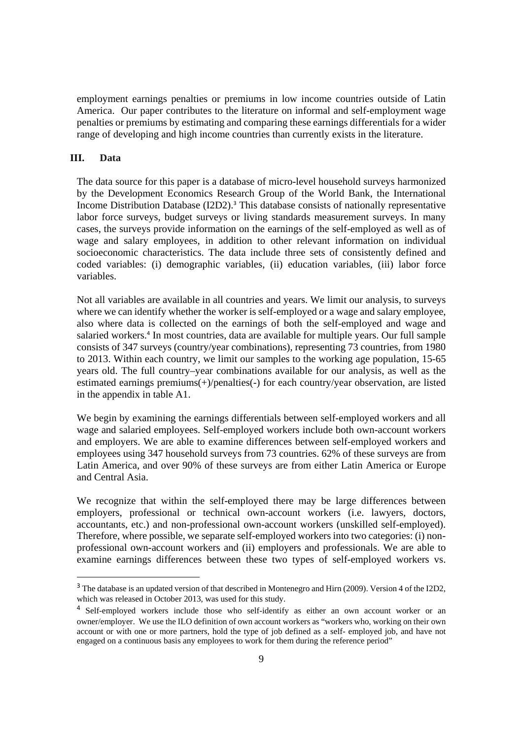employment earnings penalties or premiums in low income countries outside of Latin America. Our paper contributes to the literature on informal and self-employment wage penalties or premiums by estimating and comparing these earnings differentials for a wider range of developing and high income countries than currently exists in the literature.

#### **III. Data**

The data source for this paper is a database of micro-level household surveys harmonized by the Development Economics Research Group of the World Bank, the International Income Distribution Database (I2D2).<sup>3</sup> This database consists of nationally representative labor force surveys, budget surveys or living standards measurement surveys. In many cases, the surveys provide information on the earnings of the self-employed as well as of wage and salary employees, in addition to other relevant information on individual socioeconomic characteristics. The data include three sets of consistently defined and coded variables: (i) demographic variables, (ii) education variables, (iii) labor force variables.

Not all variables are available in all countries and years. We limit our analysis, to surveys where we can identify whether the worker is self-employed or a wage and salary employee, also where data is collected on the earnings of both the self-employed and wage and salaried workers.<sup>4</sup> In most countries, data are available for multiple years. Our full sample consists of 347 surveys (country/year combinations), representing 73 countries, from 1980 to 2013. Within each country, we limit our samples to the working age population, 15-65 years old. The full country–year combinations available for our analysis, as well as the estimated earnings premiums(+)/penalties(-) for each country/year observation, are listed in the appendix in table A1.

We begin by examining the earnings differentials between self-employed workers and all wage and salaried employees. Self-employed workers include both own-account workers and employers. We are able to examine differences between self-employed workers and employees using 347 household surveys from 73 countries. 62% of these surveys are from Latin America, and over 90% of these surveys are from either Latin America or Europe and Central Asia.

We recognize that within the self-employed there may be large differences between employers, professional or technical own-account workers (i.e. lawyers, doctors, accountants, etc.) and non-professional own-account workers (unskilled self-employed). Therefore, where possible, we separate self-employed workers into two categories: (i) nonprofessional own-account workers and (ii) employers and professionals. We are able to examine earnings differences between these two types of self-employed workers vs.

<sup>&</sup>lt;sup>3</sup> The database is an updated version of that described in Montenegro and Hirn (2009). Version 4 of the I2D2, which was released in October 2013, was used for this study.

<sup>4</sup> Self-employed workers include those who self-identify as either an own account worker or an owner/employer. We use the ILO definition of own account workers as "workers who, working on their own account or with one or more partners, hold the type of job defined as a self- employed job, and have not engaged on a continuous basis any employees to work for them during the reference period"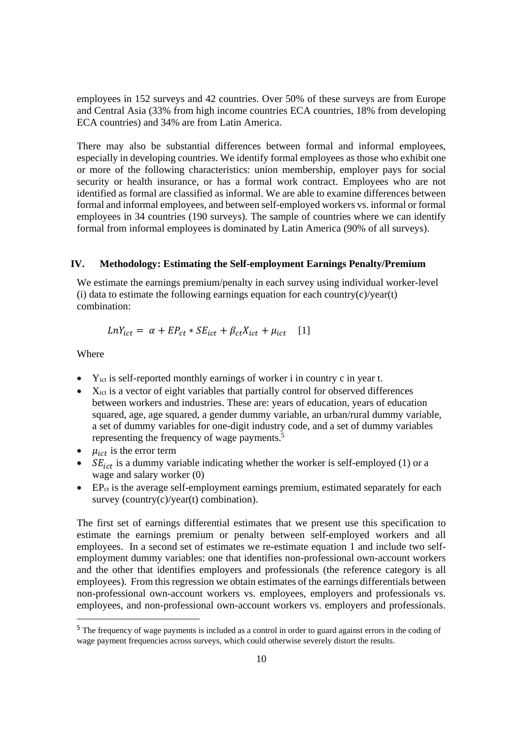employees in 152 surveys and 42 countries. Over 50% of these surveys are from Europe and Central Asia (33% from high income countries ECA countries, 18% from developing ECA countries) and 34% are from Latin America.

There may also be substantial differences between formal and informal employees, especially in developing countries. We identify formal employees as those who exhibit one or more of the following characteristics: union membership, employer pays for social security or health insurance, or has a formal work contract. Employees who are not identified as formal are classified as informal. We are able to examine differences between formal and informal employees, and between self-employed workers vs. informal or formal employees in 34 countries (190 surveys). The sample of countries where we can identify formal from informal employees is dominated by Latin America (90% of all surveys).

#### **IV. Methodology: Estimating the Self-employment Earnings Penalty/Premium**

We estimate the earnings premium/penalty in each survey using individual worker-level (i) data to estimate the following earnings equation for each country(c)/year(t) combination:

$$
LnY_{ict} = \alpha + EP_{ct} * SE_{ict} + \beta_{ct} X_{ict} + \mu_{ict} \quad [1]
$$

Where

- $\bullet$  Y<sub>ict</sub> is self-reported monthly earnings of worker i in country c in year t.
- $\bullet$   $X_{ict}$  is a vector of eight variables that partially control for observed differences between workers and industries. These are: years of education, years of education squared, age, age squared, a gender dummy variable, an urban/rural dummy variable, a set of dummy variables for one-digit industry code, and a set of dummy variables representing the frequency of wage payments.<sup>5</sup>
- $\mu_{ict}$  is the error term

- $SE_{ict}$  is a dummy variable indicating whether the worker is self-employed (1) or a wage and salary worker (0)
- $\bullet$  EP<sub>ct</sub> is the average self-employment earnings premium, estimated separately for each survey (country(c)/year(t) combination).

The first set of earnings differential estimates that we present use this specification to estimate the earnings premium or penalty between self-employed workers and all employees. In a second set of estimates we re-estimate equation 1 and include two selfemployment dummy variables: one that identifies non-professional own-account workers and the other that identifies employers and professionals (the reference category is all employees). From this regression we obtain estimates of the earnings differentials between non-professional own-account workers vs. employees, employers and professionals vs. employees, and non-professional own-account workers vs. employers and professionals.

<sup>&</sup>lt;sup>5</sup> The frequency of wage payments is included as a control in order to guard against errors in the coding of wage payment frequencies across surveys, which could otherwise severely distort the results.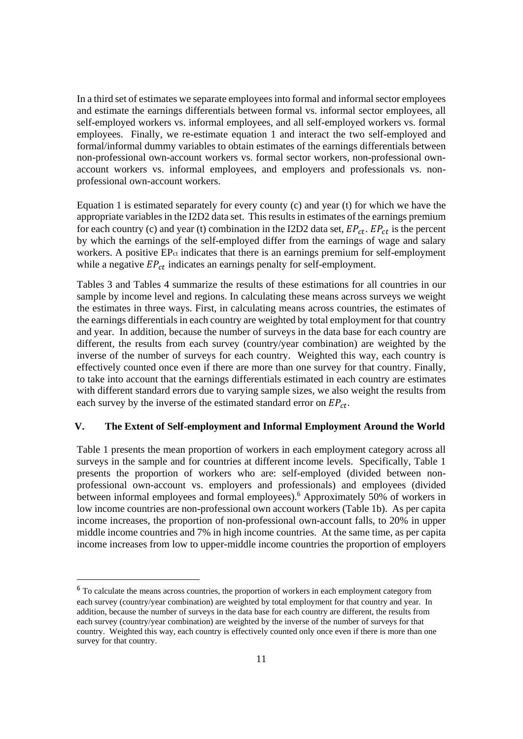In a third set of estimates we separate employees into formal and informal sector employees and estimate the earnings differentials between formal vs. informal sector employees, all self-employed workers vs. informal employees, and all self-employed workers vs. formal employees. Finally, we re-estimate equation 1 and interact the two self-employed and formal/informal dummy variables to obtain estimates of the earnings differentials between non-professional own-account workers vs. formal sector workers, non-professional ownaccount workers vs. informal employees, and employers and professionals vs. nonprofessional own-account workers.

Equation 1 is estimated separately for every county (c) and year (t) for which we have the appropriate variables in the I2D2 data set. This results in estimates of the earnings premium for each country (c) and year (t) combination in the I2D2 data set,  $EP_{ct}$ .  $EP_{ct}$  is the percent by which the earnings of the self-employed differ from the earnings of wage and salary workers. A positive EP<sub>ct</sub> indicates that there is an earnings premium for self-employment while a negative  $EP_{ct}$  indicates an earnings penalty for self-employment.

Tables 3 and Tables 4 summarize the results of these estimations for all countries in our sample by income level and regions. In calculating these means across surveys we weight the estimates in three ways. First, in calculating means across countries, the estimates of the earnings differentials in each country are weighted by total employment for that country and year. In addition, because the number of surveys in the data base for each country are different, the results from each survey (country/year combination) are weighted by the inverse of the number of surveys for each country. Weighted this way, each country is effectively counted once even if there are more than one survey for that country. Finally, to take into account that the earnings differentials estimated in each country are estimates with different standard errors due to varying sample sizes, we also weight the results from each survey by the inverse of the estimated standard error on  $EP_{ct}$ .

#### **V. The Extent of Self-employment and Informal Employment Around the World**

Table 1 presents the mean proportion of workers in each employment category across all surveys in the sample and for countries at different income levels. Specifically, Table 1 presents the proportion of workers who are: self-employed (divided between nonprofessional own-account vs. employers and professionals) and employees (divided between informal employees and formal employees).<sup>6</sup> Approximately 50% of workers in low income countries are non-professional own account workers (Table 1b). As per capita income increases, the proportion of non-professional own-account falls, to 20% in upper middle income countries and 7% in high income countries. At the same time, as per capita income increases from low to upper-middle income countries the proportion of employers

<sup>6</sup> To calculate the means across countries, the proportion of workers in each employment category from each survey (country/year combination) are weighted by total employment for that country and year. In addition, because the number of surveys in the data base for each country are different, the results from each survey (country/year combination) are weighted by the inverse of the number of surveys for that country. Weighted this way, each country is effectively counted only once even if there is more than one survey for that country.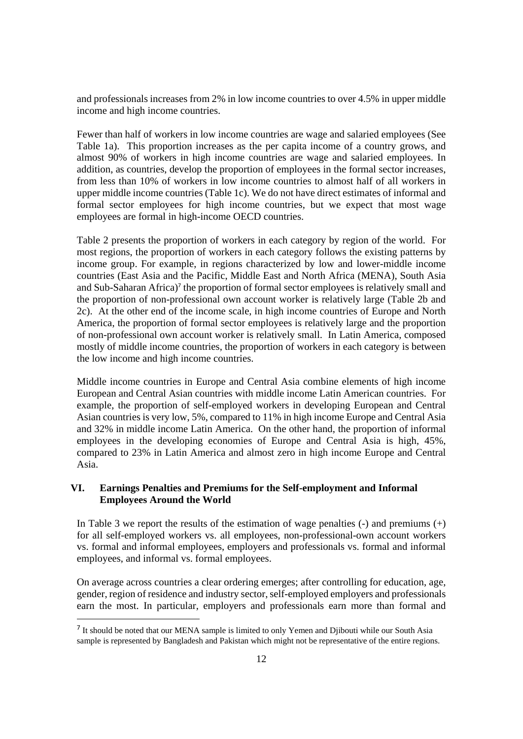and professionals increases from 2% in low income countries to over 4.5% in upper middle income and high income countries.

Fewer than half of workers in low income countries are wage and salaried employees (See Table 1a). This proportion increases as the per capita income of a country grows, and almost 90% of workers in high income countries are wage and salaried employees. In addition, as countries, develop the proportion of employees in the formal sector increases, from less than 10% of workers in low income countries to almost half of all workers in upper middle income countries (Table 1c). We do not have direct estimates of informal and formal sector employees for high income countries, but we expect that most wage employees are formal in high-income OECD countries.

Table 2 presents the proportion of workers in each category by region of the world. For most regions, the proportion of workers in each category follows the existing patterns by income group. For example, in regions characterized by low and lower-middle income countries (East Asia and the Pacific, Middle East and North Africa (MENA), South Asia and Sub-Saharan Africa)<sup>7</sup> the proportion of formal sector employees is relatively small and the proportion of non-professional own account worker is relatively large (Table 2b and 2c). At the other end of the income scale, in high income countries of Europe and North America, the proportion of formal sector employees is relatively large and the proportion of non-professional own account worker is relatively small. In Latin America, composed mostly of middle income countries, the proportion of workers in each category is between the low income and high income countries.

Middle income countries in Europe and Central Asia combine elements of high income European and Central Asian countries with middle income Latin American countries. For example, the proportion of self-employed workers in developing European and Central Asian countries is very low, 5%, compared to 11% in high income Europe and Central Asia and 32% in middle income Latin America. On the other hand, the proportion of informal employees in the developing economies of Europe and Central Asia is high, 45%, compared to 23% in Latin America and almost zero in high income Europe and Central Asia.

#### **VI. Earnings Penalties and Premiums for the Self-employment and Informal Employees Around the World**

In Table 3 we report the results of the estimation of wage penalties  $(-)$  and premiums  $(+)$ for all self-employed workers vs. all employees, non-professional-own account workers vs. formal and informal employees, employers and professionals vs. formal and informal employees, and informal vs. formal employees.

On average across countries a clear ordering emerges; after controlling for education, age, gender, region of residence and industry sector, self-employed employers and professionals earn the most. In particular, employers and professionals earn more than formal and

<sup>7</sup> It should be noted that our MENA sample is limited to only Yemen and Djibouti while our South Asia sample is represented by Bangladesh and Pakistan which might not be representative of the entire regions.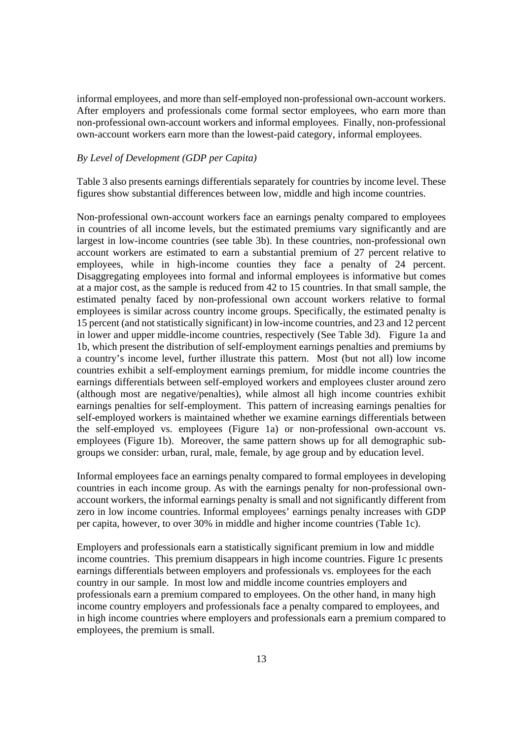informal employees, and more than self-employed non-professional own-account workers. After employers and professionals come formal sector employees, who earn more than non-professional own-account workers and informal employees. Finally, non-professional own-account workers earn more than the lowest-paid category, informal employees.

#### *By Level of Development (GDP per Capita)*

Table 3 also presents earnings differentials separately for countries by income level. These figures show substantial differences between low, middle and high income countries.

Non-professional own-account workers face an earnings penalty compared to employees in countries of all income levels, but the estimated premiums vary significantly and are largest in low-income countries (see table 3b). In these countries, non-professional own account workers are estimated to earn a substantial premium of 27 percent relative to employees, while in high-income counties they face a penalty of 24 percent. Disaggregating employees into formal and informal employees is informative but comes at a major cost, as the sample is reduced from 42 to 15 countries. In that small sample, the estimated penalty faced by non-professional own account workers relative to formal employees is similar across country income groups. Specifically, the estimated penalty is 15 percent (and not statistically significant) in low-income countries, and 23 and 12 percent in lower and upper middle-income countries, respectively (See Table 3d). Figure 1a and 1b, which present the distribution of self-employment earnings penalties and premiums by a country's income level, further illustrate this pattern. Most (but not all) low income countries exhibit a self-employment earnings premium, for middle income countries the earnings differentials between self-employed workers and employees cluster around zero (although most are negative/penalties), while almost all high income countries exhibit earnings penalties for self-employment. This pattern of increasing earnings penalties for self-employed workers is maintained whether we examine earnings differentials between the self-employed vs. employees (Figure 1a) or non-professional own-account vs. employees (Figure 1b). Moreover, the same pattern shows up for all demographic subgroups we consider: urban, rural, male, female, by age group and by education level.

Informal employees face an earnings penalty compared to formal employees in developing countries in each income group. As with the earnings penalty for non-professional ownaccount workers, the informal earnings penalty is small and not significantly different from zero in low income countries. Informal employees' earnings penalty increases with GDP per capita, however, to over 30% in middle and higher income countries (Table 1c).

Employers and professionals earn a statistically significant premium in low and middle income countries. This premium disappears in high income countries. Figure 1c presents earnings differentials between employers and professionals vs. employees for the each country in our sample. In most low and middle income countries employers and professionals earn a premium compared to employees. On the other hand, in many high income country employers and professionals face a penalty compared to employees, and in high income countries where employers and professionals earn a premium compared to employees, the premium is small.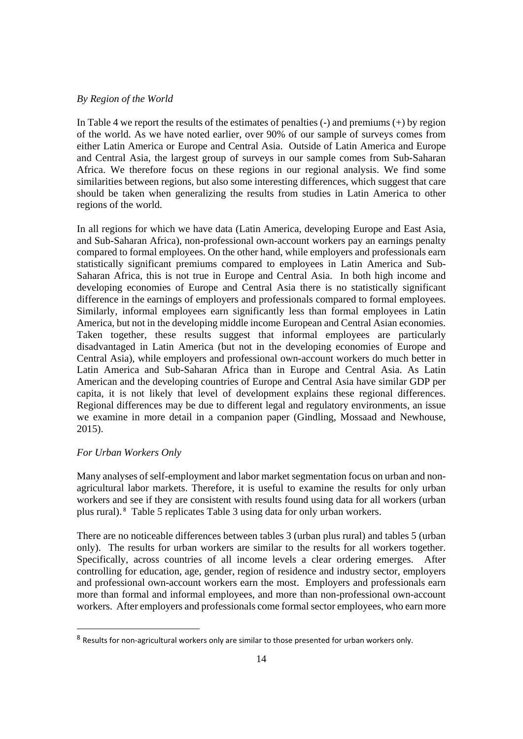#### *By Region of the World*

In Table 4 we report the results of the estimates of penalties  $(-)$  and premiums  $(+)$  by region of the world. As we have noted earlier, over 90% of our sample of surveys comes from either Latin America or Europe and Central Asia. Outside of Latin America and Europe and Central Asia, the largest group of surveys in our sample comes from Sub-Saharan Africa. We therefore focus on these regions in our regional analysis. We find some similarities between regions, but also some interesting differences, which suggest that care should be taken when generalizing the results from studies in Latin America to other regions of the world.

In all regions for which we have data (Latin America, developing Europe and East Asia, and Sub-Saharan Africa), non-professional own-account workers pay an earnings penalty compared to formal employees. On the other hand, while employers and professionals earn statistically significant premiums compared to employees in Latin America and Sub-Saharan Africa, this is not true in Europe and Central Asia. In both high income and developing economies of Europe and Central Asia there is no statistically significant difference in the earnings of employers and professionals compared to formal employees. Similarly, informal employees earn significantly less than formal employees in Latin America, but not in the developing middle income European and Central Asian economies. Taken together, these results suggest that informal employees are particularly disadvantaged in Latin America (but not in the developing economies of Europe and Central Asia), while employers and professional own-account workers do much better in Latin America and Sub-Saharan Africa than in Europe and Central Asia. As Latin American and the developing countries of Europe and Central Asia have similar GDP per capita, it is not likely that level of development explains these regional differences. Regional differences may be due to different legal and regulatory environments, an issue we examine in more detail in a companion paper (Gindling, Mossaad and Newhouse, 2015).

#### *For Urban Workers Only*

Many analyses of self-employment and labor market segmentation focus on urban and nonagricultural labor markets. Therefore, it is useful to examine the results for only urban workers and see if they are consistent with results found using data for all workers (urban plus rural). <sup>8</sup> Table 5 replicates Table 3 using data for only urban workers.

There are no noticeable differences between tables 3 (urban plus rural) and tables 5 (urban only). The results for urban workers are similar to the results for all workers together. Specifically, across countries of all income levels a clear ordering emerges. After controlling for education, age, gender, region of residence and industry sector, employers and professional own-account workers earn the most. Employers and professionals earn more than formal and informal employees, and more than non-professional own-account workers. After employers and professionals come formal sector employees, who earn more

<sup>8</sup> Results for non-agricultural workers only are similar to those presented for urban workers only.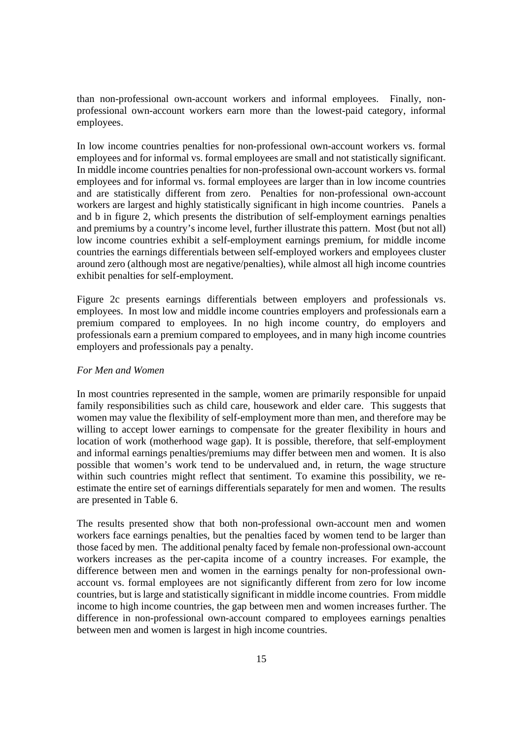than non-professional own-account workers and informal employees. Finally, nonprofessional own-account workers earn more than the lowest-paid category, informal employees.

In low income countries penalties for non-professional own-account workers vs. formal employees and for informal vs. formal employees are small and not statistically significant. In middle income countries penalties for non-professional own-account workers vs. formal employees and for informal vs. formal employees are larger than in low income countries and are statistically different from zero. Penalties for non-professional own-account workers are largest and highly statistically significant in high income countries. Panels a and b in figure 2, which presents the distribution of self-employment earnings penalties and premiums by a country's income level, further illustrate this pattern. Most (but not all) low income countries exhibit a self-employment earnings premium, for middle income countries the earnings differentials between self-employed workers and employees cluster around zero (although most are negative/penalties), while almost all high income countries exhibit penalties for self-employment.

Figure 2c presents earnings differentials between employers and professionals vs. employees. In most low and middle income countries employers and professionals earn a premium compared to employees. In no high income country, do employers and professionals earn a premium compared to employees, and in many high income countries employers and professionals pay a penalty.

#### *For Men and Women*

In most countries represented in the sample, women are primarily responsible for unpaid family responsibilities such as child care, housework and elder care. This suggests that women may value the flexibility of self-employment more than men, and therefore may be willing to accept lower earnings to compensate for the greater flexibility in hours and location of work (motherhood wage gap). It is possible, therefore, that self-employment and informal earnings penalties/premiums may differ between men and women. It is also possible that women's work tend to be undervalued and, in return, the wage structure within such countries might reflect that sentiment. To examine this possibility, we reestimate the entire set of earnings differentials separately for men and women. The results are presented in Table 6.

The results presented show that both non-professional own-account men and women workers face earnings penalties, but the penalties faced by women tend to be larger than those faced by men. The additional penalty faced by female non-professional own-account workers increases as the per-capita income of a country increases. For example, the difference between men and women in the earnings penalty for non-professional ownaccount vs. formal employees are not significantly different from zero for low income countries, but is large and statistically significant in middle income countries. From middle income to high income countries, the gap between men and women increases further. The difference in non-professional own-account compared to employees earnings penalties between men and women is largest in high income countries.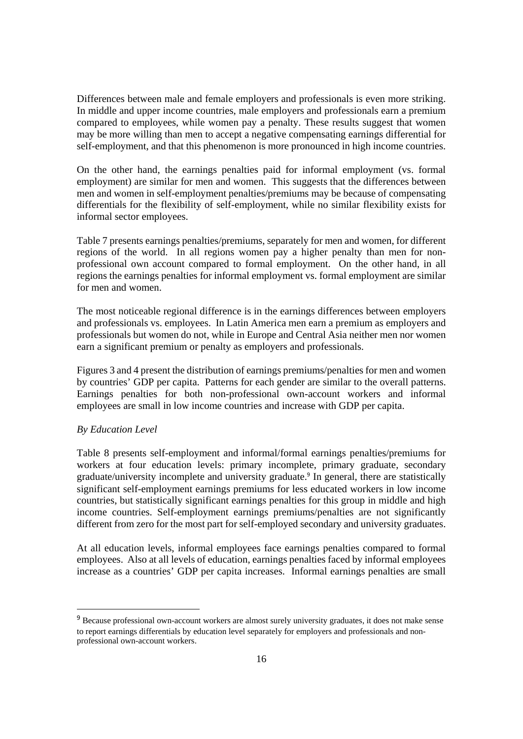Differences between male and female employers and professionals is even more striking. In middle and upper income countries, male employers and professionals earn a premium compared to employees, while women pay a penalty. These results suggest that women may be more willing than men to accept a negative compensating earnings differential for self-employment, and that this phenomenon is more pronounced in high income countries.

On the other hand, the earnings penalties paid for informal employment (vs. formal employment) are similar for men and women. This suggests that the differences between men and women in self-employment penalties/premiums may be because of compensating differentials for the flexibility of self-employment, while no similar flexibility exists for informal sector employees.

Table 7 presents earnings penalties/premiums, separately for men and women, for different regions of the world. In all regions women pay a higher penalty than men for nonprofessional own account compared to formal employment. On the other hand, in all regions the earnings penalties for informal employment vs. formal employment are similar for men and women.

The most noticeable regional difference is in the earnings differences between employers and professionals vs. employees. In Latin America men earn a premium as employers and professionals but women do not, while in Europe and Central Asia neither men nor women earn a significant premium or penalty as employers and professionals.

Figures 3 and 4 present the distribution of earnings premiums/penalties for men and women by countries' GDP per capita. Patterns for each gender are similar to the overall patterns. Earnings penalties for both non-professional own-account workers and informal employees are small in low income countries and increase with GDP per capita.

#### *By Education Level*

Table 8 presents self-employment and informal/formal earnings penalties/premiums for workers at four education levels: primary incomplete, primary graduate, secondary graduate/university incomplete and university graduate.<sup>9</sup> In general, there are statistically significant self-employment earnings premiums for less educated workers in low income countries, but statistically significant earnings penalties for this group in middle and high income countries. Self-employment earnings premiums/penalties are not significantly different from zero for the most part for self-employed secondary and university graduates.

At all education levels, informal employees face earnings penalties compared to formal employees. Also at all levels of education, earnings penalties faced by informal employees increase as a countries' GDP per capita increases. Informal earnings penalties are small

<sup>&</sup>lt;sup>9</sup> Because professional own-account workers are almost surely university graduates, it does not make sense to report earnings differentials by education level separately for employers and professionals and nonprofessional own-account workers.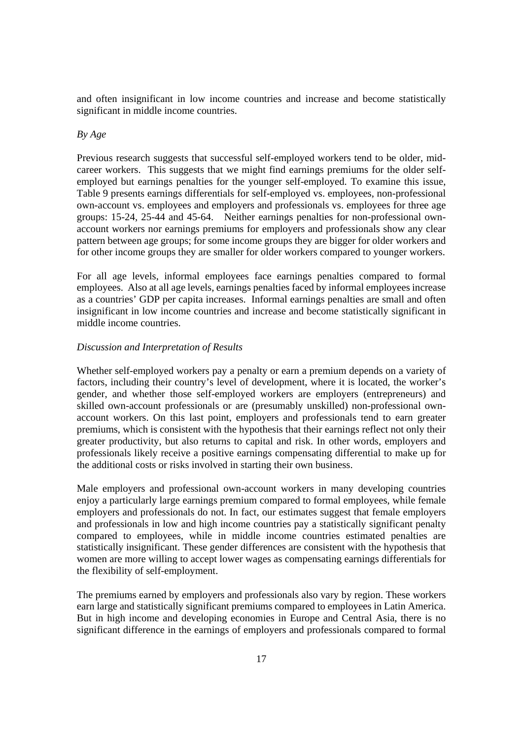and often insignificant in low income countries and increase and become statistically significant in middle income countries.

#### *By Age*

Previous research suggests that successful self-employed workers tend to be older, midcareer workers. This suggests that we might find earnings premiums for the older selfemployed but earnings penalties for the younger self-employed. To examine this issue, Table 9 presents earnings differentials for self-employed vs. employees, non-professional own-account vs. employees and employers and professionals vs. employees for three age groups: 15-24, 25-44 and 45-64. Neither earnings penalties for non-professional ownaccount workers nor earnings premiums for employers and professionals show any clear pattern between age groups; for some income groups they are bigger for older workers and for other income groups they are smaller for older workers compared to younger workers.

For all age levels, informal employees face earnings penalties compared to formal employees. Also at all age levels, earnings penalties faced by informal employees increase as a countries' GDP per capita increases. Informal earnings penalties are small and often insignificant in low income countries and increase and become statistically significant in middle income countries.

#### *Discussion and Interpretation of Results*

Whether self-employed workers pay a penalty or earn a premium depends on a variety of factors, including their country's level of development, where it is located, the worker's gender, and whether those self-employed workers are employers (entrepreneurs) and skilled own-account professionals or are (presumably unskilled) non-professional ownaccount workers. On this last point, employers and professionals tend to earn greater premiums, which is consistent with the hypothesis that their earnings reflect not only their greater productivity, but also returns to capital and risk. In other words, employers and professionals likely receive a positive earnings compensating differential to make up for the additional costs or risks involved in starting their own business.

Male employers and professional own-account workers in many developing countries enjoy a particularly large earnings premium compared to formal employees, while female employers and professionals do not. In fact, our estimates suggest that female employers and professionals in low and high income countries pay a statistically significant penalty compared to employees, while in middle income countries estimated penalties are statistically insignificant. These gender differences are consistent with the hypothesis that women are more willing to accept lower wages as compensating earnings differentials for the flexibility of self-employment.

The premiums earned by employers and professionals also vary by region. These workers earn large and statistically significant premiums compared to employees in Latin America. But in high income and developing economies in Europe and Central Asia, there is no significant difference in the earnings of employers and professionals compared to formal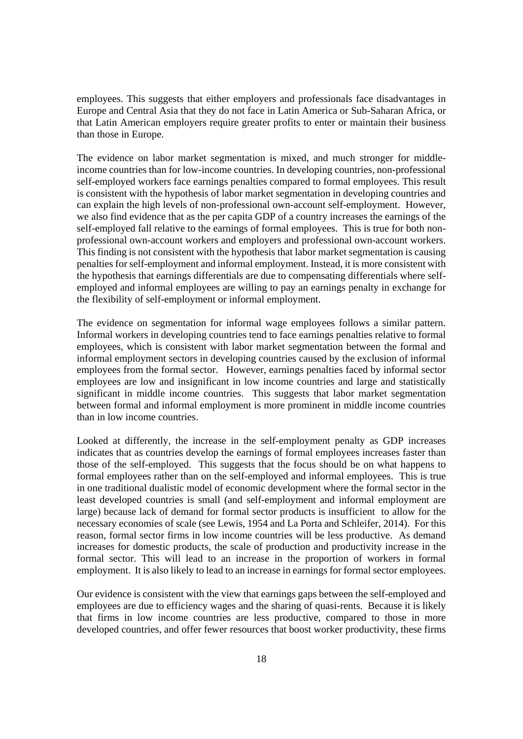employees. This suggests that either employers and professionals face disadvantages in Europe and Central Asia that they do not face in Latin America or Sub-Saharan Africa, or that Latin American employers require greater profits to enter or maintain their business than those in Europe.

The evidence on labor market segmentation is mixed, and much stronger for middleincome countries than for low-income countries. In developing countries, non-professional self-employed workers face earnings penalties compared to formal employees. This result is consistent with the hypothesis of labor market segmentation in developing countries and can explain the high levels of non-professional own-account self-employment. However, we also find evidence that as the per capita GDP of a country increases the earnings of the self-employed fall relative to the earnings of formal employees. This is true for both nonprofessional own-account workers and employers and professional own-account workers. This finding is not consistent with the hypothesis that labor market segmentation is causing penalties for self-employment and informal employment. Instead, it is more consistent with the hypothesis that earnings differentials are due to compensating differentials where selfemployed and informal employees are willing to pay an earnings penalty in exchange for the flexibility of self-employment or informal employment.

The evidence on segmentation for informal wage employees follows a similar pattern. Informal workers in developing countries tend to face earnings penalties relative to formal employees, which is consistent with labor market segmentation between the formal and informal employment sectors in developing countries caused by the exclusion of informal employees from the formal sector. However, earnings penalties faced by informal sector employees are low and insignificant in low income countries and large and statistically significant in middle income countries. This suggests that labor market segmentation between formal and informal employment is more prominent in middle income countries than in low income countries.

Looked at differently, the increase in the self-employment penalty as GDP increases indicates that as countries develop the earnings of formal employees increases faster than those of the self-employed. This suggests that the focus should be on what happens to formal employees rather than on the self-employed and informal employees. This is true in one traditional dualistic model of economic development where the formal sector in the least developed countries is small (and self-employment and informal employment are large) because lack of demand for formal sector products is insufficient to allow for the necessary economies of scale (see Lewis, 1954 and La Porta and Schleifer, 2014). For this reason, formal sector firms in low income countries will be less productive. As demand increases for domestic products, the scale of production and productivity increase in the formal sector. This will lead to an increase in the proportion of workers in formal employment. It is also likely to lead to an increase in earnings for formal sector employees.

Our evidence is consistent with the view that earnings gaps between the self-employed and employees are due to efficiency wages and the sharing of quasi-rents. Because it is likely that firms in low income countries are less productive, compared to those in more developed countries, and offer fewer resources that boost worker productivity, these firms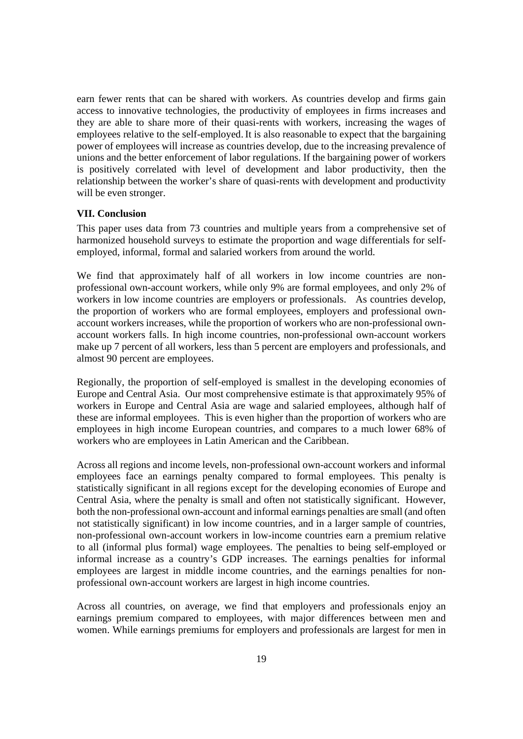earn fewer rents that can be shared with workers. As countries develop and firms gain access to innovative technologies, the productivity of employees in firms increases and they are able to share more of their quasi-rents with workers, increasing the wages of employees relative to the self-employed.It is also reasonable to expect that the bargaining power of employees will increase as countries develop, due to the increasing prevalence of unions and the better enforcement of labor regulations. If the bargaining power of workers is positively correlated with level of development and labor productivity, then the relationship between the worker's share of quasi-rents with development and productivity will be even stronger.

#### **VII. Conclusion**

This paper uses data from 73 countries and multiple years from a comprehensive set of harmonized household surveys to estimate the proportion and wage differentials for selfemployed, informal, formal and salaried workers from around the world.

We find that approximately half of all workers in low income countries are nonprofessional own-account workers, while only 9% are formal employees, and only 2% of workers in low income countries are employers or professionals. As countries develop, the proportion of workers who are formal employees, employers and professional ownaccount workers increases, while the proportion of workers who are non-professional ownaccount workers falls. In high income countries, non-professional own-account workers make up 7 percent of all workers, less than 5 percent are employers and professionals, and almost 90 percent are employees.

Regionally, the proportion of self-employed is smallest in the developing economies of Europe and Central Asia. Our most comprehensive estimate is that approximately 95% of workers in Europe and Central Asia are wage and salaried employees, although half of these are informal employees. This is even higher than the proportion of workers who are employees in high income European countries, and compares to a much lower 68% of workers who are employees in Latin American and the Caribbean.

Across all regions and income levels, non-professional own-account workers and informal employees face an earnings penalty compared to formal employees. This penalty is statistically significant in all regions except for the developing economies of Europe and Central Asia, where the penalty is small and often not statistically significant. However, both the non-professional own-account and informal earnings penalties are small (and often not statistically significant) in low income countries, and in a larger sample of countries, non-professional own-account workers in low-income countries earn a premium relative to all (informal plus formal) wage employees. The penalties to being self-employed or informal increase as a country's GDP increases. The earnings penalties for informal employees are largest in middle income countries, and the earnings penalties for nonprofessional own-account workers are largest in high income countries.

Across all countries, on average, we find that employers and professionals enjoy an earnings premium compared to employees, with major differences between men and women. While earnings premiums for employers and professionals are largest for men in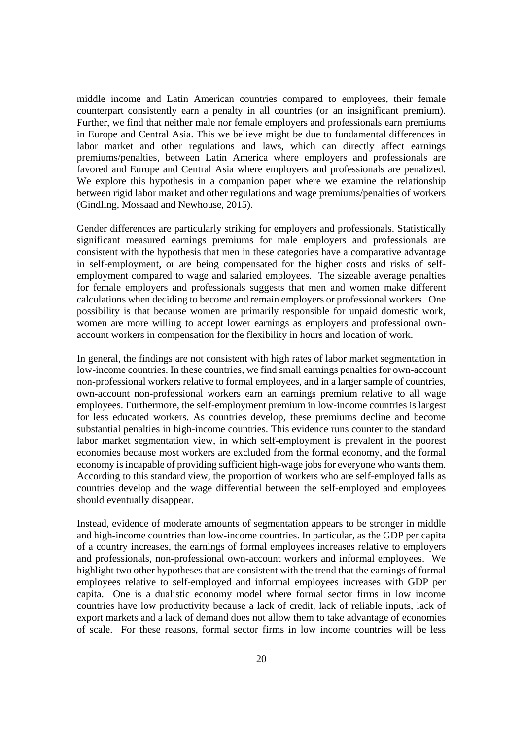middle income and Latin American countries compared to employees, their female counterpart consistently earn a penalty in all countries (or an insignificant premium). Further, we find that neither male nor female employers and professionals earn premiums in Europe and Central Asia. This we believe might be due to fundamental differences in labor market and other regulations and laws, which can directly affect earnings premiums/penalties, between Latin America where employers and professionals are favored and Europe and Central Asia where employers and professionals are penalized. We explore this hypothesis in a companion paper where we examine the relationship between rigid labor market and other regulations and wage premiums/penalties of workers (Gindling, Mossaad and Newhouse, 2015).

Gender differences are particularly striking for employers and professionals. Statistically significant measured earnings premiums for male employers and professionals are consistent with the hypothesis that men in these categories have a comparative advantage in self-employment, or are being compensated for the higher costs and risks of selfemployment compared to wage and salaried employees. The sizeable average penalties for female employers and professionals suggests that men and women make different calculations when deciding to become and remain employers or professional workers. One possibility is that because women are primarily responsible for unpaid domestic work, women are more willing to accept lower earnings as employers and professional ownaccount workers in compensation for the flexibility in hours and location of work.

In general, the findings are not consistent with high rates of labor market segmentation in low-income countries. In these countries, we find small earnings penalties for own-account non-professional workers relative to formal employees, and in a larger sample of countries, own-account non-professional workers earn an earnings premium relative to all wage employees. Furthermore, the self-employment premium in low-income countries is largest for less educated workers. As countries develop, these premiums decline and become substantial penalties in high-income countries. This evidence runs counter to the standard labor market segmentation view, in which self-employment is prevalent in the poorest economies because most workers are excluded from the formal economy, and the formal economy is incapable of providing sufficient high-wage jobs for everyone who wants them. According to this standard view, the proportion of workers who are self-employed falls as countries develop and the wage differential between the self-employed and employees should eventually disappear.

Instead, evidence of moderate amounts of segmentation appears to be stronger in middle and high-income countries than low-income countries. In particular, as the GDP per capita of a country increases, the earnings of formal employees increases relative to employers and professionals, non-professional own-account workers and informal employees. We highlight two other hypotheses that are consistent with the trend that the earnings of formal employees relative to self-employed and informal employees increases with GDP per capita. One is a dualistic economy model where formal sector firms in low income countries have low productivity because a lack of credit, lack of reliable inputs, lack of export markets and a lack of demand does not allow them to take advantage of economies of scale. For these reasons, formal sector firms in low income countries will be less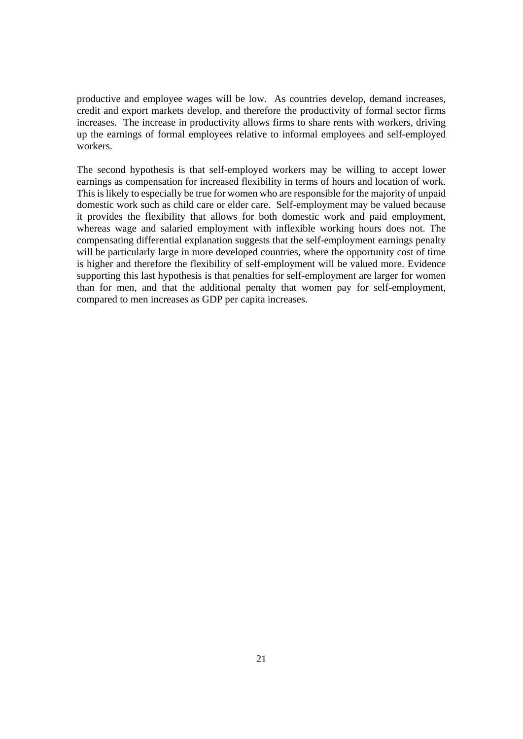productive and employee wages will be low. As countries develop, demand increases, credit and export markets develop, and therefore the productivity of formal sector firms increases. The increase in productivity allows firms to share rents with workers, driving up the earnings of formal employees relative to informal employees and self-employed workers.

The second hypothesis is that self-employed workers may be willing to accept lower earnings as compensation for increased flexibility in terms of hours and location of work. This is likely to especially be true for women who are responsible for the majority of unpaid domestic work such as child care or elder care. Self-employment may be valued because it provides the flexibility that allows for both domestic work and paid employment, whereas wage and salaried employment with inflexible working hours does not. The compensating differential explanation suggests that the self-employment earnings penalty will be particularly large in more developed countries, where the opportunity cost of time is higher and therefore the flexibility of self-employment will be valued more. Evidence supporting this last hypothesis is that penalties for self-employment are larger for women than for men, and that the additional penalty that women pay for self-employment, compared to men increases as GDP per capita increases.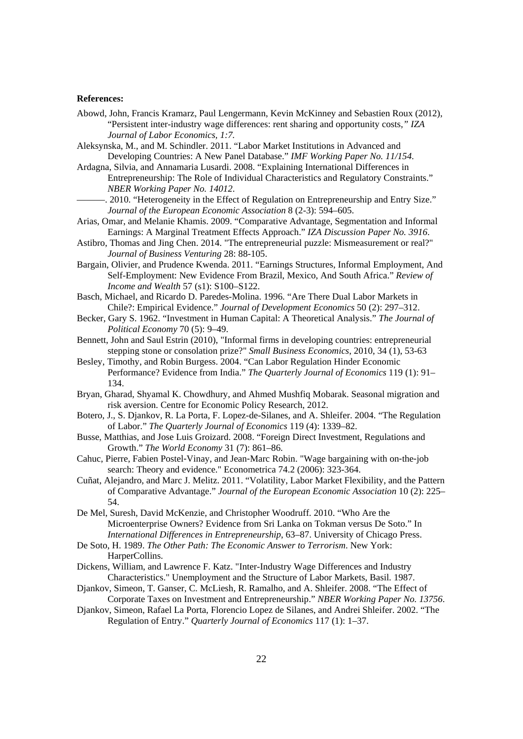#### **References:**

- Abowd, John, Francis Kramarz, Paul Lengermann, Kevin McKinney and Sebastien Roux (2012), "Persistent inter-industry wage differences: rent sharing and opportunity costs*," IZA Journal of Labor Economics, 1:7.*
- Aleksynska, M., and M. Schindler. 2011. "Labor Market Institutions in Advanced and Developing Countries: A New Panel Database." *IMF Working Paper No. 11/154*.
- Ardagna, Silvia, and Annamaria Lusardi. 2008. "Explaining International Differences in Entrepreneurship: The Role of Individual Characteristics and Regulatory Constraints." *NBER Working Paper No. 14012*.
	- -. 2010. "Heterogeneity in the Effect of Regulation on Entrepreneurship and Entry Size." *Journal of the European Economic Association* 8 (2-3): 594–605.
- Arias, Omar, and Melanie Khamis. 2009. "Comparative Advantage, Segmentation and Informal Earnings: A Marginal Treatment Effects Approach." *IZA Discussion Paper No. 3916*.
- Astibro, Thomas and Jing Chen. 2014. "The entrepreneurial puzzle: Mismeasurement or real?" *Journal of Business Venturing* 28: 88-105.
- Bargain, Olivier, and Prudence Kwenda. 2011. "Earnings Structures, Informal Employment, And Self-Employment: New Evidence From Brazil, Mexico, And South Africa." *Review of Income and Wealth* 57 (s1): S100–S122.
- Basch, Michael, and Ricardo D. Paredes-Molina. 1996. "Are There Dual Labor Markets in Chile?: Empirical Evidence." *Journal of Development Economics* 50 (2): 297–312.
- Becker, Gary S. 1962. "Investment in Human Capital: A Theoretical Analysis." *The Journal of Political Economy* 70 (5): 9–49.
- Bennett, John and Saul Estrin (2010), "Informal firms in developing countries: entrepreneurial stepping stone or consolation prize?" *Small Business Economics*, 2010, 34 (1), 53-63
- Besley, Timothy, and Robin Burgess. 2004. "Can Labor Regulation Hinder Economic Performance? Evidence from India." *The Quarterly Journal of Economics* 119 (1): 91– 134.
- Bryan, Gharad, Shyamal K. Chowdhury, and Ahmed Mushfiq Mobarak. Seasonal migration and risk aversion. Centre for Economic Policy Research, 2012.
- Botero, J., S. Djankov, R. La Porta, F. Lopez-de-Silanes, and A. Shleifer. 2004. "The Regulation of Labor." *The Quarterly Journal of Economics* 119 (4): 1339–82.
- Busse, Matthias, and Jose Luis Groizard. 2008. "Foreign Direct Investment, Regulations and Growth." *The World Economy* 31 (7): 861–86.
- Cahuc, Pierre, Fabien Postel-Vinay, and Jean-Marc Robin. "Wage bargaining with on-the-job search: Theory and evidence." Econometrica 74.2 (2006): 323-364.
- Cuñat, Alejandro, and Marc J. Melitz. 2011. "Volatility, Labor Market Flexibility, and the Pattern of Comparative Advantage." *Journal of the European Economic Association* 10 (2): 225– 54.
- De Mel, Suresh, David McKenzie, and Christopher Woodruff. 2010. "Who Are the Microenterprise Owners? Evidence from Sri Lanka on Tokman versus De Soto." In *International Differences in Entrepreneurship*, 63–87. University of Chicago Press.
- De Soto, H. 1989. *The Other Path: The Economic Answer to Terrorism*. New York: HarperCollins.
- Dickens, William, and Lawrence F. Katz. "Inter-Industry Wage Differences and Industry Characteristics." Unemployment and the Structure of Labor Markets, Basil. 1987.
- Djankov, Simeon, T. Ganser, C. McLiesh, R. Ramalho, and A. Shleifer. 2008. "The Effect of Corporate Taxes on Investment and Entrepreneurship." *NBER Working Paper No. 13756*.
- Djankov, Simeon, Rafael La Porta, Florencio Lopez de Silanes, and Andrei Shleifer. 2002. "The Regulation of Entry." *Quarterly Journal of Economics* 117 (1): 1–37.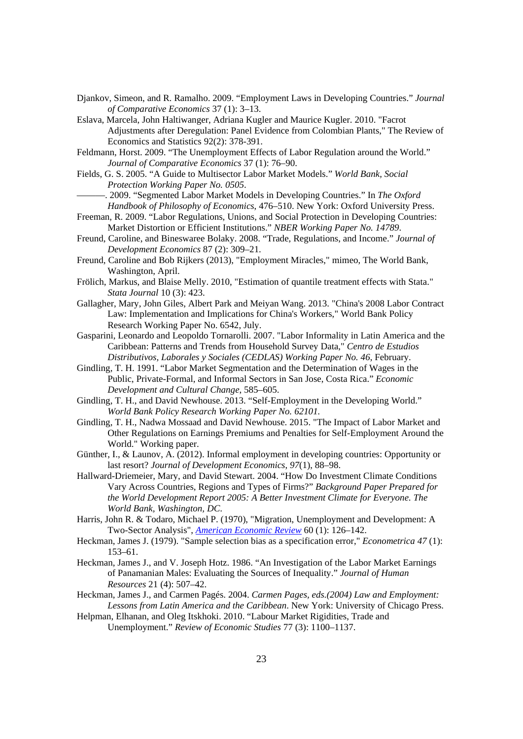Djankov, Simeon, and R. Ramalho. 2009. "Employment Laws in Developing Countries." *Journal of Comparative Economics* 37 (1): 3–13.

Eslava, Marcela, John Haltiwanger, Adriana Kugler and Maurice Kugler. 2010. "Facrot Adjustments after Deregulation: Panel Evidence from Colombian Plants," The Review of Economics and Statistics 92(2): 378-391.

Feldmann, Horst. 2009. "The Unemployment Effects of Labor Regulation around the World." *Journal of Comparative Economics* 37 (1): 76–90.

Fields, G. S. 2005. "A Guide to Multisector Labor Market Models." *World Bank, Social Protection Working Paper No. 0505*.

———. 2009. "Segmented Labor Market Models in Developing Countries." In *The Oxford Handbook of Philosophy of Economics*, 476–510. New York: Oxford University Press.

Freeman, R. 2009. "Labor Regulations, Unions, and Social Protection in Developing Countries: Market Distortion or Efficient Institutions." *NBER Working Paper No. 14789*.

Freund, Caroline, and Bineswaree Bolaky. 2008. "Trade, Regulations, and Income." *Journal of Development Economics* 87 (2): 309–21.

Freund, Caroline and Bob Rijkers (2013), "Employment Miracles," mimeo, The World Bank, Washington, April.

- Frölich, Markus, and Blaise Melly. 2010, "Estimation of quantile treatment effects with Stata." *Stata Journal* 10 (3): 423.
- Gallagher, Mary, John Giles, Albert Park and Meiyan Wang. 2013. "China's 2008 Labor Contract Law: Implementation and Implications for China's Workers," World Bank Policy Research Working Paper No. 6542, July.
- Gasparini, Leonardo and Leopoldo Tornarolli. 2007. "Labor Informality in Latin America and the Caribbean: Patterns and Trends from Household Survey Data," *Centro de Estudios Distributivos, Laborales y Sociales (CEDLAS) Working Paper No. 46*, February.
- Gindling, T. H. 1991. "Labor Market Segmentation and the Determination of Wages in the Public, Private-Formal, and Informal Sectors in San Jose, Costa Rica." *Economic Development and Cultural Change*, 585–605.
- Gindling, T. H., and David Newhouse. 2013. "Self-Employment in the Developing World." *World Bank Policy Research Working Paper No. 62101.*
- Gindling, T. H., Nadwa Mossaad and David Newhouse. 2015. "The Impact of Labor Market and Other Regulations on Earnings Premiums and Penalties for Self-Employment Around the World." Working paper.
- Günther, I., & Launov, A. (2012). Informal employment in developing countries: Opportunity or last resort? *Journal of Development Economics*, *97*(1), 88–98.
- Hallward-Driemeier, Mary, and David Stewart. 2004. "How Do Investment Climate Conditions Vary Across Countries, Regions and Types of Firms?" *Background Paper Prepared for the World Development Report 2005: A Better Investment Climate for Everyone. The World Bank, Washington, DC*.
- Harris, John R. & Todaro, Michael P. (1970), "Migration, Unemployment and Development: A Two-Sector Analysis", *American Economic Review* 60 (1): 126–142.
- Heckman, James J. (1979). "Sample selection bias as a specification error," *Econometrica 47* (1): 153–61.
- Heckman, James J., and V. Joseph Hotz. 1986. "An Investigation of the Labor Market Earnings of Panamanian Males: Evaluating the Sources of Inequality." *Journal of Human Resources* 21 (4): 507–42.
- Heckman, James J., and Carmen Pagés. 2004. *Carmen Pages, eds.(2004) Law and Employment: Lessons from Latin America and the Caribbean*. New York: University of Chicago Press.
- Helpman, Elhanan, and Oleg Itskhoki. 2010. "Labour Market Rigidities, Trade and Unemployment." *Review of Economic Studies* 77 (3): 1100–1137.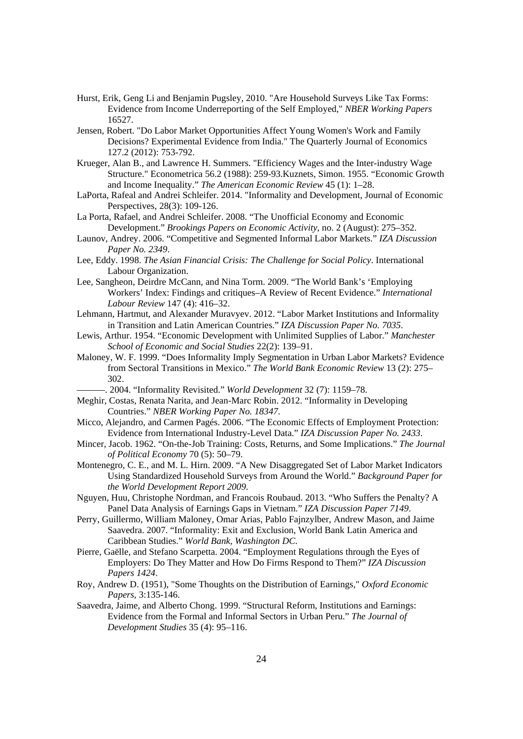- Hurst, Erik, Geng Li and Benjamin Pugsley, 2010. "Are Household Surveys Like Tax Forms: Evidence from Income Underreporting of the Self Employed," *NBER Working Papers*  16527.
- Jensen, Robert. "Do Labor Market Opportunities Affect Young Women's Work and Family Decisions? Experimental Evidence from India." The Quarterly Journal of Economics 127.2 (2012): 753-792.
- Krueger, Alan B., and Lawrence H. Summers. "Efficiency Wages and the Inter-industry Wage Structure." Econometrica 56.2 (1988): 259-93.Kuznets, Simon. 1955. "Economic Growth and Income Inequality." *The American Economic Review* 45 (1): 1–28.
- LaPorta, Rafeal and Andrei Schleifer. 2014. "Informality and Development, Journal of Economic Perspectives, 28(3): 109-126.
- La Porta, Rafael, and Andrei Schleifer. 2008. "The Unofficial Economy and Economic Development." *Brookings Papers on Economic Activity*, no. 2 (August): 275–352.
- Launov, Andrey. 2006. "Competitive and Segmented Informal Labor Markets." *IZA Discussion Paper No. 2349*.
- Lee, Eddy. 1998. *The Asian Financial Crisis: The Challenge for Social Policy*. International Labour Organization.
- Lee, Sangheon, Deirdre McCann, and Nina Torm. 2009. "The World Bank's 'Employing Workers' Index: Findings and critiques–A Review of Recent Evidence." *International Labour Review* 147 (4): 416–32.
- Lehmann, Hartmut, and Alexander Muravyev. 2012. "Labor Market Institutions and Informality in Transition and Latin American Countries." *IZA Discussion Paper No. 7035*.
- Lewis, Arthur. 1954. "Economic Development with Unlimited Supplies of Labor." *Manchester School of Economic and Social Studies* 22(2): 139–91.
- Maloney, W. F. 1999. "Does Informality Imply Segmentation in Urban Labor Markets? Evidence from Sectoral Transitions in Mexico." *The World Bank Economic Review* 13 (2): 275– 302.
	- ———. 2004. "Informality Revisited." *World Development* 32 (7): 1159–78.
- Meghir, Costas, Renata Narita, and Jean-Marc Robin. 2012. "Informality in Developing Countries." *NBER Working Paper No. 18347*.
- Micco, Alejandro, and Carmen Pagés. 2006. "The Economic Effects of Employment Protection: Evidence from International Industry-Level Data." *IZA Discussion Paper No. 2433*.
- Mincer, Jacob. 1962. "On-the-Job Training: Costs, Returns, and Some Implications." *The Journal of Political Economy* 70 (5): 50–79.
- Montenegro, C. E., and M. L. Hirn. 2009. "A New Disaggregated Set of Labor Market Indicators Using Standardized Household Surveys from Around the World." *Background Paper for the World Development Report 2009*.
- Nguyen, Huu, Christophe Nordman, and Francois Roubaud. 2013. "Who Suffers the Penalty? A Panel Data Analysis of Earnings Gaps in Vietnam." *IZA Discussion Paper 7149*.
- Perry, Guillermo, William Maloney, Omar Arias, Pablo Fajnzylber, Andrew Mason, and Jaime Saavedra. 2007. "Informality: Exit and Exclusion, World Bank Latin America and Caribbean Studies." *World Bank, Washington DC*.
- Pierre, Gaëlle, and Stefano Scarpetta. 2004. "Employment Regulations through the Eyes of Employers: Do They Matter and How Do Firms Respond to Them?" *IZA Discussion Papers 1424*.
- Roy, Andrew D. (1951), "Some Thoughts on the Distribution of Earnings," *Oxford Economic Papers*, 3:135-146.
- Saavedra, Jaime, and Alberto Chong. 1999. "Structural Reform, Institutions and Earnings: Evidence from the Formal and Informal Sectors in Urban Peru." *The Journal of Development Studies* 35 (4): 95–116.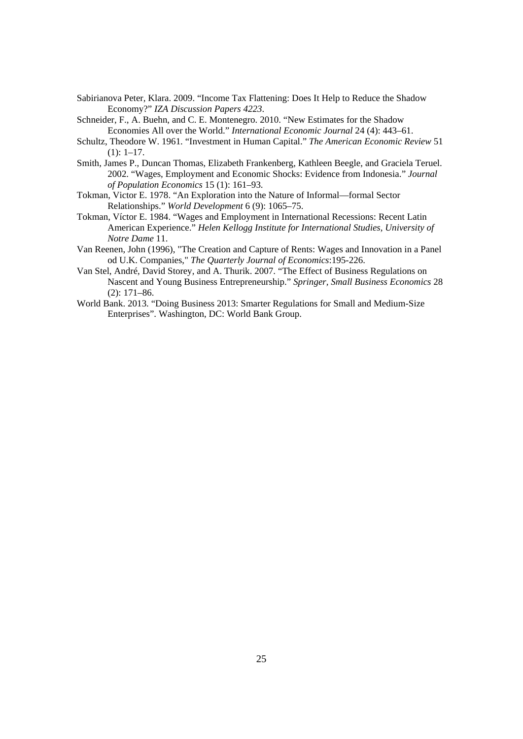Sabirianova Peter, Klara. 2009. "Income Tax Flattening: Does It Help to Reduce the Shadow Economy?" *IZA Discussion Papers 4223*.

Schneider, F., A. Buehn, and C. E. Montenegro. 2010. "New Estimates for the Shadow Economies All over the World." *International Economic Journal* 24 (4): 443–61.

- Schultz, Theodore W. 1961. "Investment in Human Capital." *The American Economic Review* 51  $(1): 1-17.$
- Smith, James P., Duncan Thomas, Elizabeth Frankenberg, Kathleen Beegle, and Graciela Teruel. 2002. "Wages, Employment and Economic Shocks: Evidence from Indonesia." *Journal of Population Economics* 15 (1): 161–93.
- Tokman, Victor E. 1978. "An Exploration into the Nature of Informal—formal Sector Relationships." *World Development* 6 (9): 1065–75.
- Tokman, Víctor E. 1984. "Wages and Employment in International Recessions: Recent Latin American Experience." *Helen Kellogg Institute for International Studies, University of Notre Dame* 11.
- Van Reenen, John (1996), "The Creation and Capture of Rents: Wages and Innovation in a Panel od U.K. Companies," *The Quarterly Journal of Economics*:195-226.
- Van Stel, André, David Storey, and A. Thurik. 2007. "The Effect of Business Regulations on Nascent and Young Business Entrepreneurship." *Springer, Small Business Economics* 28 (2): 171–86.
- World Bank. 2013. "Doing Business 2013: Smarter Regulations for Small and Medium-Size Enterprises". Washington, DC: World Bank Group.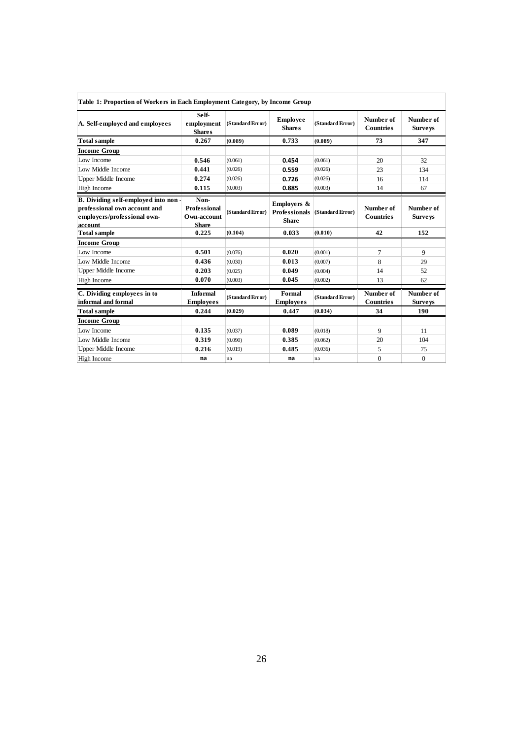| Table 1: Proportion of Workers in Each Employment Category, by Income Group                                           |                                                            |                  |                                                     |                  |                               |                             |
|-----------------------------------------------------------------------------------------------------------------------|------------------------------------------------------------|------------------|-----------------------------------------------------|------------------|-------------------------------|-----------------------------|
| A. Self-employed and employees                                                                                        | Self-<br>employment<br><b>Shares</b>                       | (Standard Error) | <b>Employee</b><br><b>Shares</b>                    | (Standard Error) | Number of<br><b>Countries</b> | Number of<br><b>Surveys</b> |
| <b>Total sample</b>                                                                                                   | 0.267                                                      | (0.089)          | 0.733                                               | (0.089)          | 73                            | 347                         |
| <b>Income Group</b>                                                                                                   |                                                            |                  |                                                     |                  |                               |                             |
| Low Income                                                                                                            | 0.546                                                      | (0.061)          | 0.454                                               | (0.061)          | 20                            | 32                          |
| Low Middle Income                                                                                                     | 0.441                                                      | (0.026)          | 0.559                                               | (0.026)          | 23                            | 134                         |
| <b>Upper Middle Income</b>                                                                                            | 0.274                                                      | (0.026)          | 0.726                                               | (0.026)          | 16                            | 114                         |
| High Income                                                                                                           | 0.115                                                      | (0.003)          | 0.885                                               | (0.003)          | 14                            | 67                          |
| <b>B.</b> Dividing self-employed into non -<br>professional own account and<br>employers/professional own-<br>account | Non-<br><b>Professional</b><br>Own-account<br><b>Share</b> | (Standard Error) | Employers &<br><b>Professionals</b><br><b>Share</b> | (Standard Error) | Number of<br><b>Countries</b> | Number of<br><b>Surveys</b> |
| <b>Total sample</b>                                                                                                   | 0.225                                                      | (0.104)          | 0.033                                               | (0.010)          | 42                            | 152                         |
| <b>Income Group</b>                                                                                                   |                                                            |                  |                                                     |                  |                               |                             |
| Low Income                                                                                                            | 0.501                                                      | (0.076)          | 0.020                                               | (0.001)          | 7                             | 9                           |
| Low Middle Income                                                                                                     | 0.436                                                      | (0.030)          | 0.013                                               | (0.007)          | 8                             | 29                          |
| <b>Upper Middle Income</b>                                                                                            | 0.203                                                      | (0.025)          | 0.049                                               | (0.004)          | 14                            | 52                          |
| High Income                                                                                                           | 0.070                                                      | (0.003)          | 0.045                                               | (0.002)          | 13                            | 62                          |
| C. Dividing employees in to<br>informal and formal                                                                    | <b>Informal</b><br><b>Employees</b>                        | (Standard Error) | Formal<br><b>Employees</b>                          | (Standard Error) | Number of<br><b>Countries</b> | Number of<br><b>Surveys</b> |
| <b>Total sample</b>                                                                                                   | 0.244                                                      | (0.029)          | 0.447                                               | (0.034)          | 34                            | 190                         |
| <b>Income Group</b>                                                                                                   |                                                            |                  |                                                     |                  |                               |                             |
| Low Income                                                                                                            | 0.135                                                      | (0.037)          | 0.089                                               | (0.018)          | 9                             | 11                          |
| Low Middle Income                                                                                                     | 0.319                                                      | (0.090)          | 0.385                                               | (0.062)          | 20                            | 104                         |
|                                                                                                                       |                                                            |                  |                                                     |                  |                               |                             |
| Upper Middle Income                                                                                                   | 0.216                                                      | (0.019)          | 0.485                                               | (0.036)          | 5                             | 75                          |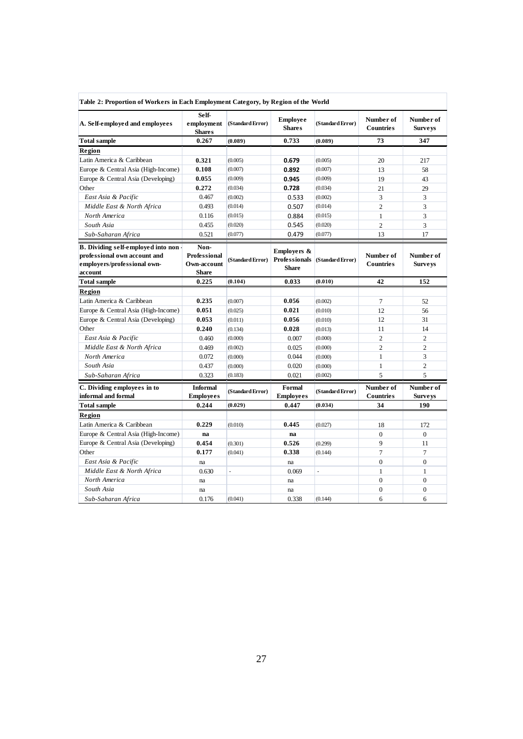| Table 2: Proportion of Workers in Each Employment Category, by Region of the World |                                             |                  |                                                     |                  |                               |                             |
|------------------------------------------------------------------------------------|---------------------------------------------|------------------|-----------------------------------------------------|------------------|-------------------------------|-----------------------------|
| A. Self-employed and employees                                                     | Self-<br>employment<br><b>Shares</b>        | (Standard Error) | <b>Employee</b><br><b>Shares</b>                    | (Standard Error) | Number of<br><b>Countries</b> | Number of<br><b>Surveys</b> |
| <b>Total sample</b>                                                                | 0.267                                       | (0.089)          | 0.733                                               | (0.089)          | 73                            | 347                         |
| Region                                                                             |                                             |                  |                                                     |                  |                               |                             |
| Latin America & Caribbean                                                          | 0.321                                       | (0.005)          | 0.679                                               | (0.005)          | 20                            | 217                         |
| Europe & Central Asia (High-Income)                                                | 0.108                                       | (0.007)          | 0.892                                               | (0.007)          | 13                            | 58                          |
| Europe & Central Asia (Developing)                                                 | 0.055                                       | (0.009)          | 0.945                                               | (0.009)          | 19                            | 43                          |
| Other                                                                              | 0.272                                       | (0.034)          | 0.728                                               | (0.034)          | 21                            | 29                          |
| East Asia & Pacific                                                                | 0.467                                       | (0.002)          | 0.533                                               | (0.002)          | 3                             | 3                           |
| Middle East & North Africa                                                         | 0.493                                       | (0.014)          | 0.507                                               | (0.014)          | $\overline{c}$                | 3                           |
| North America                                                                      | 0.116                                       | (0.015)          | 0.884                                               | (0.015)          | $\mathbf{1}$                  | 3                           |
| South Asia                                                                         | 0.455                                       | (0.020)          | 0.545                                               | (0.020)          | $\overline{c}$                | 3                           |
| Sub-Saharan Africa                                                                 | 0.521                                       | (0.077)          | 0.479                                               | (0.077)          | 13                            | 17                          |
| B. Dividing self-employed into non-                                                | Non-                                        |                  |                                                     |                  |                               |                             |
| professional own account and<br>employers/professional own-<br>account             | Professional<br>Own-account<br><b>Share</b> | (Standard Error) | Emplovers &<br><b>Professionals</b><br><b>Share</b> | (Standard Error) | Number of<br><b>Countries</b> | Number of<br><b>Surveys</b> |
| <b>Total sample</b>                                                                | 0.225                                       | (0.104)          | 0.033                                               | (0.010)          | 42                            | 152                         |
| Region                                                                             |                                             |                  |                                                     |                  |                               |                             |
| Latin America & Caribbean                                                          | 0.235                                       | (0.007)          | 0.056                                               | (0.002)          | $\overline{7}$                | 52                          |
| Europe & Central Asia (High-Income)                                                | 0.051                                       | (0.025)          | 0.021                                               | (0.010)          | 12                            | 56                          |
| Europe & Central Asia (Developing)                                                 | 0.053                                       | (0.011)          | 0.056                                               | (0.010)          | 12                            | 31                          |
| Other                                                                              | 0.240                                       | (0.134)          | 0.028                                               | (0.013)          | 11                            | 14                          |
| East Asia & Pacific                                                                | 0.460                                       | (0.000)          | 0.007                                               | (0.000)          | $\overline{c}$                | $\overline{2}$              |
| Middle East & North Africa                                                         | 0.469                                       | (0.002)          | 0.025                                               | (0.000)          | $\overline{c}$                | $\overline{2}$              |
| North America                                                                      | 0.072                                       | (0.000)          | 0.044                                               | (0.000)          | $\mathbf{1}$                  | 3                           |
| South Asia                                                                         | 0.437                                       | (0.000)          | 0.020                                               | (0.000)          | $\mathbf{1}$                  | $\overline{c}$              |
| Sub-Saharan Africa                                                                 | 0.323                                       | (0.183)          | 0.021                                               | (0.002)          | 5                             | 5                           |
| C. Dividing employees in to<br>informal and formal                                 | <b>Informal</b><br><b>Employees</b>         | (Standard Error) | Formal<br><b>Employees</b>                          | (Standard Error) | Number of<br>Countries        | Number of<br><b>Surveys</b> |
| <b>Total sample</b>                                                                | 0.244                                       | (0.029)          | 0.447                                               | (0.034)          | 34                            | 190                         |
| Region                                                                             |                                             |                  |                                                     |                  |                               |                             |
| Latin America & Caribbean                                                          | 0.229                                       | (0.010)          | 0.445                                               | (0.027)          | 18                            | 172                         |
| Europe & Central Asia (High-Income)                                                | na                                          |                  | na                                                  |                  | $\Omega$                      | $\Omega$                    |
| Europe & Central Asia (Developing)                                                 | 0.454                                       | (0.301)          | 0.526                                               | (0.299)          | 9                             | 11                          |
| Other                                                                              | 0.177                                       | (0.041)          | 0.338                                               | (0.144)          | $\overline{7}$                | $\overline{7}$              |
| East Asia & Pacific                                                                | na                                          |                  | na                                                  |                  | $\theta$                      | $\mathbf{0}$                |
| Middle East & North Africa                                                         | 0.630                                       | ÷                | 0.069                                               | L                | 1                             | 1                           |
| North America                                                                      | na                                          |                  | na                                                  |                  | $\theta$                      | $\Omega$                    |
| South Asia                                                                         | na                                          |                  | na                                                  |                  | $\theta$                      | $\mathbf{0}$                |
| Sub-Saharan Africa                                                                 | 0.176                                       | (0.041)          | 0.338                                               | (0.144)          | 6                             | 6                           |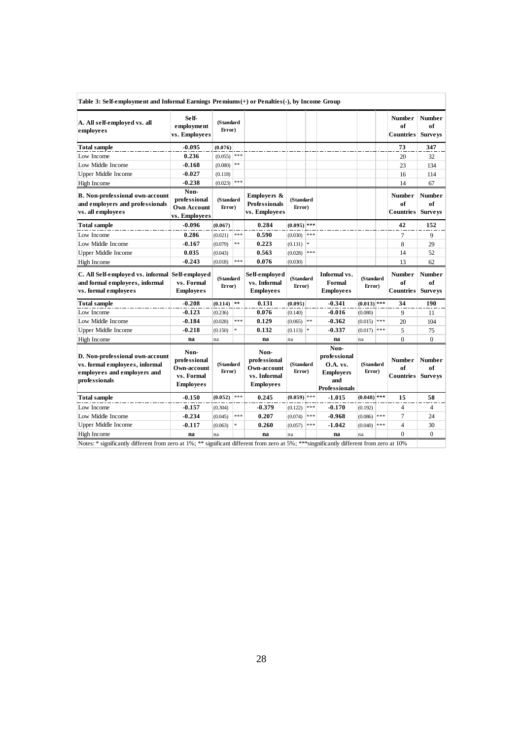| A. All self-employed vs. all<br>employees                                                                         | Self-<br>employment<br>vs. Employees                                  | (Standard<br>Error) |                                   |                                                                         |                     |                |                                                                                     |                     |         | <b>Number</b><br>of<br><b>Countries</b> Surveys | <b>Number</b><br>of                   |
|-------------------------------------------------------------------------------------------------------------------|-----------------------------------------------------------------------|---------------------|-----------------------------------|-------------------------------------------------------------------------|---------------------|----------------|-------------------------------------------------------------------------------------|---------------------|---------|-------------------------------------------------|---------------------------------------|
| <b>Total sample</b>                                                                                               | $-0.095$                                                              | (0.076)             |                                   |                                                                         |                     |                |                                                                                     |                     |         | 73                                              | 347                                   |
| Low Income                                                                                                        | 0.236                                                                 | (0.055)             | $* * *$                           |                                                                         |                     |                |                                                                                     |                     |         | 20                                              | 32                                    |
| Low Middle Income                                                                                                 | $-0.168$                                                              | (0.080)             | $\ast\ast$                        |                                                                         |                     |                |                                                                                     |                     |         | 23                                              | 134                                   |
| Upper Middle Income                                                                                               | $-0.027$                                                              | (0.118)             |                                   |                                                                         |                     |                |                                                                                     |                     |         | 16                                              | 114                                   |
| High Income                                                                                                       | $-0.238$                                                              | (0.023)             | $* * *$                           |                                                                         |                     |                |                                                                                     |                     |         | 14                                              | 67                                    |
| <b>B.</b> Non-professional own-account<br>and employers and professionals<br>vs. all employees                    | Non-<br>professional<br><b>Own Account</b><br>vs. Employees           | (Standard<br>Error) |                                   | <b>Employers &amp;</b><br><b>Professionals</b><br>vs. Employees         | (Standard<br>Error) |                |                                                                                     |                     |         | <b>Number</b><br>of<br>Countries                | <b>Number</b><br>of<br><b>Surveys</b> |
| <b>Total sample</b>                                                                                               | $-0.096$                                                              | (0.067)             |                                   | 0.284                                                                   | $(0.095)$ ***       |                |                                                                                     |                     |         | 42                                              | 152                                   |
| Low Income                                                                                                        | 0.286                                                                 | (0.021)             | ***                               | 0.590                                                                   | (0.030)             | ***            |                                                                                     |                     |         | 7                                               | 9                                     |
| Low Middle Income                                                                                                 | $-0.167$<br>$\ast$<br>(0.079)                                         |                     | 0.223                             | (0.131)                                                                 | $\frac{1}{2}$       |                |                                                                                     |                     | 8       | 29                                              |                                       |
| Upper Middle Income                                                                                               | 0.035<br>0.563<br>(0.043)                                             |                     | (0.028)                           | ***                                                                     |                     |                |                                                                                     | 14                  | 52      |                                                 |                                       |
| High Income                                                                                                       | $-0.243$                                                              | (0.018)             | ***                               | 0.076                                                                   | (0.030)             |                |                                                                                     |                     |         | 13                                              | 62                                    |
| C. All Self-employed vs. informal Self-employed<br>and formal employees, informal<br>vs. formal employees         | vs. Formal<br><b>Employees</b>                                        | (Standard<br>Error) |                                   | Self-emploved<br>vs. Informal<br><b>Employees</b>                       | (Standard<br>Error) |                | Informal vs.<br>Formal<br><b>Employees</b>                                          | (Standard<br>Error) |         | Number<br>of<br><b>Countries</b>                | <b>Number</b><br>of<br><b>Surveys</b> |
| <b>Total sample</b>                                                                                               | $-0.208$                                                              | $(0.114)$ **        |                                   | 0.131                                                                   | (0.095)             |                | $-0.341$                                                                            | $(0.013)$ ***       |         | 34                                              | 190                                   |
| Low Income                                                                                                        | $-0.123$                                                              | (0.236)             |                                   | 0.076                                                                   | (0.140)             |                | $-0.016$                                                                            | (0.080)             |         | 9                                               | 11                                    |
| Low Middle Income                                                                                                 | $-0.184$                                                              | (0.028)             | ***                               | 0.129                                                                   | (0.065)             | $**$           | $-0.362$                                                                            | $(0.015)$ ***       |         | 20                                              | 104                                   |
| <b>Upper Middle Income</b>                                                                                        | $-0.218$                                                              | (0.150)             | $\ast$                            | 0.132                                                                   | (0.113)             | ×              | $-0.337$                                                                            | (0.017)             | ***     | 5                                               | 75                                    |
| High Income                                                                                                       | na                                                                    | na                  |                                   | na                                                                      | na                  |                | na                                                                                  | na                  |         | $\Omega$                                        | $\Omega$                              |
| D. Non-professional own-account<br>vs. formal employees, informal<br>employees and employers and<br>professionals | Non-<br>professional<br>Own-account<br>vs. Formal<br><b>Employees</b> | (Standard<br>Error) |                                   | Non-<br>professional<br>Own-account<br>vs. Informal<br><b>Employees</b> | (Standard<br>Error) |                | Non-<br>professional<br>O.A. vs.<br><b>Employers</b><br>and<br><b>Professionals</b> | (Standard<br>Error) |         | <b>Number</b><br>of<br><b>Countries</b> Surveys | <b>Number</b><br>of                   |
|                                                                                                                   |                                                                       |                     |                                   |                                                                         |                     |                | $-1.015$                                                                            | $(0.048)$ ***       |         | 15                                              | 58                                    |
| <b>Total sample</b>                                                                                               | $-0.150$                                                              | (0.052)             | $* * *$                           | 0.245                                                                   | $(0.059)$ ***       |                |                                                                                     |                     |         |                                                 |                                       |
|                                                                                                                   | $-0.157$                                                              | (0.304)             |                                   | $-0.379$                                                                | (0.122)             | $* * *$        | $-0.170$                                                                            | (0.192)             |         | $\overline{4}$                                  | 4                                     |
| Low Income<br>Low Middle Income                                                                                   | $-0.234$                                                              | (0.045)             | ***                               | 0.207                                                                   | (0.074)             | $* * *$        | $-0.968$                                                                            | (0.086)             | $***$   | 7                                               | 24                                    |
| <b>Upper Middle Income</b>                                                                                        | $-0.117$                                                              | (0.063)             | $\frac{d\mathbf{r}}{d\mathbf{r}}$ | 0.260                                                                   | (0.057)             | $\ast\ast\ast$ | $-1.042$                                                                            | (0.040)             | $* * *$ | $\overline{4}$                                  | 30                                    |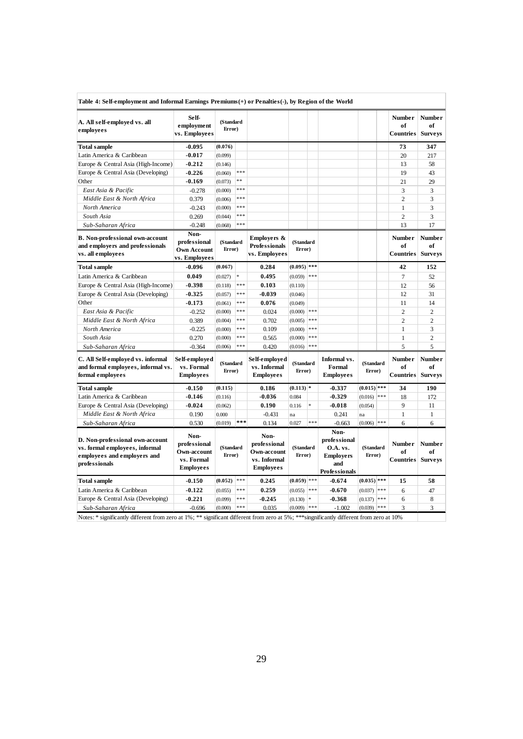| Table 4: Self-employment and Informal Earnings Premiums(+) or Penalties(-), by Region of the World                |                                                                       |                     |                |                                                                         |                          |         |                                                                                     |                          |         |                                                 |                     |
|-------------------------------------------------------------------------------------------------------------------|-----------------------------------------------------------------------|---------------------|----------------|-------------------------------------------------------------------------|--------------------------|---------|-------------------------------------------------------------------------------------|--------------------------|---------|-------------------------------------------------|---------------------|
| A. All self-employed vs. all<br>employees                                                                         | Self-<br>employment<br>vs. Emplovees                                  | (Standard<br>Error) |                |                                                                         |                          |         |                                                                                     |                          |         | <b>Number</b><br>of<br><b>Countries</b> Surveys | <b>Number</b><br>of |
| <b>Total sample</b>                                                                                               | $-0.095$                                                              | (0.076)             |                |                                                                         |                          |         |                                                                                     |                          |         | 73                                              | 347                 |
| Latin America & Caribbean                                                                                         | $-0.017$                                                              | (0.099)             |                |                                                                         |                          |         |                                                                                     |                          |         | 20                                              | 217                 |
| Europe & Central Asia (High-Income)                                                                               | $-0.212$                                                              | (0.146)             |                |                                                                         |                          |         |                                                                                     |                          |         | 13                                              | 58                  |
| Europe & Central Asia (Developing)                                                                                | $-0.226$                                                              | (0.060)             | $* * *$        |                                                                         |                          |         |                                                                                     |                          |         | 19                                              | 43                  |
| Other                                                                                                             | $-0.169$                                                              | (0.073)             | **             |                                                                         |                          |         |                                                                                     |                          |         | 21                                              | 29                  |
| East Asia & Pacific                                                                                               | $-0.278$                                                              | (0.000)             | ***            |                                                                         |                          |         |                                                                                     |                          |         | 3                                               | 3                   |
| Middle East & North Africa                                                                                        | 0.379                                                                 | (0.006)             | ***            |                                                                         |                          |         |                                                                                     |                          |         | $\overline{2}$                                  | 3                   |
| North America                                                                                                     | $-0.243$                                                              | (0.000)             | ***            |                                                                         |                          |         |                                                                                     |                          |         | $\mathbf{1}$                                    | 3                   |
| South Asia                                                                                                        | 0.269                                                                 | (0.044)             | $* * *$        |                                                                         |                          |         |                                                                                     |                          |         | $\overline{c}$                                  | 3                   |
| Sub-Saharan Africa                                                                                                | $-0.248$                                                              | (0.068)             | ***            |                                                                         |                          |         |                                                                                     |                          |         | 13                                              | 17                  |
| B. Non-professional own-account<br>and employers and professionals<br>vs. all employees                           | Non-<br>professional<br>Own Account<br>vs. Employees                  | (Standard<br>Error) |                | Employers &<br><b>Professionals</b><br>vs. Emplovees                    | (Standard<br>Error)      |         |                                                                                     |                          |         | <b>Number</b><br>of<br><b>Countries</b> Surveys | <b>Number</b><br>of |
| <b>Total sample</b>                                                                                               | $-0.096$                                                              | (0.067)             |                | 0.284                                                                   | $(0.095)$ <sup>***</sup> |         |                                                                                     |                          |         | 42                                              | 152                 |
| Latin America & Caribbean                                                                                         | 0.049                                                                 | (0.027)             | $\ast$         | 0.495                                                                   | (0.059)                  | $* * *$ |                                                                                     |                          |         | $\tau$                                          | 52                  |
| Europe & Central Asia (High-Income)                                                                               | $-0.398$                                                              | (0.118)             | ***            | 0.103                                                                   | (0.110)                  |         |                                                                                     |                          |         | 12                                              | 56                  |
| Europe & Central Asia (Developing)                                                                                | $-0.325$                                                              | (0.057)             | $***$          | -0.039                                                                  | (0.046)                  |         |                                                                                     |                          |         | 12                                              | 31                  |
| Other                                                                                                             | $-0.173$                                                              | (0.061)             | ***            | 0.076                                                                   | (0.049)                  |         |                                                                                     |                          |         | 11                                              | 14                  |
| East Asia & Pacific                                                                                               | $-0.252$                                                              | (0.000)             | $***$          | 0.024                                                                   | (0.000)                  | ***     |                                                                                     |                          |         | $\overline{c}$                                  | $\overline{2}$      |
| Middle East & North Africa                                                                                        | 0.389                                                                 | (0.004)             | ***            | 0.702                                                                   | (0.005)                  | ***     |                                                                                     |                          |         | $\overline{c}$                                  | $\overline{c}$      |
| North America                                                                                                     | $-0.225$                                                              | (0.000)             | $***$          | 0.109                                                                   | (0.000)                  | ***     |                                                                                     |                          |         | $\mathbf{1}$                                    | 3                   |
| South Asia                                                                                                        | 0.270                                                                 | (0.000)             | ***            | 0.565                                                                   | (0.000)                  | ***     |                                                                                     |                          |         | $\mathbf{1}$                                    | $\overline{c}$      |
| Sub-Saharan Africa                                                                                                | $-0.364$                                                              | (0.006)             | ***            | 0.420                                                                   | (0.016)                  | $***$   |                                                                                     |                          |         | 5                                               | 5                   |
| C. All Self-employed vs. informal<br>and formal employees, informal vs.<br>formal employees                       | Self-employed<br>vs. Formal<br><b>Employees</b>                       | (Standard<br>Error) |                | Self-employed<br>vs. Informal<br><b>Employees</b>                       | (Standard<br>Error)      |         | Informal vs.<br>Formal<br><b>Employees</b>                                          | (Standard<br>Error)      |         | <b>Number</b><br>of<br><b>Countries</b> Surveys | <b>Number</b><br>of |
| <b>Total sample</b>                                                                                               | $-0.150$                                                              | (0.115)             |                | 0.186                                                                   | $(0.113)$ *              |         | $-0.337$                                                                            | $(0.015)$ ***            |         | 34                                              | 190                 |
| Latin America & Caribbean                                                                                         | $-0.146$                                                              | (0.116)             |                | $-0.036$                                                                | 0.084                    |         | $-0.329$                                                                            | $(0.016)$ ***            |         | 18                                              | 172                 |
| Europe & Central Asia (Developing)                                                                                | $-0.024$                                                              | (0.062)             |                | 0.190                                                                   | 0.116                    | ×       | $-0.018$                                                                            | (0.054)                  |         | $\mathbf{Q}$                                    | 11                  |
| Middle East & North Africa                                                                                        | 0.190                                                                 | 0.000               |                | $-0.431$                                                                | na                       |         | 0.241                                                                               | na                       |         | $\mathbf{1}$                                    | $\mathbf{1}$        |
| Sub-Saharan Africa                                                                                                | 0.530                                                                 | (0.019)             | $\ast\ast\ast$ | 0.134                                                                   | 0.027                    | ***     | $-0.663$                                                                            | $(0.006)$ ***            |         | 6                                               | 6                   |
| D. Non-professional own-account<br>vs. formal employees, informal<br>employees and employers and<br>professionals | Non-<br>professional<br>Own-account<br>vs. Formal<br><b>Employees</b> | (Standard<br>Error) |                | Non-<br>professional<br>Own-account<br>vs. Informal<br><b>Employees</b> | (Standard<br>Error)      |         | Non-<br>professional<br>O.A. vs.<br><b>Employers</b><br>and<br><b>Professionals</b> | (Standard<br>Error)      |         | <b>Number</b><br>of<br><b>Countries</b> Surveys | <b>Number</b><br>of |
| <b>Total sample</b>                                                                                               | $-0.150$                                                              | (0.052)             | $***$          | 0.245                                                                   | $(0.059)$ <sup>***</sup> |         | $-0.674$                                                                            | $(0.035)$ ***            |         | 15                                              | 58                  |
| Latin America & Caribbean                                                                                         | $-0.122$                                                              | (0.055)             | ***            | 0.259                                                                   | (0.055)                  | ***     | $-0.670$                                                                            | $(0.037)$ ***            |         | 6                                               | 47                  |
| Europe & Central Asia (Developing)                                                                                | $-0.221$                                                              | (0.099)             | $* * *$        | $-0.245$                                                                | (0.130)                  | *       | $-0.368$                                                                            | (0.137)                  | $* * *$ | 6                                               | 8                   |
| Sub-Saharan Africa                                                                                                | $-0.696$                                                              | (0.000)             | $***$          | 0.035                                                                   | (0.009)                  | $***$   | $-1.002$                                                                            | $(0.039)$ <sup>***</sup> |         | 3                                               | 3                   |

Notes: \* significantly different from zero at 1%; \*\* significant different from zero at 5%; \*\*\*singnificantly different from zero at 10%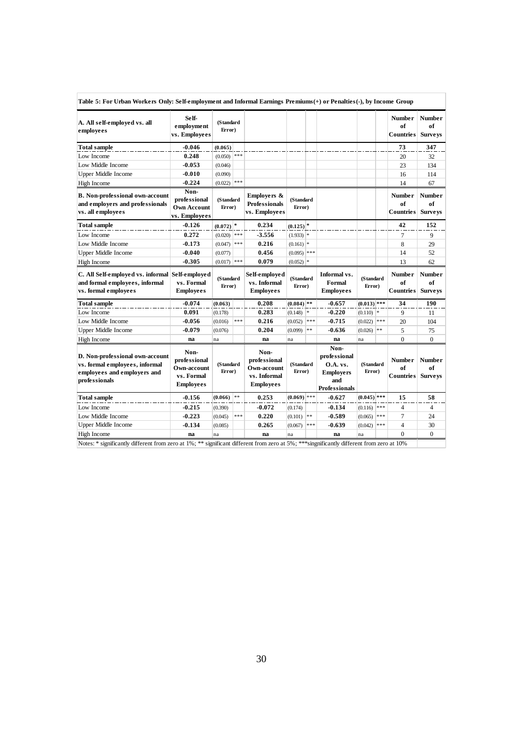| A. All self-employed vs. all<br>emplovees                                                                         | Self-<br>employment<br>vs. Employees                                  | (Standard<br>Error)      |            |                                                                         |                         |                                |                                                                              |                     |                  | <b>Number</b><br>of<br><b>Countries</b> Surveys | <b>Number</b><br>of                   |
|-------------------------------------------------------------------------------------------------------------------|-----------------------------------------------------------------------|--------------------------|------------|-------------------------------------------------------------------------|-------------------------|--------------------------------|------------------------------------------------------------------------------|---------------------|------------------|-------------------------------------------------|---------------------------------------|
| <b>Total sample</b>                                                                                               | $-0.046$                                                              | (0.065)                  |            |                                                                         |                         |                                |                                                                              |                     |                  | 73                                              | 347                                   |
| Low Income                                                                                                        | 0.248                                                                 | (0.050)                  | $* * *$    |                                                                         |                         |                                |                                                                              |                     |                  | 20                                              | 32                                    |
| Low Middle Income                                                                                                 | $-0.053$                                                              | (0.046)                  |            |                                                                         |                         |                                |                                                                              |                     |                  | 23                                              | 134                                   |
| <b>Upper Middle Income</b>                                                                                        | $-0.010$                                                              | (0.090)                  |            |                                                                         |                         |                                |                                                                              |                     |                  | 16                                              | 114                                   |
| High Income                                                                                                       | $-0.224$                                                              | $(0.022)$ <sup>***</sup> |            |                                                                         |                         |                                |                                                                              |                     |                  | 14                                              | 67                                    |
| <b>B. Non-professional own-account</b><br>and employers and professionals<br>vs. all employees                    | Non-<br>professional<br><b>Own Account</b><br>vs. Employees           | (Standard<br>Error)      |            | <b>Employers &amp;</b><br><b>Professionals</b><br>vs. Employees         | (Standard<br>Error)     |                                |                                                                              |                     |                  | <b>Number</b><br>of<br><b>Countries</b>         | <b>Number</b><br>of<br><b>Surveys</b> |
| <b>Total sample</b>                                                                                               | $-0.126$                                                              | $(0.072)^{*}$            |            | 0.234                                                                   | $(0.125)^{*}$           |                                |                                                                              |                     |                  | 42                                              | 152                                   |
| Low Income                                                                                                        | 0.272                                                                 | $(0.020)$ ***            |            | $-3.556$                                                                | $(1.933)$ *             |                                |                                                                              |                     |                  | $\tau$                                          | 9                                     |
| Low Middle Income                                                                                                 | $-0.173$                                                              | $(0.047)$ ***            |            | 0.216                                                                   | $(0.161)$ *             |                                |                                                                              |                     |                  | 8                                               | 29                                    |
| <b>Upper Middle Income</b>                                                                                        | $-0.040$                                                              | (0.077)                  |            | 0.456                                                                   | $(0.095)$ ***           |                                |                                                                              |                     |                  | 14                                              | 52                                    |
| High Income                                                                                                       | $-0.305$                                                              | $(0.017)$ ***            |            | 0.079                                                                   | $(0.052)$ *             |                                |                                                                              |                     |                  | 13                                              | 62                                    |
| C. All Self-employed vs. informal Self-employed<br>and formal employees, informal<br>vs. formal employees         | vs. Formal<br><b>Employees</b>                                        | (Standard<br>Error)      |            | Self-employed<br>vs. Informal<br><b>Employees</b>                       | (Standard<br>Error)     |                                | Informal vs.<br>Formal<br><b>Employees</b>                                   | (Standard<br>Error) |                  | Number<br>of<br><b>Countries</b> Surveys        | <b>Number</b><br>of                   |
| <b>Total sample</b>                                                                                               | $-0.074$                                                              | (0.063)                  |            | 0.208                                                                   | $(0.084)$ <sup>**</sup> |                                | $-0.657$                                                                     | $(0.013)$ ***       |                  | 34                                              | 190                                   |
| Low Income                                                                                                        | 0.091                                                                 | (0.178)                  |            | 0.283                                                                   | (0.148)                 | ×                              | $-0.220$                                                                     | $(0.110)$ *         |                  | 9                                               | 11                                    |
| Low Middle Income                                                                                                 | $-0.056$                                                              | (0.016)                  | ***        | 0.216                                                                   | (0.052)                 | ***                            | $-0.715$                                                                     | (0.022)             | $***$            | 20                                              | 104                                   |
| <b>Upper Middle Income</b>                                                                                        | $-0.079$                                                              | (0.076)                  |            | 0.204                                                                   | (0.099)                 | $\ast\ast$                     | $-0.636$                                                                     | (0.026)             | $\ast\ast$       | 5                                               | 75                                    |
| High Income                                                                                                       | na                                                                    | na                       |            | na                                                                      | na                      |                                | na                                                                           | na                  |                  | $\mathbf{0}$                                    | $\overline{0}$                        |
| D. Non-professional own-account<br>vs. formal employees, informal<br>employees and employers and<br>professionals | Non-<br>professional<br>Own-account<br>vs. Formal<br><b>Employees</b> | (Standard<br>Error)      |            | Non-<br>professional<br>Own-account<br>vs. Informal<br><b>Employees</b> | (Standard<br>Error)     |                                | Non-<br>professional<br>O.A. vs.<br><b>Employers</b><br>and<br>Professionals | (Standard<br>Error) |                  | Number<br>of<br><b>Countries</b> Surveys        | <b>Number</b><br>of                   |
| <b>Total sample</b>                                                                                               | $-0.156$                                                              | (0.066)                  | $\ast\ast$ | 0.253                                                                   | $(0.069)$ ***           |                                | $-0.627$                                                                     | $(0.045)$ ***       |                  | 15                                              | 58                                    |
| Low Income                                                                                                        | $-0.215$                                                              | (0.390)                  |            | $-0.072$                                                                | (0.174)                 |                                | $-0.134$                                                                     | $(0.116)$ ***       |                  | $\overline{4}$                                  | 4                                     |
|                                                                                                                   |                                                                       |                          | $* * *$    | 0.220                                                                   | (0.101)                 | $\ast\ast$                     | $-0.589$                                                                     | (0.065)             | $\divideontimes$ | 7                                               | 24                                    |
|                                                                                                                   | $-0.223$                                                              | (0.045)                  |            |                                                                         |                         |                                |                                                                              |                     |                  |                                                 |                                       |
| Low Middle Income<br><b>Upper Middle Income</b>                                                                   | $-0.134$                                                              | (0.085)                  |            | 0.265                                                                   | (0.067)                 | $\frac{1}{2}$ is $\frac{1}{2}$ | $-0.639$                                                                     | (0.042)             | $\divideontimes$ | $\overline{4}$                                  | 30                                    |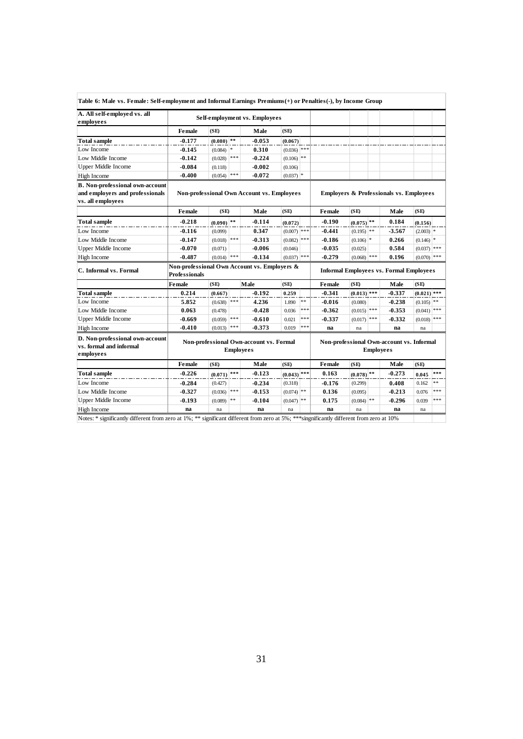| Table 6: Male vs. Female: Self-employment and Informal Earnings Premiums(+) or Penalties(-), by Income Group |                                                                      |                          |                  |                                                   |                          |            |          |                          |                  |                                                    |                          |     |
|--------------------------------------------------------------------------------------------------------------|----------------------------------------------------------------------|--------------------------|------------------|---------------------------------------------------|--------------------------|------------|----------|--------------------------|------------------|----------------------------------------------------|--------------------------|-----|
| A. All self-employed vs. all<br>employees                                                                    |                                                                      |                          |                  | Self-employment vs. Employees                     |                          |            |          |                          |                  |                                                    |                          |     |
|                                                                                                              | Female                                                               | (SE)                     |                  | Male                                              | (SE)                     |            |          |                          |                  |                                                    |                          |     |
| <b>Total sample</b>                                                                                          | $-0.177$                                                             | $(0.080)$ <sup>**</sup>  |                  | $-0.053$                                          | (0.067)                  |            |          |                          |                  |                                                    |                          |     |
| Low Income                                                                                                   | $-0.145$                                                             | $(0.084)$ *              |                  | 0.310                                             | $(0.036)$ ***            |            |          |                          |                  |                                                    |                          |     |
| Low Middle Income                                                                                            | $-0.142$                                                             | $(0.028)$ <sup>***</sup> |                  | $-0.224$                                          | $(0.106)$ **             |            |          |                          |                  |                                                    |                          |     |
| <b>Upper Middle Income</b>                                                                                   | $-0.084$                                                             | (0.118)                  |                  | $-0.002$                                          | (0.106)                  |            |          |                          |                  |                                                    |                          |     |
| High Income                                                                                                  | $-0.400$                                                             | $(0.054)$ <sup>***</sup> |                  | $-0.072$                                          | $(0.037)$ *              |            |          |                          |                  |                                                    |                          |     |
| <b>B.</b> Non-professional own-account<br>and employers and professionals<br>vs. all employees               |                                                                      |                          |                  | <b>Non-professional Own Account vs. Employees</b> |                          |            |          |                          |                  | <b>Employers &amp; Professionals vs. Employees</b> |                          |     |
|                                                                                                              | Female                                                               | (SE)                     |                  | Male                                              | (SE)                     |            | Female   | (SE)                     |                  | Male                                               | (SE)                     |     |
| <b>Total sample</b>                                                                                          | $-0.218$                                                             | $(0.090)$ <sup>**</sup>  |                  | $-0.114$                                          | (0.072)                  |            | $-0.190$ | $(0.075)$ <sup>**</sup>  |                  | 0.184                                              | (0.156)                  |     |
| Low Income                                                                                                   | $-0.116$                                                             | (0.099)                  |                  | 0.347                                             | $(0.007)$ ***            |            | $-0.441$ | $(0.195)$ <sup>**</sup>  |                  | $-3.567$                                           | $(2.003)$ *              |     |
| Low Middle Income                                                                                            | $-0.147$                                                             | $(0.018)$ <sup>***</sup> |                  | $-0.313$                                          | $(0.082)$ <sup>***</sup> |            | $-0.186$ | $(0.106)$ <sup>*</sup>   |                  | 0.266                                              | $(0.146)$ <sup>*</sup>   |     |
| <b>Upper Middle Income</b>                                                                                   | $-0.070$                                                             | (0.071)                  |                  | $-0.006$                                          | (0.046)                  |            | $-0.035$ | (0.025)                  |                  | 0.584                                              | $(0.037)$ ***            |     |
| High Income                                                                                                  | $-0.487$                                                             | $(0.014)$ <sup>***</sup> |                  | $-0.134$                                          | $(0.037)$ ***            |            | $-0.279$ | $(0.068)$ <sup>***</sup> |                  | 0.196                                              | $(0.070)$ <sup>***</sup> |     |
| C. Informal vs. Formal                                                                                       | Non-professional Own Account vs. Employers &<br><b>Professionals</b> |                          |                  |                                                   |                          |            |          |                          |                  | <b>Informal Employees vs. Formal Employees</b>     |                          |     |
|                                                                                                              | Female                                                               | (SE)                     |                  | Male                                              | (SE)                     |            | Female   | (SE)                     |                  | Male                                               | (SE)                     |     |
| <b>Total sample</b>                                                                                          | 0.214                                                                | (0.667)                  |                  | $-0.192$                                          | 0.259                    |            | $-0.341$ | $(0.013)$ ***            |                  | -0.337                                             | $(0.021)$ ***            |     |
| Low Income                                                                                                   | 5.852                                                                | (0.638)                  | ***              | 4.236                                             | 1.890                    | $\ast\ast$ | $-0.016$ | (0.080)                  |                  | $-0.238$                                           | $(0.105)$ <sup>**</sup>  |     |
| Low Middle Income                                                                                            | 0.063                                                                | (0.478)                  |                  | $-0.428$                                          | 0.036                    | ***        | $-0.362$ | $(0.015)$ <sup>***</sup> |                  | $-0.353$                                           | $(0.041)$ <sup>***</sup> |     |
| <b>Upper Middle Income</b>                                                                                   | $-0.669$                                                             | (0.059)                  | $***$            | $-0.610$                                          | 0.021                    | ***        | $-0.337$ | $(0.017)$ ***            |                  | $-0.332$                                           | $(0.018)$ <sup>***</sup> |     |
| High Income                                                                                                  | $-0.410$                                                             | (0.013)                  | ***              | $-0.373$                                          | 0.019                    | ***        | na       | na                       |                  | na                                                 | na                       |     |
| D. Non-professional own-account<br>vs. formal and informal<br>employees                                      |                                                                      |                          | <b>Employees</b> | Non-professional Own-account vs. Formal           |                          |            |          |                          | <b>Employees</b> | Non-professional Own-account vs. Informal          |                          |     |
|                                                                                                              | Female<br>(SE)<br>Male                                               |                          |                  |                                                   |                          |            | Female   | (SE)                     |                  | Male                                               | (SE)                     |     |
| <b>Total sample</b>                                                                                          | $-0.226$                                                             | (0.071)                  | ***              | $-0.123$                                          | (0.043)                  | ***        | 0.163    | (0.078)                  | **               | $-0.273$                                           | 0.045                    | *** |
| Low Income                                                                                                   | $-0.284$                                                             | (0.427)                  |                  | $-0.234$                                          | (0.318)                  |            | $-0.176$ | (0.299)                  |                  | 0.408                                              | 0.162                    | **  |
| Low Middle Income                                                                                            | $-0.327$                                                             | (0.036)                  | ***              | $-0.153$                                          | $(0.074)$ <sup>**</sup>  |            | 0.136    | (0.095)                  |                  | $-0.213$                                           | 0.076                    | *** |
| <b>Upper Middle Income</b>                                                                                   | $-0.193$                                                             | (0.089)                  | $\ast\ast$       | $-0.104$                                          | $(0.047)$ **             |            | 0.175    | $(0.084)$ **             |                  | $-0.296$                                           | 0.039                    | *** |
| High Income                                                                                                  | na                                                                   | na                       |                  | na                                                | na                       |            | na       | na                       |                  | na                                                 | na                       |     |

Notes: \* significantly different from zero at 1%; \*\* significant different from zero at 5%; \*\*\* singnificantly different from zero at 10%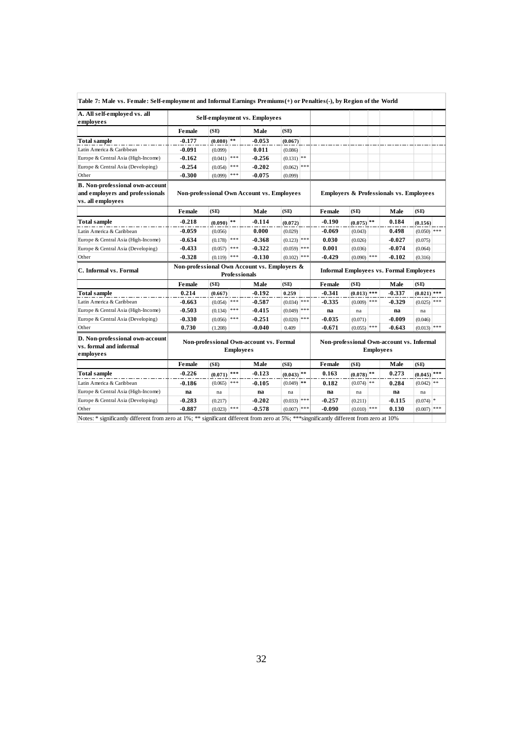| Table 7: Male vs. Female: Self-employment and Informal Earnings Premiums(+) or Penalties(-), by Region of the World<br>A. All self-emploved vs. all |                                         |                         |                      | Self-employment vs. Employees                     |                          |                  |                                           |                          |    |                                                    |                          |     |
|-----------------------------------------------------------------------------------------------------------------------------------------------------|-----------------------------------------|-------------------------|----------------------|---------------------------------------------------|--------------------------|------------------|-------------------------------------------|--------------------------|----|----------------------------------------------------|--------------------------|-----|
| employees                                                                                                                                           | Female                                  | (SE)                    |                      | Male                                              | (SE)                     |                  |                                           |                          |    |                                                    |                          |     |
| <b>Total sample</b>                                                                                                                                 | $-0.177$                                | $(0.080)$ **            |                      | $-0.053$                                          | (0.067)                  |                  |                                           |                          |    |                                                    |                          |     |
| Latin America & Caribbean                                                                                                                           | $-0.091$                                | (0.099)                 |                      | 0.011                                             | (0.086)                  |                  |                                           |                          |    |                                                    |                          |     |
| Europe & Central Asia (High-Income)                                                                                                                 | $-0.162$                                | (0.041)                 | ***                  | $-0.256$                                          | $(0.131)$ **             |                  |                                           |                          |    |                                                    |                          |     |
| Europe & Central Asia (Developing)                                                                                                                  | $-0.254$                                | (0.054)                 | ***                  | $-0.202$                                          | $(0.062)$ ***            |                  |                                           |                          |    |                                                    |                          |     |
| Other                                                                                                                                               | $-0.300$                                | (0.099)                 | ***                  | $-0.075$                                          | (0.099)                  |                  |                                           |                          |    |                                                    |                          |     |
| <b>B.</b> Non-professional own-account<br>and employers and professionals<br>vs. all employees                                                      |                                         |                         |                      | <b>Non-professional Own Account vs. Employees</b> |                          |                  |                                           |                          |    | <b>Employers &amp; Professionals vs. Employees</b> |                          |     |
|                                                                                                                                                     | <b>Female</b>                           | (SE)                    |                      | Male                                              | (SE)                     |                  | <b>Female</b>                             | (SE)                     |    | Male                                               | (SE)                     |     |
| <b>Total sample</b>                                                                                                                                 | $-0.218$                                | $(0.090)$ <sup>**</sup> |                      | $-0.114$                                          | (0.072)                  |                  | $-0.190$                                  | $(0.075)$ <sup>**</sup>  |    | 0.184                                              | (0.156)                  |     |
| Latin America & Caribbean                                                                                                                           | $-0.059$                                | (0.056)                 |                      | 0.000                                             | (0.029)                  |                  | $-0.069$                                  | (0.043)                  |    | 0.498                                              | $(0.050)$ <sup>***</sup> |     |
| Europe & Central Asia (High-Income)                                                                                                                 | $-0.634$                                | (0.178)                 | $* * *$              | $-0.368$                                          | $(0.123)$ <sup>***</sup> |                  | 0.030                                     | (0.026)                  |    | $-0.027$                                           | (0.075)                  |     |
| Europe & Central Asia (Developing)                                                                                                                  | $-0.433$                                | (0.057)                 | ***                  | $-0.322$                                          | $(0.059)$ ***            |                  | 0.001                                     | (0.036)                  |    | $-0.074$                                           | (0.064)                  |     |
| Other                                                                                                                                               | $-0.328$                                | $(0.119)$ ***           |                      | $-0.130$                                          | $(0.102)$ ***            |                  | $-0.429$                                  | $(0.090)$ ***            |    | $-0.102$                                           | (0.316)                  |     |
| C. Informal vs. Formal                                                                                                                              |                                         |                         | <b>Professionals</b> | Non-professional Own Account vs. Employers &      |                          |                  |                                           |                          |    | <b>Informal Employees vs. Formal Employees</b>     |                          |     |
|                                                                                                                                                     | Female                                  | (SE)                    |                      | Male                                              | (SE)                     |                  | Female                                    | (SE)                     |    | Male                                               | (SE)                     |     |
| <b>Total sample</b>                                                                                                                                 | 0.214                                   | (0.667)                 |                      | $-0.192$                                          | 0.259                    |                  | $-0.341$                                  | $(0.013)$ ***            |    | -0.337                                             | $(0.021)$ ***            |     |
| Latin America & Caribbean                                                                                                                           | -0.663                                  | (0.054)                 | ***                  | $-0.587$                                          | $(0.034)$ ***            |                  | $-0.335$                                  | $(0.009)$ ***            |    | -0.329                                             | $(0.025)$ ***            |     |
| Europe & Central Asia (High-Income)                                                                                                                 | $-0.503$                                | (0.134)                 | ***                  | $-0.415$                                          | $(0.049)$ ***            |                  | na                                        | na                       |    | na                                                 | na                       |     |
| Europe & Central Asia (Developing)                                                                                                                  | $-0.330$                                | (0.056)                 | ***                  | $-0.251$                                          | (0.020)                  | ***              | $-0.035$                                  | (0.071)                  |    | $-0.009$                                           | (0.046)                  |     |
| Other                                                                                                                                               | 0.730                                   | (1.208)                 |                      | $-0.040$                                          | 0.409                    |                  | $-0.671$                                  | $(0.055)$ ***            |    | $-0.643$                                           | $(0.013)$ ***            |     |
| D. Non-professional own-account<br>vs. formal and informal<br>employees                                                                             | Non-professional Own-account vs. Formal |                         |                      |                                                   |                          | <b>Employees</b> | Non-professional Own-account vs. Informal |                          |    |                                                    |                          |     |
|                                                                                                                                                     | <b>Female</b><br>(SE)<br>Male<br>(SE)   |                         |                      |                                                   |                          |                  | <b>Female</b>                             | (SE)                     |    | Male                                               | (SE)                     |     |
| <b>Total sample</b>                                                                                                                                 | $-0.226$                                | (0.071)                 | ***                  | -0.123                                            | (0.043)                  | **               | 0.163                                     | (0.078)                  | ** | 0.273                                              | (0.045)                  | *** |
| Latin America & Caribbean                                                                                                                           | $-0.186$                                | (0.065)                 | ***                  | $-0.105$                                          | $(0.049)$ **             |                  | 0.182                                     | $(0.074)$ <sup>**</sup>  |    | 0.284                                              | $(0.042)$ <sup>**</sup>  |     |
| Europe & Central Asia (High-Income)                                                                                                                 | na                                      | na                      |                      | na                                                | na                       |                  | na                                        | na                       |    | na                                                 | na                       |     |
| $-0.283$<br>$-0.202$<br>Europe & Central Asia (Developing)<br>(0.217)                                                                               |                                         | (0.033)                 | $***$                | $-0.257$                                          | (0.211)                  |                  | $-0.115$                                  | $(0.074)$ *              |    |                                                    |                          |     |
| Other                                                                                                                                               | $-0.887$                                | $(0.023)$ ***           |                      | $-0.578$                                          | $(0.007)$ ***            |                  | $-0.090$                                  | $(0.010)$ <sup>***</sup> |    | 0.130                                              | $(0.007)$ ***            |     |

r

Notes: \* significantly different from zero at 1%; \*\* significant different from zero at 5%; \*\*\*singnificantly different from zero at 10%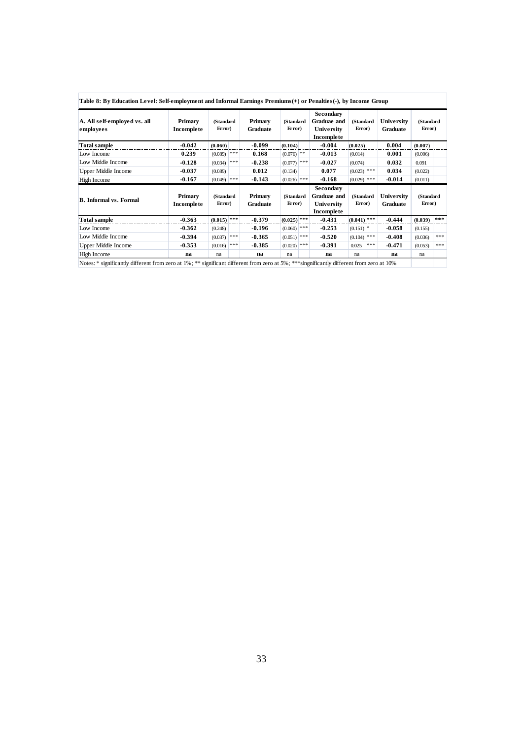| A. All self-employed vs. all<br>employees | Primary<br>Incomplete | (Standard<br>Error)      |     | Primary<br><b>Graduate</b> | (Standard<br>Error)      | <b>Secondary</b><br><b>Graduae</b> and<br>University<br>Incomplete | (Standard<br>Error)      |     | University<br><b>Graduate</b>        | (Standard<br>Error) |     |
|-------------------------------------------|-----------------------|--------------------------|-----|----------------------------|--------------------------|--------------------------------------------------------------------|--------------------------|-----|--------------------------------------|---------------------|-----|
| Total sample                              | $-0.042$              | (0.060)                  |     | $-0.099$                   | (0.104)                  | $-0.004$                                                           | (0.025)                  |     | 0.004                                | (0.007)             |     |
| Low Income                                | 0.239                 | (0.089)                  | *** | 0.168                      | $(0.076)$ <sup>**</sup>  | $-0.013$                                                           | (0.014)                  |     | 0.001                                | (0.006)             |     |
| Low Middle Income                         | $-0.128$              | (0.034)                  | *** | $-0.238$                   | $(0.077)$ <sup>***</sup> | $-0.027$                                                           | (0.074)                  |     | 0.032                                | 0.091               |     |
| Upper Middle Income                       | $-0.037$              | (0.089)                  |     | 0.012                      | (0.134)                  | 0.077                                                              | $(0.023)$ ***            |     | 0.034                                | (0.022)             |     |
| High Income                               | $-0.167$              | (0.049)                  | *** | $-0.143$                   | $(0.026)$ <sup>***</sup> | $-0.168$                                                           | $(0.029)$ <sup>***</sup> |     | $-0.014$                             | (0.011)             |     |
| <b>B.</b> Informal vs. Formal             | Primary<br>Incomplete | (Standard<br>Error)      |     | Primary<br>Graduate        | (Standard<br>Error)      | <b>Secondary</b><br>Graduae and<br>University<br>Incomplete        | (Standard<br>Error)      |     | <b>University</b><br><b>Graduate</b> | (Standard<br>Error) |     |
| Total sample                              | $-0.363$              | $(0.015)$ <sup>***</sup> |     | $-0.379$                   | $(0.025)$ ***            | $-0.431$                                                           | $(0.041)^{***}$          |     | $-0.444$                             | (0.039)             | *** |
| Low Income                                | $-0.362$              | (0.248)                  |     | $-0.196$                   | $(0.060)$ <sup>***</sup> | $-0.253$                                                           | $(0.151)$ *              |     | $-0.058$                             | (0.155)             |     |
| Low Middle Income                         | $-0.394$              | (0.037)                  | *** | $-0.365$                   | $(0.051)$ <sup>***</sup> | $-0.520$                                                           | $(0.104)$ <sup>***</sup> |     | $-0.408$                             | (0.036)             | *** |
| Upper Middle Income                       | $-0.353$              | (0.016)                  | *** | $-0.385$                   | $(0.020)$ <sup>***</sup> | $-0.391$                                                           | 0.025                    | *** | $-0.471$                             | (0.053)             | *** |
| High Income                               | na                    | na                       |     | na                         | na                       | na                                                                 | na                       |     | na                                   | na                  |     |

Notes: \* significantly different from zero at 1%; \*\* significant different from zero at 5%; \*\*\* singnificantly different from zero at 10%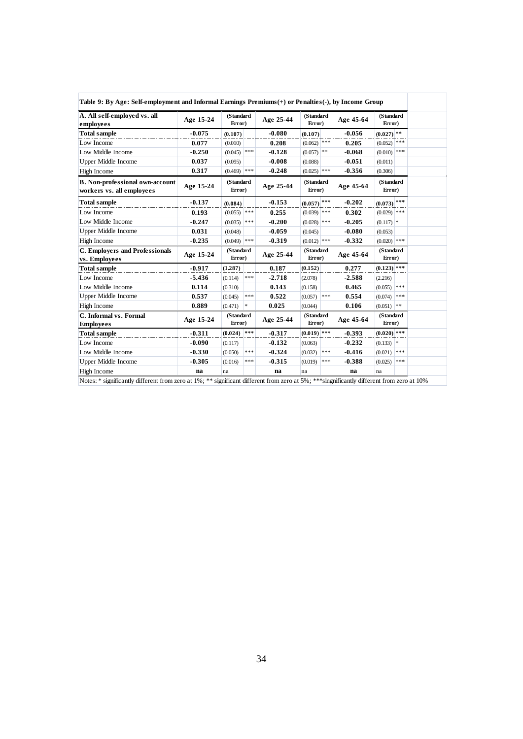| A. All self-employed vs. all<br>employees                           | Age 15-24 | (Standard<br>Error)      |     | Age 25-44 | (Standard<br>Error)      |     | Age 45-64 | (Standard<br>Error)      |  |
|---------------------------------------------------------------------|-----------|--------------------------|-----|-----------|--------------------------|-----|-----------|--------------------------|--|
| <b>Total sample</b>                                                 | $-0.075$  | (0.107)                  |     | $-0.080$  | (0.107)                  |     | $-0.056$  | $(0.027)$ **             |  |
| Low Income                                                          | 0.077     | (0.010)                  |     | 0.208     | $(0.062)$ <sup>***</sup> |     | 0.205     | $(0.052)$ <sup>***</sup> |  |
| Low Middle Income                                                   | $-0.250$  | $(0.045)$ <sup>***</sup> |     | $-0.128$  | $(0.057)$ **             |     | $-0.068$  | $(0.010)$ ***            |  |
| <b>Upper Middle Income</b>                                          | 0.037     | (0.095)                  |     | $-0.008$  | (0.088)                  |     | $-0.051$  | (0.011)                  |  |
| High Income                                                         | 0.317     | $(0.469)$ ***            |     | $-0.248$  | $(0.025)$ ***            |     | $-0.356$  | (0.306)                  |  |
| <b>B. Non-professional own-account</b><br>workers vs. all employees | Age 15-24 | (Standard<br>Error)      |     | Age 25-44 | (Standard<br>Error)      |     | Age 45-64 | (Standard<br>Error)      |  |
| Total sample                                                        | $-0.137$  | (0.084)                  |     | $-0.153$  | $(0.057)$ <sup>***</sup> |     | $-0.202$  | $(0.073)$ <sup>***</sup> |  |
| Low Income                                                          | 0.193     | $(0.055)$ ***            |     | 0.255     | $(0.039)$ ***            |     | 0.302     | $(0.029)$ ***            |  |
| Low Middle Income                                                   | $-0.247$  | $(0.035)$ ***            |     | $-0.200$  | $(0.028)$ ***            |     | $-0.205$  | $(0.117)$ *              |  |
| <b>Upper Middle Income</b>                                          | 0.031     | (0.048)                  |     | $-0.059$  | (0.045)                  |     | $-0.080$  | (0.053)                  |  |
| High Income                                                         | $-0.235$  | $(0.049)$ ***            |     | $-0.319$  | $(0.012)$ ***            |     | $-0.332$  | $(0.020)$ ***            |  |
| <b>C. Employers and Professionals</b><br>vs. Employees              | Age 15-24 | (Standard<br>Error)      |     | Age 25-44 | (Standard<br>Error)      |     | Age 45-64 | (Standard<br>Error)      |  |
| <b>Total sample</b>                                                 | $-0.917$  | (1.287)                  |     | 0.187     | (0.152)                  |     | 0.277     | $(0.123)$ ***            |  |
| Low Income                                                          | $-5.436$  | (0.114)                  | *** | $-2.718$  | (2.078)                  |     | $-2.588$  | (2.216)                  |  |
| Low Middle Income                                                   | 0.114     | (0.310)                  |     | 0.143     | (0.158)                  |     | 0.465     | $(0.055)$ ***            |  |
| <b>Upper Middle Income</b>                                          | 0.537     | (0.045)                  | *** | 0.522     | $(0.057)$ ***            |     | 0.554     | $(0.074)$ ***            |  |
| High Income                                                         | 0.889     | (0.471)                  | *   | 0.025     | (0.044)                  |     | 0.106     | $(0.051)$ **             |  |
| C. Informal vs. Formal<br><b>Employees</b>                          | Age 15-24 | (Standard<br>Error)      |     | Age 25-44 | (Standard<br>Error)      |     | Age 45-64 | (Standard<br>Error)      |  |
| <b>Total sample</b>                                                 | $-0.311$  | $(0.024)$ ***            |     | $-0.317$  | $(0.019)$ ***            |     | $-0.393$  | $(0.020)$ ***            |  |
| Low Income                                                          | $-0.090$  | (0.117)                  |     | $-0.132$  | (0.063)                  |     | $-0.232$  | $(0.133)$ *              |  |
| Low Middle Income                                                   | $-0.330$  | (0.050)                  | *** | $-0.324$  | (0.032)                  | *** | $-0.416$  | $(0.021)$ ***            |  |
| <b>Upper Middle Income</b>                                          | $-0.305$  | (0.016)                  | *** | $-0.315$  | (0.019)                  | *** | $-0.388$  | $(0.025)$ ***            |  |
| High Income                                                         | na        | na                       |     | na        | na                       |     | na        | na                       |  |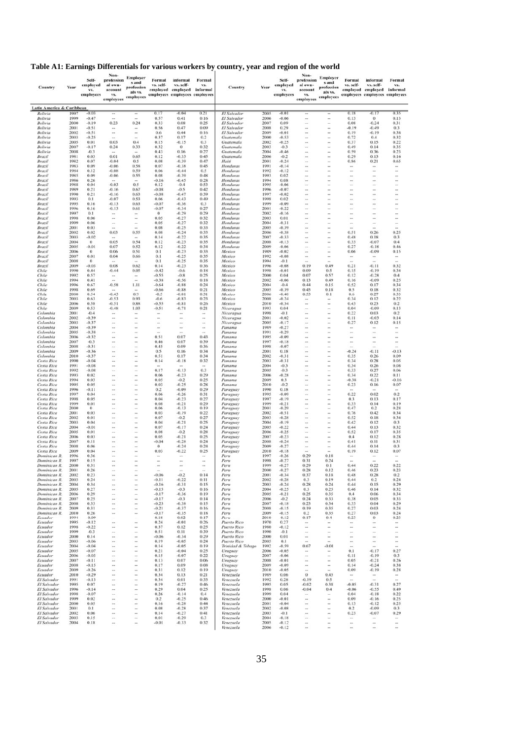### **Table A1: Earnings Differentials for various workers by country, year and region of the world**

| <b>Country</b>                    | Year         | Self-<br>employed<br>VS.<br>employees | Non-<br>profession<br>al own-<br>account<br>VS.<br>employees | Employer<br>s and<br>profession<br>als vs.<br>employees | Formal<br>vs. self- | informal<br>vs. self-<br>employed employed<br>employees employees employees | Formal<br>VS.<br>informal | Country                      | Year         | Self-<br>employed<br>vs.<br>employees | Non-<br>profession<br>al own-<br>account<br>٧s.<br>employees | <b>Employer</b><br>s and<br>profession<br>als vs.<br>employees | Formal<br>vs. self-<br>employed                  | informal<br>vs. self-<br>employed<br>employees employees employees | Formal<br>vs.<br>informal                  |
|-----------------------------------|--------------|---------------------------------------|--------------------------------------------------------------|---------------------------------------------------------|---------------------|-----------------------------------------------------------------------------|---------------------------|------------------------------|--------------|---------------------------------------|--------------------------------------------------------------|----------------------------------------------------------------|--------------------------------------------------|--------------------------------------------------------------------|--------------------------------------------|
| Latin America & Caribbean         |              |                                       |                                                              |                                                         |                     |                                                                             |                           |                              |              |                                       |                                                              |                                                                |                                                  |                                                                    |                                            |
| Bolivia<br>Bolivia                | 1997<br>1999 | $-0.03$<br>$-0.47$                    |                                                              | ÷                                                       | 0.17<br>0.57        | $-0.04$<br>0.41                                                             | 0.21<br>0.16              | El Salvador<br>El Salvador   | 2005<br>2006 | $-0.01$<br>$-0.06$                    | $\sim$                                                       | $\sim$                                                         | 0.18<br>0.13                                     | $-0.17$<br>$\bf{o}$                                                | 0.35<br>0.13                               |
| Bolivia                           | 2000         | $-0.19$                               | 0.23                                                         | 0.24                                                    | 0.33                | 0.08                                                                        | 0.25                      | El Salvador                  | 2007         | 0.09                                  | -                                                            | $\sim$                                                         | 0.08                                             | $-0.24$                                                            | 0.31                                       |
| Bolivia<br>Bolivia                | 2001<br>2002 | $-0.51$<br>$-0.51$                    | <br>÷                                                        | $\sim$<br>÷                                             | 0.56<br>0.6         | 0.47<br>0.44                                                                | 0.09<br>0.16              | El Salvador<br>El Salvador   | 2008<br>2009 | 0.29<br>$-0.01$                       | $\sim$                                                       | $\sim$<br>ç,                                                   | $-0.19$<br>0.19                                  | $-0.49$<br>$-0.19$                                                 | 0.3<br>0.38                                |
| Bolivia                           | 2003         | $-0.25$                               |                                                              | <b>Security</b>                                         | 0.37                | 0.17                                                                        | 0.2                       | Guatemala                    | 2000         | $-0.53$                               | in 1                                                         | in a                                                           | 0.72                                             | 0.4                                                                | 0.32                                       |
| Bolivia<br>Bolivia                | 2005<br>2007 | 0.01<br>$-0.17$                       | 0.03<br>0.24                                                 | 0.4<br>0.33                                             | 0.15<br>0.32        | $-0.15$<br>$\theta$                                                         | 0.3<br>0.32               | Guatemala<br>Guatemala       | 2002<br>2003 | $-0.25$<br>$-0.3$                     | $\leftrightarrow$<br>$\rightarrow$                           | $\cdots$<br>$\overline{\phantom{a}}$                           | 0.37<br>0.49                                     | 0.15<br>0.14                                                       | 0.22<br>0.35                               |
| Bolivia                           | 2008         | $-0.3$                                |                                                              |                                                         | 0.43                | 0.16                                                                        | 0.27                      | Guatemala                    | 2004         | $-0.46$                               | $\sim$                                                       | $\sim$                                                         | 0.59                                             | 0.36                                                               | 0.23                                       |
| Brazil<br>Brazil                  | 1981<br>1982 | 0.03<br>0.07                          | 0.01<br>$-0.04$                                              | 0.65<br>0.5                                             | 0.12<br>0.08        | $-0.33$<br>$-0.39$                                                          | 0.45<br>0.47              | Guatemala<br>Haiti           | 2006<br>2001 | $-0.2$<br>$-0.24$                     | <b>Section</b>                                               |                                                                | 0.29<br>0.86                                     | 0.13<br>0.21                                                       | 0.16<br>0.65                               |
| Brazil                            | 1983         | 0.09                                  | $-0.06$                                                      | 0.58                                                    | 0.07                | $-0.38$                                                                     | 0.45                      | Honduras                     | 1991         | $-0.14$                               | $\sim$                                                       | $\sim$                                                         | $\bullet\bullet$                                 | $\cdots$                                                           | ÷                                          |
| Brazil<br>Brazil                  | 1984<br>1985 | 0.12<br>0.09                          | $-0.08$<br>$-0.06$                                           | 0.59<br>0.55                                            | 0.06<br>0.08        | $-0.44$<br>$-0.39$                                                          | 0.5<br>0.48               | Honduras<br>Honduras         | 1992<br>1993 | $-0.12$<br>0.02                       | $\sim$<br>$\ddot{\phantom{a}}$                               | $\overline{\phantom{a}}$<br>$\sim$                             | $\overline{\phantom{a}}$<br>$\ddot{\phantom{1}}$ | ÷<br>                                                              | $\overline{a}$<br>$\overline{\phantom{a}}$ |
| Brazil                            | 1986         | 0.26                                  |                                                              |                                                         | $-0.16$             | $-0.45$                                                                     | 0.28                      | Honduras                     | 1994         | 0.08                                  |                                                              |                                                                | $\sim$                                           | .,                                                                 |                                            |
| Brazil<br>Brazil                  | 1988<br>1989 | 0.04<br>0.21                          | $-0.03$<br>$-0.16$                                           | 0.5<br>0.67                                             | 0.12<br>$-0.08$     | $-0.4$<br>$-0.5$                                                            | 0.53<br>0.42              | Honduras<br>Honduras         | 1995<br>1996 | $-0.06$<br>$-0.07$                    | $\sim$<br>$\leftrightarrow$                                  | in 1919.<br>$\sim$                                             | $\sim$<br>$\ddot{}$                              | i.<br>-                                                            | $\sim$<br>                                 |
| Brazil                            | 1990         | 0.21                                  | $-0.16$                                                      | 0.63                                                    | $-0.08$             | $-0.47$                                                                     | 0.39                      | Honduras                     | 1997         | $-0.02$                               | ÷                                                            | $\sim$                                                         | ÷                                                | ı.                                                                 |                                            |
| Brazil<br>Brazil                  | 1993<br>1995 | 0.1<br>0.16                           | $-0.07$<br>$-0.13$                                           | 0.53<br>0.63                                            | 0.06<br>$-0.07$     | $-0.43$<br>$-0.36$                                                          | 0.49<br>0.3               | Honduras<br>Honduras         | 1998<br>1999 | 0.02<br>$-0.09$                       | $\sim$                                                       | $\sim$                                                         | $\sim$                                           | ÷.                                                                 | $\sim$                                     |
| Brazil                            | 1996         | 0.16                                  | $-0.13$                                                      | 0.61                                                    | $-0.07$             | $-0.34$                                                                     | 0.27                      | Honduras                     | 2001         | $-0.22$                               | w.                                                           | ц.                                                             | ÷.                                               | ÷.                                                                 |                                            |
| Brazil<br>Brazil                  | 1997<br>1998 | 0.1<br>0.06                           | <br>÷,                                                       | $\cdots$<br>÷,                                          | $\,$ 0<br>0.05      | $-0.29$<br>$-0.27$                                                          | 0.29<br>0.32              | Honduras<br>Honduras         | 2002<br>2003 | $-0.16$<br>0.01                       | $\sim$<br>                                                   | $\sim$<br>÷                                                    | $\sim$<br>÷                                      | ÷<br>÷,                                                            | $\sim$<br>                                 |
| Brazil                            | 1999         | 0.06                                  | ÷                                                            | $\sim$                                                  | 0.05                | $-0.27$                                                                     | 0.32                      | Honduras                     | 2004         | $-0.31$                               | $\sim$                                                       | $\sim$                                                         | $\sim$                                           | $\overline{\phantom{a}}$                                           | $\overline{\phantom{a}}$                   |
| Brazil<br>Brazil                  | 2001<br>2002 | 0.03<br>0.02                          | 0.03                                                         | 0.55                                                    | 0.08<br>0.08        | $-0.25$<br>$-0.24$                                                          | 0.33<br>0.33              | Honduras<br>Honduras         | 2005<br>2006 | $-0.39$<br>$-0.38$                    | ÷<br>$\sim$                                                  | ×,<br>à.                                                       | 0.51                                             | 0.26                                                               | 0.25                                       |
| Brazil                            | 2003         | $-0.02$                               |                                                              |                                                         | 0.14                | $-0.22$                                                                     | 0.35                      | Honduras                     | 2007         | $-0.33$                               | $\rightarrow$                                                | $\sim$                                                         | 0.48                                             | 0.18                                                               | 0.3                                        |
| Brazil<br>Brazil                  | 2004<br>2005 | o<br>$-0.01$                          | 0.05<br>0.07                                                 | 0.54<br>0.52                                            | 0.12<br>0.12        | $-0.23$<br>$-0.22$                                                          | 0.35<br>0.34              | Honduras<br>Honduras         | 2008<br>2009 | $-0.13$<br>$-0.06$                    | $\sim$                                                       | $\sim$                                                         | 0.33<br>0.27                                     | $-0.07$<br>$-0.18$                                                 | 0.4<br>0.46                                |
| Brazil                            | 2006         | $\bf{o}$                              | 0.06                                                         | 0.51                                                    | 0.1                 | $-0.23$                                                                     | 0.33                      | Mexico                       | 1989         | $-0.02$                               | $\rightarrow$                                                | $\cdots$                                                       | 0.06                                             | $-0.09$                                                            | 0.15                                       |
| Brazil<br>Brazil                  | 2007<br>2008 | 0.01<br>$\bf{0}$                      | 0.04                                                         | 0.66                                                    | 0.1<br>0.1          | $-0.25$<br>$-0.25$                                                          | 0.35<br>0.35              | Mexico<br>Mexico             | 1992<br>1994 | $-0.08$<br>$-0.1$                     | $\sim$                                                       | i.                                                             | <b>A</b>                                         | <b>A</b>                                                           | <b>Service</b>                             |
| Brazil                            | 2009         | $-0.03$                               | 0.08                                                         | 0.62                                                    | 0.14                | $-0.23$                                                                     | 0.36                      | Mexico                       | 1996         | $-0.08$                               | 0.19                                                         | 0.49                                                           | 0.21                                             | $-0.11$                                                            | 0.32                                       |
| Chile<br>Chile                    | 1990<br>1992 | 0.44<br>0.57                          | $-0.44$<br>÷                                                 | 0.05<br>$\sim$                                          | $-0.42$<br>$-0.55$  | $-0.6$<br>$-0.8$                                                            | 0.18<br>0.25              | Mexico<br>Mexico             | 1998<br>2000 | $-0.01$<br>0.04                       | 0.09<br>0.07                                                 | 0.5<br>0.57                                                    | 0.15<br>0.12                                     | $-0.19$<br>$-0.28$                                                 | 0.34<br>0.4                                |
| Chile                             | 1994         | 0.41                                  |                                                              |                                                         | $-0.38$             | $-0.56$                                                                     | 0.18                      | Mexico                       | 2002         | $-0.06$                               | 0.13                                                         | 0.49                                                           | 0.16                                             | $-0.09$                                                            | 0.25                                       |
| Chile<br>Chile                    | 1996<br>1998 | 0.67<br>0.69                          | $-0.58$                                                      | 1.11                                                    | $-0.64$<br>$-0.66$  | $-0.88$<br>$-0.88$                                                          | 0.24<br>0.21              | Mexico<br>Mexico             | 2004<br>2005 | $-0.4$<br>$-0.39$                     | 0.44<br>0.45                                                 | 0.15<br>0.18                                                   | 0.52<br>0.5                                      | 0.17<br>0.18                                                       | 0.34<br>0.32                               |
| Chile                             | 2000         | 0.54                                  | $-0.43$                                                      | 0.9                                                     | $-0.5$              | $-0.81$                                                                     | 0.31                      | Mexico                       | 2006         | $-0.48$                               | 0.53                                                         | 0.1                                                            | 0.6                                              | 0.27                                                               | 0.33                                       |
| Chile<br>Chile                    | 2003<br>2006 | 0.63<br>0.58                          | $-0.53$<br>$-0.51$                                           | 0.93<br>0.88                                            | $-0.6$<br>$-0.55$   | $-0.83$<br>$-0.81$                                                          | 0.23<br>0.26              | Mexico<br>Mexico             | 2008<br>2010 | $-0.24$<br>$-0.34$                    | i.                                                           | $\sim$                                                         | 0.34<br>0.43                                     | 0.12<br>0.23                                                       | 0.22<br>0.2                                |
| Chile                             | 2009         | 0.53                                  | $-0.48$                                                      | 1.03                                                    | $-0.51$             | $-0.71$                                                                     | 0.21                      | Nicaragua                    | 1993         | 0.04                                  | $\sim$                                                       | $\sim$                                                         | 0.04                                             | $-0.09$                                                            | 0.13                                       |
| Colombia<br>Colombia              | 2001<br>2002 | $-0.4$<br>$-0.39$                     | .,                                                           | ×.<br>$\overline{\phantom{a}}$                          |                     | $\rightarrow$<br>$\overline{\phantom{a}}$                                   |                           | Nicaragua<br>Nicaragua       | 1998<br>2001 | $-0.1$<br>$-0.02$                     | ÷<br>÷                                                       | ÷.<br>$\bar{\phantom{a}}$                                      | 0.22<br>0.11                                     | 0.03<br>$-0.03$                                                    | 0.2<br>0.14                                |
| Colombia                          | 2003         | $-0.37$                               | ÷                                                            | $\sim$                                                  | $\overline{a}$      | $\sim$                                                                      | $\sim$                    | Nicaragua                    | 2005         | $-0.17$                               | $\sim$                                                       | $\sim$                                                         | 0.27                                             | 0.12                                                               | 0.15                                       |
| Colombia<br>Colombia              | 2004<br>2005 | $-0.39$<br>$-0.38$                    |                                                              | u<br>÷                                                  |                     | -                                                                           | ÷.                        | Panama<br>Panama             | 1989<br>1991 | $-0.27$<br>$-0.29$                    | $\ddot{\phantom{1}}$                                         | ٠.                                                             | $\ddot{\phantom{a}}$                             |                                                                    | -                                          |
| Colombia                          | 2006         | $-0.32$                               | ı.                                                           | i.                                                      | 0.51                | 0.07                                                                        | 0.43                      | Panama                       | 1995         | $-0.09$                               | $\sim$                                                       | .,                                                             |                                                  |                                                                    |                                            |
| Colombia<br>Colombia              | 2007<br>2008 | $-0.3$<br>$-0.31$                     | ı.<br>44                                                     | ×<br>×.                                                 | 0.46<br>0.45        | 0.07<br>0.09                                                                | 0.39<br>0.36              | Panama<br>Panama             | 1997<br>1998 | $-0.18$<br>$-0.07$                    | ÷<br>$\rightarrow$                                           | .,<br>$\sim$                                                   | $\ddot{\phantom{1}}$                             |                                                                    | .,                                         |
| Colombia                          | 2009         | $-0.36$                               | ı.                                                           | i.                                                      | 0.5                 | 0.16                                                                        | 0.34                      | Panama                       | 2001         | 0.18                                  |                                                              | $\overline{\phantom{a}}$                                       | $-0.24$                                          | $-0.11$                                                            | $-0.13$                                    |
| Colombia<br>Costa Rica            | 2010<br>1990 | $-0.37$<br>$-0.04$                    | <br>                                                         | i.<br>÷                                                 | 0.51<br>0.14        | 0.17<br>$-0.18$                                                             | 0.34<br>0.32              | Panama<br>Panama             | 2002<br>2003 | $-0.31$<br>$-0.31$                    | a.<br>$\bullet\bullet$                                       | à.<br>                                                         | 0.35<br>0.34                                     | 0.26<br>0.28                                                       | 0.09<br>0.05                               |
| Costa Rica                        | 1991         | $-0.08$                               | ÷                                                            | ÷                                                       |                     |                                                                             |                           | Panama                       | 2004         | $-0.3$                                | $\sim$                                                       | $\overline{\phantom{a}}$                                       | 0.34                                             | 0.26                                                               | 0.08                                       |
| Costa Rica<br>Costa Rica          | 1992<br>1993 | $-0.08$<br>0.02                       | <br>.,                                                       | $\sim$<br>-                                             | 0.17<br>0.06        | $-0.13$<br>$-0.23$                                                          | 0.3<br>0.29               | Panama<br>Panama             | 2005<br>2006 | $-0.3$<br>$-0.28$                     | $\sim$<br>÷                                                  | $\sim$<br>÷                                                    | 0.33<br>0.34                                     | 0.27<br>0.22                                                       | 0.06<br>0.11                               |
| Costa Rica                        | 1994         | 0.03                                  | u                                                            | i.                                                      | 0.05                | $-0.2$                                                                      | 0.25                      | Panama                       | 2009         | 0.3                                   | ٠.                                                           | a,                                                             | $-0.38$                                          | $-0.21$                                                            | $-0.16$                                    |
| Costa Rica<br>Costa Rica          | 1995<br>1996 | 0.05<br>$-0.11$                       | ÷<br>۰                                                       | in a<br>×                                               | 0.03<br>0.2         | $-0.25$<br>$-0.09$                                                          | 0.28<br>0.29              | Panama<br>Paraguay           | 2010<br>1990 | $-0.2$<br>0.18                        | $\sim$<br>$\rightarrow$                                      | $\sim$<br>$\sim$                                               | 0.23                                             | 0.16                                                               | 0.07                                       |
| Costa Rica                        | 1997         | 0.04                                  | ω                                                            |                                                         | 0.06                | $-0.26$                                                                     | 0.31                      | Paraguay                     | 1995         | $-0.09$                               | ÷.                                                           | $\ddot{\phantom{1}}$                                           | 0.22                                             | 0.02                                                               | 0.2                                        |
| Costa Rica<br>Costa Rica          | 1998<br>1999 | 0.05<br>0.01                          | ÷                                                            | $\overline{\phantom{a}}$<br>÷.                          | 0.04<br>0.08        | $-0.23$<br>$-0.21$                                                          | 0.27<br>0.29              | Paraguay<br>Paraguay         | 1997<br>1999 | $-0.19$<br>$-0.21$                    | $\sim$<br>                                                   | $\sim$<br>ä,                                                   | 0.3<br>0.33                                      | 0.13<br>0.14                                                       | 0.17<br>0.19                               |
| Costa Rica                        | 2000         | $\bf{o}$                              |                                                              | ÷.                                                      | 0.06                | $-0.13$                                                                     | 0.19                      | Paraguay                     | 2001         | $-0.29$                               | $\sim$                                                       | $\sim$                                                         | 0.47                                             | 0.2                                                                | 0.28                                       |
| Costa Rica<br>Costa Rica          | 2001<br>2002 | 0.03<br>0.01                          | ÷<br>ä.                                                      | $\overline{\phantom{a}}$<br>×,                          | 0.03<br>0.07        | $-0.19$<br>$-0.2$                                                           | 0.22<br>0.27              | Paraguay<br>Paraguay         | 2002<br>2003 | $-0.51$<br>$-0.28$                    | $\sim$<br>$\sim$                                             | $\sim$<br>$\lambda$                                            | 0.76<br>0.52                                     | 0.42<br>0.18                                                       | 0.34<br>0.34                               |
| Costa Rica                        | 2003         | 0.04                                  | ÷.                                                           | ÷                                                       | 0.04                | $-0.21$                                                                     | 0.25                      | Paraguay                     | 2004         | $-0.19$                               | $\rightarrow$                                                | $\sim$                                                         | 0.42                                             | 0.12                                                               | 0.3                                        |
| Costa Rica<br>Costa Rica          | 2004<br>2005 | $-0.01$<br>0.01                       | ı.<br>                                                       | i.<br>×.                                                | 0.07<br>0.08        | $-0.17$<br>$-0.2$                                                           | 0.24<br>0.28              | Paraguay<br>Paraguay         | 2005<br>2006 | $-0.22$<br>$-0.25$                    | <br>$\sim$                                                   | ÷,<br>×.                                                       | 0.44<br>0.52                                     | 0.13<br>0.17                                                       | 0.32<br>0.35                               |
| Costa Rica                        | 2006         | 0.03                                  | ÷                                                            | ÷                                                       | 0.05                | $-0.21$                                                                     | 0.25                      | Paraguay                     | 2007         | $-0.23$                               | $\rightarrow$                                                |                                                                | 0.4                                              | 0.12                                                               | 0.28                                       |
| Costa Rica<br>Costa Rica          | 2007<br>2008 | 0.11<br>0.06                          | ÷<br>                                                        | i.<br>$\sim$                                            | $-0.04$<br>$\bf{o}$ | $-0.28$<br>$-0.24$                                                          | 0.24<br>0.24              | Paraguay                     | 2008<br>2009 | $-0.24$<br>$-0.27$                    | w.<br>$\sim$                                                 | $\sim$<br>$\sim$                                               | 0.41<br>0.44                                     | 0.11<br>0.14                                                       | 0.31<br>0.3                                |
| Costa Rica                        | 2009         | 0.04                                  |                                                              |                                                         | 0.03                | $-0.22$                                                                     | 0.25                      | Paraguay<br>Paraguay         | 2010         | $-0.18$                               |                                                              |                                                                | 0.19                                             | 0.12                                                               | 0.07                                       |
| Dominican R.<br>Dominican R.      | 1996<br>1997 | 0.36<br>0.15                          | ÷.<br>÷                                                      | i.<br>$\sim$                                            | ÷.<br>$\sim$        | $\sim$                                                                      | $\sim$                    | Peru<br>Peru                 | 1997<br>1998 | $-0.26$<br>$-0.27$                    | 0.29<br>0.31                                                 | 0.18<br>0.24                                                   |                                                  |                                                                    |                                            |
| Dominican R.                      | 2000         | 0.31                                  |                                                              |                                                         |                     |                                                                             |                           | Peru                         | 1999         | $-0.27$                               | 0.29                                                         | 0.1                                                            | 0.44                                             | 0.22                                                               | 0.22                                       |
| Dominican R<br>Dominican R.       | 2001<br>2002 | 0.26<br>0.23                          | <br>÷                                                        |                                                         | $-0.06$             | $-0.2$                                                                      | 0.14                      | Peru<br>Peru                 | 2000<br>2001 | $-0.27$<br>$-0.34$                    | 0.28<br>0.37                                                 | 0.12<br>0.18                                                   | 0.46<br>0.48                                     | 0.23<br>0.28                                                       | 0.23<br>0.2                                |
| Dominican R.                      | 2003         | 0.24                                  | i.                                                           | in a                                                    | $-0.11$             | $-0.22$                                                                     | 0.11                      | Peru                         | 2002         | $-0.28$                               | 0.3                                                          | 0.19                                                           | 0.44                                             | 0.2                                                                | 0.24                                       |
| Dominican R.                      | 2004<br>2005 | 0.34<br>0.27                          | ÷<br>ò                                                       | $\sim$<br>÷,                                            | $-0.16$<br>$-0.15$  | $-0.31$<br>$-0.3$                                                           | 0.15<br>0.16              | Peru<br>Peru                 | 2003<br>2004 | $-0.24$<br>$-0.25$                    | 0.28<br>0.3                                                  | 0.24<br>0.25                                                   | 0.44<br>0.46                                     | 0.15<br>0.14                                                       | 0.29<br>0.32                               |
| Dominican R.<br>Dominican R.      | 2006         | 0.29                                  |                                                              | $\sim$                                                  | $-0.17$             | $-0.36$                                                                     | 0.19                      | Peru                         | 2005         | $-0.21$                               | 0.25                                                         | 0.35                                                           | 0.4                                              | 0.06                                                               | 0.34                                       |
| Dominican R.                      | 2007         | 0.25                                  | u<br>ı.                                                      | ÷<br>$\overline{\phantom{a}}$                           | $-0.17$             | $-0.3$                                                                      | 0.14                      | Peru                         | 2006         | $-0.2$                                | 0.24                                                         | 0.33                                                           | 0.38                                             | 0.05                                                               | 0.33                                       |
| Dominican R.<br>Dominican R.      | 2008<br>2009 | 0.33<br>0.31                          | ×.                                                           | ×.                                                      | $-0.23$<br>$-0.21$  | $-0.38$<br>$-0.37$                                                          | 0.15<br>0.16              | Peru<br>Peru                 | 2007<br>2008 | $-0.18$<br>$-0.15$                    | 0.23<br>0.19                                                 | 0.34<br>0.35                                                   | 0.33<br>0.27                                     | 0.04<br>0.03                                                       | 0.29<br>0.24                               |
| Dominican R.                      | 2010         | 0.26                                  | u                                                            | ×,                                                      | $-0.17$             | $-0.35$                                                                     | 0.18                      | Peru                         | 2009         | $-0.15$                               | 0.2                                                          | 0.35                                                           | 0.27                                             | 0.03                                                               | 0.24                                       |
| Ecuador<br>Ecuador                | 1994<br>1995 | $-0.09$<br>$-0.12$                    | ÷.                                                           | $\sim$<br>in a                                          | 0.18<br>0.24        | 0.02<br>$-0.01$                                                             | 0.17<br>0.26              | Peru<br>Puerto Rico          | 2010<br>1970 | $-0.12$<br>0.27                       | 0.17                                                         | 0.4                                                            | 0.23                                             | $\,$ 0<br>÷                                                        | 0.23                                       |
| Ecuador                           | 1998         | $-0.22$                               | -                                                            | i.                                                      | 0.37                | 0.12                                                                        | 0.25                      | Puerto Rico<br>Puerto Rico   | 1980         | $-0.12$                               | $\overline{\phantom{a}}$                                     | $\sim$                                                         | à,                                               | ۰.                                                                 | u.                                         |
| Ecuador<br>Ecuador                | 1999<br>2000 | $-0.3$<br>0.14                        | ÷<br>u                                                       | $\sim$<br>÷                                             | 0.51<br>$-0.06$     | 0.11<br>$-0.34$                                                             | 0.39<br>0.29              | Puerto Rico                  | 1990<br>2000 | $-0.1$<br>0.01                        | $\rightarrow$<br>÷                                           | $\sim$<br>$\sim$                                               | $\sim$<br>i.                                     | $\sim$<br>i.                                                       | $\sim$                                     |
| Ecuador                           | 2003         | $-0.06$                               |                                                              | ×,                                                      | 0.19                | $-0.05$                                                                     | 0.24                      | Puerto Rico                  | 2005         | 0.1                                   |                                                              |                                                                | ÷                                                | ÷.                                                                 |                                            |
| Ecuador<br>Ecuador                | 2004<br>2005 | $-0.04$<br>$-0.07$                    | ÷.<br>i.                                                     | ÷<br>×,                                                 | 0.14<br>0.21        | $-0.05$<br>$-0.04$                                                          | 0.19<br>0.25              | Trinidad & Tobago<br>Uruguay | 1992<br>2006 | $-0.59$<br>$-0.05$                    | 0.67                                                         | $-0.01$                                                        | 0.1                                              | $-0.17$                                                            | 0.27                                       |
| Ecuador                           | 2006         | $-0.03$                               | ÷                                                            | ÷                                                       | 0.15                | $-0.07$                                                                     | 0.22                      | Uruguay                      | 2007         | $-0.06$                               | $\sim$                                                       | $\sim$                                                         | 0.11                                             | $-0.19$                                                            | 0.3                                        |
| Ecuador<br>Ecuador                | 2007<br>2008 | $-0.11$<br>$-0.15$                    | ü<br>.,                                                      | ×,<br>$\overline{\phantom{a}}$                          | 0.13<br>0.17        | 0.07<br>0.09                                                                | 0.06<br>0.08              | Uruguay<br>Uruguay           | 2008<br>2009 | $-0.01$<br>$-0.09$                    | <br>$\overline{\phantom{a}}$                                 | $\bar{ }$                                                      | 0.05<br>0.14                                     | $-0.21$<br>$-0.24$                                                 | 0.26<br>0.38                               |
| Ecuador                           | 2009         | $-0.26$                               |                                                              | $\rightarrow$                                           | 0.31                | 0.12                                                                        | 0.19                      | Uruguay                      | 2010         | $-0.05$                               |                                                              |                                                                | 0.09                                             | $-0.19$                                                            | 0.28                                       |
| Ecuador                           | 2010         | $-0.29$                               | ù                                                            | -                                                       | 0.34                | 0.13                                                                        | 0.21                      | Venezuela                    | 1989         | 0.06                                  | 0                                                            | 0.45                                                           | $\overline{\phantom{a}}$                         |                                                                    | $\sim$                                     |
| El Salvador<br><b>El Salvador</b> | 1991<br>1995 | $-0.13$<br>0.07                       | ÷<br>                                                        | in a<br>$\sim$                                          | 0.34<br>0.19        | 0.01<br>$-0.27$                                                             | 0.33<br>0.46              | Venezuela<br>Venezuela       | 1992<br>1995 | 0.28<br>0.05                          | $-0.19$<br>$-0.02$                                           | 0.5<br>0.38                                                    | $-0.05$                                          | $-0.31$                                                            | m.<br>0.27                                 |
| El Salvador                       | 1996         | $-0.14$                               | ÷                                                            | $\sim$                                                  | 0.29                | 0.04                                                                        | 0.25                      | Venezuela                    | 1998         | 0.06                                  | $-0.04$                                                      | 0.4                                                            | $-0.06$                                          | $-0.55$                                                            | 0.49                                       |
| <b>El Salvador</b><br>El Salvador | 1998<br>1999 | $-0.07$<br>0.02                       | <br>÷                                                        | in a<br>                                                | 0.26<br>0.2         | $-0.14$<br>$-0.25$                                                          | 0.4<br>0.46               | Venezuela<br>Venezuela       | 1999<br>2000 | 0.04<br>$-0.01$                       | $\sim$                                                       |                                                                | 0.04<br>0.09                                     | $-0.18$<br>$-0.16$                                                 | 0.22<br>0.25                               |
| El Salvador                       | 2000         | 0.05                                  | í.                                                           | ÷                                                       | 0.16                | $-0.28$                                                                     | 0.44                      | Venezuela                    | 2001         | $-0.04$                               | $\sim$                                                       | ٠.                                                             | 0.13                                             | $-0.12$                                                            | 0.25                                       |
| El Salvador<br>El Salvador        | 2001<br>2002 | 0.1<br>0.06                           | ×.<br>u                                                      | in.<br>×                                                | 0.08<br>0.14        | $-0.28$<br>$-0.27$                                                          | 0.37<br>0.41              | Venezuela<br>Venezuela       | 2002<br>2003 | $-0.08$<br>$-0.1$                     | $\sim$<br>$\sim$                                             | $\sim$<br>$\sim$                                               | 0.2<br>0.23                                      | $-0.09$<br>$-0.07$                                                 | 0.3<br>0.29                                |
| <b>El Salvador</b>                | 2003         | 0.15                                  | ÷                                                            | ÷,                                                      | 0.01                | $-0.29$                                                                     | 0.3                       | Venezuela                    | 2004         | $-0.18$                               | $\overline{\phantom{a}}$                                     | ÷.                                                             | ÷                                                | ÷                                                                  |                                            |
| El Salvador                       | 2004         | 0.18                                  | ÷                                                            | $\overline{\phantom{a}}$                                | $-0.01$             | $-0.33$                                                                     | 0.32                      | Venezuela<br>Venezuela       | 2005<br>2006 | $-0.12$<br>$-0.12$                    | $\sim$<br>$\sim$                                             | $\sim$                                                         | $\sim$<br>                                       | $\overline{\phantom{a}}$<br>i.                                     | <br>i.                                     |
|                                   |              |                                       |                                                              |                                                         |                     |                                                                             |                           |                              |              |                                       |                                                              |                                                                |                                                  |                                                                    |                                            |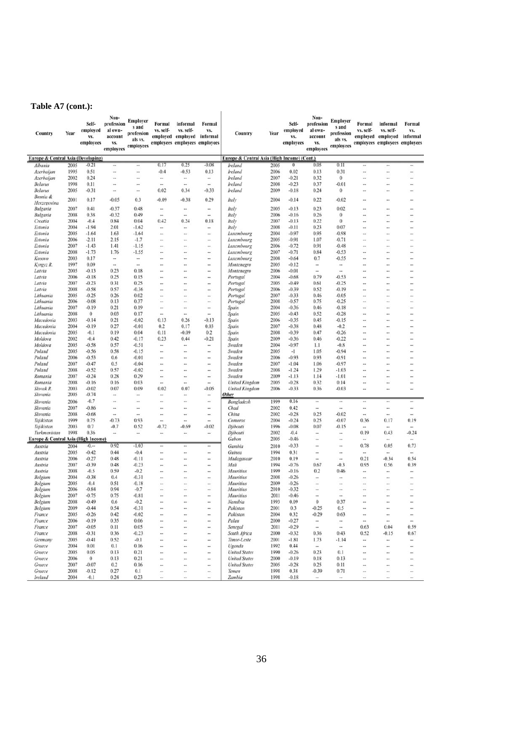#### **Table A7 (cont.):**

| <b>Country</b>                                | Year         | Self-<br>employed<br>VS.<br>employees | Non-<br>profession<br>al own-<br>account<br>٧S.<br>employees | <b>Employer</b><br>s and<br>profession<br>als vs.<br>employees | Formal<br>vs. self-  | informal<br>vs. self-<br>employed employed<br>employees employees employees | Formal<br>VS.<br>informal | Country                                     | Year         | Self-<br>employed<br>٧S.<br>employees | Non-<br>profession<br>al own-<br>account<br>VS.<br>employees | Employer<br>s and<br>profession<br>als vs.<br>employees | Formal<br>vs. self-          | informal<br>vs. self-<br>emploved emploved<br>employees employees employees | Formal<br>vs.<br>informal |
|-----------------------------------------------|--------------|---------------------------------------|--------------------------------------------------------------|----------------------------------------------------------------|----------------------|-----------------------------------------------------------------------------|---------------------------|---------------------------------------------|--------------|---------------------------------------|--------------------------------------------------------------|---------------------------------------------------------|------------------------------|-----------------------------------------------------------------------------|---------------------------|
| <b>Europe &amp; Central Asia (Developing)</b> |              |                                       |                                                              |                                                                |                      |                                                                             |                           | Europe & Central Asia (High Income) (Cont.) |              |                                       |                                                              |                                                         |                              |                                                                             |                           |
| Albania                                       | 2005         | $-0.21$                               |                                                              |                                                                | 0.17                 | 0.25                                                                        | $-0.08$                   | Ireland                                     | 2005         | 0                                     | 0.05                                                         | 0.11                                                    |                              |                                                                             |                           |
| Azerbaijan                                    | 1995         | 0.51                                  |                                                              | ۰.                                                             | $-0.4$               | $-0.53$                                                                     | 0.13                      | Ireland                                     | 2006         | 0.02                                  | 0.13                                                         | 0.31                                                    | ÷                            | ×,                                                                          |                           |
| Azerbaijan                                    | 2002         | 0.24                                  | $\ddot{\phantom{1}}$                                         | ٠.                                                             | $\ddot{\phantom{1}}$ | $\bullet\bullet$                                                            | $\cdots$                  | Ireland                                     | 2007         | $-0.21$                               | 0.32                                                         | $\bf{0}$                                                | 44                           | $\sim$                                                                      |                           |
| Belarus                                       | 1998         | 0.11                                  |                                                              |                                                                | ÷.                   |                                                                             | 44                        | Ireland                                     | 2008         | $-0.23$                               | 0.37                                                         | $-0.01$                                                 |                              |                                                                             |                           |
| <b>Belarus</b>                                | 2005         | $-0.31$                               |                                                              |                                                                | 0.02                 | 0.34                                                                        | $-0.33$                   | Ireland                                     | 2009         | $-0.18$                               | 0.24                                                         | $\bf{0}$                                                | ÷                            | $\ddot{\phantom{a}}$                                                        |                           |
| Bosnia &                                      | 2001         | 0.17                                  | $-0.05$                                                      | 0.3                                                            | $-0.09$              | $-0.38$                                                                     | 0.29                      | Italy                                       | 2004         | $-0.14$                               | 0.22                                                         | $-0.02$                                                 |                              |                                                                             |                           |
| Herzegovina<br>Bulgaria                       | 2007         | 0.41                                  | $-0.37$                                                      | 0.48                                                           | $\ddot{\phantom{0}}$ |                                                                             |                           | Italy                                       | 2005         | $-0.13$                               | 0.23                                                         | 0.02                                                    |                              |                                                                             | .,                        |
| Bulgaria                                      | 2008         | 0.38                                  | $-0.32$                                                      | 0.49                                                           | $\ddot{\phantom{1}}$ | --                                                                          |                           | Italy                                       | 2006         | $-0.16$                               | 0.26                                                         | $\bf{0}$                                                | 44                           | ٠.                                                                          |                           |
| Croatia                                       | 2004         | $-0.4$                                | 0.84                                                         | 0.04                                                           | 0.42                 | 0.24                                                                        | 0.18                      | Italy                                       | 2007         | $-0.13$                               | 0.22                                                         | $\bf{0}$                                                |                              | $\ddot{\phantom{1}}$                                                        |                           |
| Estonia                                       | 2004         | $-1.94$                               | 2.01                                                         | $-1.62$                                                        |                      |                                                                             |                           | Italy                                       | 2008         | $-0.11$                               | 0.23                                                         | 0.07                                                    |                              | ٠.                                                                          |                           |
| Estonia                                       | 2005         | $-1.64$                               | 1.63                                                         | $-1.64$                                                        |                      |                                                                             |                           | Luxembourg                                  | 2004         | $-0.97$                               | 0.95                                                         | $-0.98$                                                 | $\overline{a}$               | à.                                                                          | à.                        |
| Estonia                                       | 2006         | $-2.11$                               | 2.15                                                         | $-1.7$                                                         | ä.                   |                                                                             |                           | Luxembourg                                  | 2005         | $-0.91$                               | 1.07                                                         | $-0.71$                                                 | -                            | $\sim$                                                                      |                           |
| Estonia                                       | 2007         | $-1.43$                               | 1.41                                                         | $-1.15$                                                        | $\ddot{}$            | $\ddot{}$                                                                   |                           | Luxembourg                                  | 2006         | $-0.72$                               | 0.91                                                         | $-0.48$                                                 | .,                           | $\ddot{\phantom{1}}$                                                        | ٠.                        |
| Estonia                                       | 2008         | $-1.73$                               | 1.76                                                         | $-1.55$                                                        |                      |                                                                             |                           | Luxembourg                                  | 2007         | $-0.71$                               | 0.84                                                         | $-0.53$                                                 |                              |                                                                             |                           |
| Kosovo                                        | 2003         | 0.17                                  | ٠.                                                           | ÷.                                                             | ٠.                   | ٠.                                                                          | ÷.                        | Luxembourg                                  | 2008         | $-0.64$                               | 0.7                                                          | $-0.55$                                                 | 44                           | $\sim$                                                                      |                           |
| Kyrgyz R.                                     | 1997         | 0.09                                  | $\sim$                                                       |                                                                |                      |                                                                             |                           | Montenegro                                  | 2005         | $-0.12$                               | $\sim$                                                       | $\overline{\phantom{a}}$                                | ÷.                           | $\ddot{\phantom{1}}$                                                        |                           |
| Latvia                                        | 2005         | $-0.13$                               | 0.23                                                         | 0.18                                                           |                      | ٠.                                                                          | ۰.                        | Montenegro                                  | 2006         | $-0.01$                               | ٠.                                                           | $\overline{\phantom{a}}$                                |                              |                                                                             | ٠.                        |
| Latvia                                        | 2006         | $-0.18$                               | 0.25                                                         | 0.15                                                           | ÷.                   |                                                                             |                           | Portugal                                    | 2004         | $-0.68$                               | 0.79                                                         | $-0.53$                                                 |                              | ٠                                                                           | ۰.                        |
| Latvia                                        | 2007<br>2008 | $-0.23$                               | 0.31<br>0.57                                                 | 0.25<br>$-0.36$                                                | .,                   |                                                                             |                           | Portugal                                    | 2005         | $-0.49$<br>$-0.39$                    | 0.61<br>0.52                                                 | $-0.25$<br>$-0.19$                                      | ٠.                           | ÷.                                                                          |                           |
| Latvia<br>Lithuania                           | 2005         | $-0.58$<br>$-0.25$                    | 0.26                                                         | 0.02                                                           |                      |                                                                             | <br>۰.                    | Portugal<br>Portugal                        | 2006<br>2007 | $-0.33$                               | 0.46                                                         | $-0.05$                                                 |                              | ۰.                                                                          | <br>ă,                    |
| Lithuania                                     | 2006         | $-0.08$                               | 0.13                                                         | 0.37                                                           |                      | -                                                                           |                           | Portugal                                    | 2008         | $-0.57$                               | 0.75                                                         | $-0.25$                                                 |                              |                                                                             | ÷.                        |
| Lithuania                                     | 2007         | $-0.19$                               | 0.21                                                         | 0.19                                                           |                      | $\overline{\phantom{a}}$                                                    |                           | Spain                                       | 2004         | $-0.36$                               | 0.46                                                         | $-0.18$                                                 |                              | $\rightarrow$                                                               |                           |
| Lithuania                                     | 2008         | $\bf{0}$                              | 0.03                                                         | 0.17                                                           |                      |                                                                             |                           | Spain                                       | 2005         | $-0.43$                               | 0.52                                                         | $-0.28$                                                 |                              |                                                                             |                           |
| Macedonia                                     | 2003         | $-0.14$                               | 0.21                                                         | $-0.02$                                                        | 0.13                 | 0.26                                                                        | $-0.13$                   | Spain                                       | 2006         | $-0.35$                               | 0.45                                                         | $-0.15$                                                 | ×.                           | ٠.                                                                          | ٠.                        |
| Macedonia                                     | 2004         | $-0.19$                               | 0.27                                                         | $-0.01$                                                        | 0.2                  | 0.17                                                                        | 0.03                      | Spain                                       | 2007         | $-0.38$                               | 0.48                                                         | $-0.2$                                                  |                              | $\sim$                                                                      | ۰.                        |
| Macedonia                                     | 2005         | $-0.1$                                | 0.19                                                         | 0.04                                                           | 0.11                 | $-0.09$                                                                     | 0.2                       | Spain                                       | 2008         | $-0.39$                               | 0.47                                                         | $-0.26$                                                 |                              |                                                                             | .,                        |
| Moldova                                       | 2002         | $-0.4$                                | 0.42                                                         | $-0.17$                                                        | 0.23                 | 0.44                                                                        | $-0.21$                   | Spain                                       | 2009         | $-0.36$                               | 0.46                                                         | $-0.22$                                                 |                              |                                                                             |                           |
| Moldova                                       | 2005         | $-0.58$                               | 0.57                                                         | $-0.51$                                                        | ٠.                   | ٠.                                                                          | $\ddot{\phantom{1}}$      | Sweden                                      | 2004         | $-0.97$                               | 1.1                                                          | $-0.8$                                                  | ÷.                           | à.                                                                          |                           |
| Poland                                        | 2005         | $-0.56$                               | 0.58                                                         | $-0.15$                                                        | $\ddot{\phantom{1}}$ | $\ddot{\phantom{1}}$                                                        | $\sim$                    | Sweden                                      | 2005         | $-1$                                  | 1.05                                                         | $-0.94$                                                 | $\overline{\phantom{a}}$     | $\ddot{\phantom{1}}$                                                        |                           |
| Poland<br>Poland                              | 2006<br>2007 | $-0.53$<br>$-0.47$                    | 0.6<br>0.5                                                   | $-0.01$<br>$-0.04$                                             |                      |                                                                             |                           | Sweden                                      | 2006<br>2007 | $-0.93$<br>$-1.04$                    | 0.93<br>1.06                                                 | $-0.91$<br>$-0.97$                                      | ٠.                           |                                                                             |                           |
| Poland                                        | 2008         | $-0.52$                               | 0.57                                                         | $-0.02$                                                        | ۰.<br>               | ۰.<br>                                                                      |                           | Sweden<br>Sweden                            | 2008         | $-1.24$                               | 1.29                                                         | $-1.03$                                                 | ۰.                           | ٠<br>-                                                                      | ۰.<br>                    |
| Romania                                       | 2007         | $-0.24$                               | 0.28                                                         | 0.29                                                           | ٠.                   |                                                                             |                           | Sweden                                      | 2009         | $-1.13$                               | 1.14                                                         | $-1.01$                                                 |                              | $\overline{\phantom{a}}$                                                    |                           |
| Romania                                       | 2008         | $-0.16$                               | 0.16                                                         | 0.03                                                           | u.                   |                                                                             |                           | <b>United Kingdom</b>                       | 2005         | $-0.28$                               | 0.32                                                         | 0.14                                                    |                              | 44                                                                          | í.                        |
| Slovak R.                                     | 2003         | $-0.02$                               | 0.07                                                         | 0.09                                                           | 0.02                 | 0.07                                                                        | $-0.05$                   | <b>United Kingdom</b>                       | 2006         | $-0.33$                               | 0.36                                                         | $-0.03$                                                 | ÷.                           | $\overline{a}$                                                              |                           |
| Slovenia                                      | 2005         | $-0.74$                               | $\ddot{\phantom{1}}$                                         |                                                                |                      |                                                                             | 44                        | <b>Other</b>                                |              |                                       |                                                              |                                                         |                              |                                                                             |                           |
| Slovenia                                      | 2006         | $-0.7$                                |                                                              |                                                                |                      | $\ddot{\phantom{1}}$                                                        |                           | Bangladesh                                  | 1999         | 0.16                                  | $\rightarrow$                                                | $\bullet\bullet$                                        |                              |                                                                             |                           |
| Slovenia                                      | 2007         | $-0.86$                               | $\sim$                                                       | ٠.                                                             |                      | $\ddot{\phantom{1}}$                                                        |                           | Chad                                        | 2002         | 0.42                                  | $\overline{a}$                                               | $\sim$                                                  | $\sim$                       | $\sim$                                                                      |                           |
| Slovenia                                      | 2008         | $-0.68$                               | ٠.                                                           | ÷.                                                             |                      | $\cdots$                                                                    |                           | China                                       | 2002         | $-0.28$                               | 0.25                                                         | $-0.02$                                                 |                              |                                                                             |                           |
| Tajikistan                                    | 1999         | 0.75                                  | $-0.73$                                                      | 0.93                                                           | i.                   | $\sim$                                                                      | ٠.                        | Comoros                                     | 2004         | $-0.24$                               | 0.25                                                         | $-0.07$                                                 | 0.36                         | 0.17                                                                        | 0.19                      |
| Tajikistan                                    | 2003         | 0.7                                   | $-0.7$                                                       | 0.52                                                           | $-0.72$              | $-0.69$                                                                     | $-0.02$                   | Djibouti                                    | 1996         | $-0.08$                               | 0.07                                                         | $-0.15$                                                 |                              |                                                                             |                           |
| Turkmenistan                                  | 1998         | 0.36                                  | $\overline{\phantom{a}}$                                     | ۰.                                                             | $\frac{1}{2}$        | $\cdots$                                                                    |                           | Djibouti                                    | 2002         | $-0.4$                                |                                                              | $\ddot{\phantom{0}}$                                    | 0.19                         | 0.43                                                                        | $-0.24$                   |
| Europe & Central Asia (High Income)           |              |                                       |                                                              |                                                                |                      |                                                                             |                           | Gabon                                       | 2005         | $-0.46$                               | ٠.                                                           | ۰.                                                      |                              |                                                                             |                           |
| Austria                                       | 2004         | $-0.$                                 | 0.92                                                         | $-1.03$                                                        |                      |                                                                             |                           | Gambia                                      | 2010         | $-0.33$                               |                                                              | ÷                                                       | 0.78                         | 0.05                                                                        | 0.73                      |
| Austria                                       | 2005         | $-0.42$                               | 0.44                                                         | $-0.4$                                                         | ٠.                   |                                                                             |                           | Guinea                                      | 1994         | 0.31                                  |                                                              | ÷                                                       |                              |                                                                             |                           |
| Austria                                       | 2006<br>2007 | $-0.27$<br>$-0.39$                    | 0.48<br>0.48                                                 | $-0.11$<br>$-0.23$                                             | <br>                 | <br>÷                                                                       | ÷                         | Madagascar<br>Mali                          | 2010<br>1994 | 0.19<br>$-0.76$                       | 0.67                                                         | <br>$-0.3$                                              | 0.21<br>0.95                 | $-0.34$<br>0.56                                                             | 0.54<br>0.39              |
| Austria<br>Austria                            | 2008         | $-0.5$                                | 0.59                                                         | $-0.2$                                                         | ۰.                   | $\sim$                                                                      | ٠                         | Mauritius                                   | 1999         | $-0.16$                               | 0.2                                                          | 0.46                                                    | $\cdots$                     | $\ddot{\phantom{a}}$                                                        |                           |
| Belgium                                       | 2004         | $-0.38$                               | 0.4                                                          | $-0.31$                                                        |                      |                                                                             |                           | Mauritius                                   | 2008         | $-0.26$                               |                                                              |                                                         |                              |                                                                             |                           |
| Belgium                                       | 2005         | $-0.4$                                | 0.51                                                         | $-0.18$                                                        |                      |                                                                             |                           | Mauritius                                   | 2009         | $-0.26$                               | ٠.                                                           | ٠.                                                      |                              | ٠                                                                           |                           |
| Belgium                                       | 2006         | $-0.84$                               | 0.94                                                         | $-0.7$                                                         | ٠.                   |                                                                             |                           | Mauritius                                   | 2010         | $-0.32$                               |                                                              | $\overline{a}$                                          | -                            | $\ddot{\phantom{0}}$                                                        |                           |
| Belgium                                       | 2007         | $-0.75$                               | 0.75                                                         | $-0.81$                                                        |                      |                                                                             |                           | <b>Mauritius</b>                            | 2011         | $-0.46$                               |                                                              |                                                         |                              |                                                                             |                           |
| Belgium                                       | 2008         | -0.49                                 | 0.6                                                          | $-0.2$                                                         |                      |                                                                             |                           | Namibia                                     | 1993         | 0.09                                  | $\bf{0}$                                                     | 0.37                                                    |                              |                                                                             |                           |
| Belgium                                       | 2009         | $-0.44$                               | 0.54                                                         | $-0.31$                                                        |                      |                                                                             |                           | Pakistan                                    | 2001         | 0.3                                   | $-0.25$                                                      | 0.5                                                     |                              | $\rightarrow$                                                               | ۰.                        |
| France                                        | 2005         | $-0.26$                               | 0.42                                                         | $-0.02$                                                        |                      | $\bullet\bullet$                                                            | $\cdots$                  | Pakistan                                    | 2004         | 0.32                                  | $-0.29$                                                      | 0.63                                                    | $\rightarrow$                | $\cdots$                                                                    |                           |
| France                                        | 2006         | $-0.19$                               | 0.35                                                         | 0.06                                                           |                      |                                                                             |                           | Palau                                       | 2000         | $-0.27$                               | $\scriptstyle\star\star$                                     | $\scriptstyle\star\star$                                |                              |                                                                             |                           |
| France                                        | 2007         | $-0.05$                               | 0.11                                                         | 0.05                                                           |                      |                                                                             |                           | Senegal                                     | 2011         | $-0.29$                               |                                                              | $\overline{\phantom{a}}$                                | 0.63                         | 0.04                                                                        | 0.59                      |
| France                                        | 2008         | $-0.31$                               | 0.36                                                         | $-0.23$                                                        |                      | $\sim$                                                                      | $\sim$                    | South Africa                                | 2000         | $-0.32$                               | 0.36                                                         | 0.43                                                    | 0.52                         | $-0.15$                                                                     | 0.67                      |
| Germany                                       | 2005<br>2004 | $-0.41$                               | 0.52                                                         | $-0.1$<br>0.16                                                 | <br>٠.               | <br>                                                                        | --                        | Timor-Leste                                 | 2001<br>1992 | $-1.81$<br>0.44                       | 1.73                                                         | $-1.14$                                                 | $\overline{\phantom{a}}$<br> |                                                                             | ۰.                        |
| Greece<br>Greece                              | 2005         | 0.01<br>0.05                          | 0.1<br>0.13                                                  | 0.21                                                           |                      |                                                                             | ÷<br>                     | Uganda<br><b>United States</b>              | 1990         | $-0.26$                               | $\cdots$<br>0.23                                             | $\frac{1}{2}$<br>0.1                                    | 44                           | $\overline{\phantom{a}}$<br>                                                | <br>                      |
| Greece                                        | 2006         | $\bf{0}$                              | 0.13                                                         | 0.21                                                           | ÷                    |                                                                             |                           | <b>United States</b>                        | 2000         | $-0.19$                               | 0.18                                                         | 0.13                                                    | ÷                            | $\sim$                                                                      | .,                        |
| Greece                                        | 2007         | $-0.07$                               | 0.2                                                          | 0.16                                                           | .,                   | $\sim$                                                                      | $\sim$                    | <b>United States</b>                        | 2005         | $-0.28$                               | 0.25                                                         | 0.11                                                    |                              | $\sim$                                                                      |                           |
| Greece                                        | 2008         | $-0.12$                               | 0.27                                                         | 0.1                                                            |                      |                                                                             |                           | Yemen                                       | 1998         | 0.38                                  | $-0.39$                                                      | 0.71                                                    |                              | ۰.                                                                          |                           |
| Ireland                                       | 2004         | $-0.1$                                | 0.24                                                         | 0.23                                                           |                      | ù                                                                           |                           | Zambia                                      | 1998         | $-0.18$                               | -                                                            |                                                         |                              |                                                                             |                           |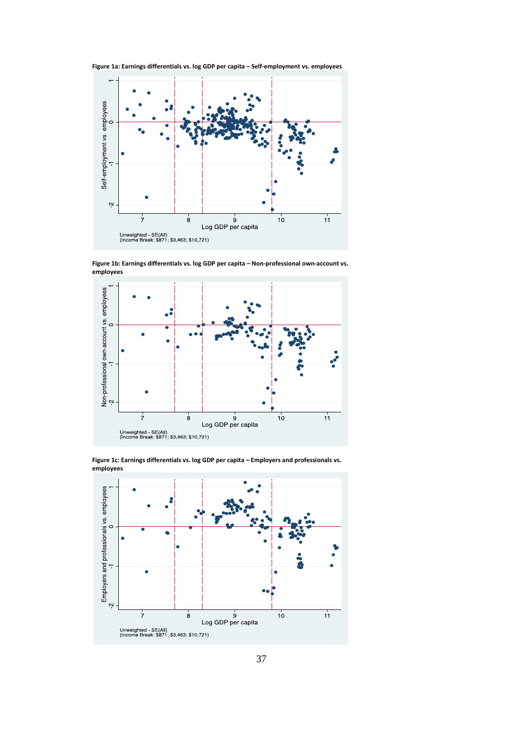



**Figure 1b: Earnings differentials vs. log GDP per capita – Non‐professional own‐account vs. employees**



**Figure 1c: Earnings differentials vs. log GDP per capita – Employers and professionals vs. employees**

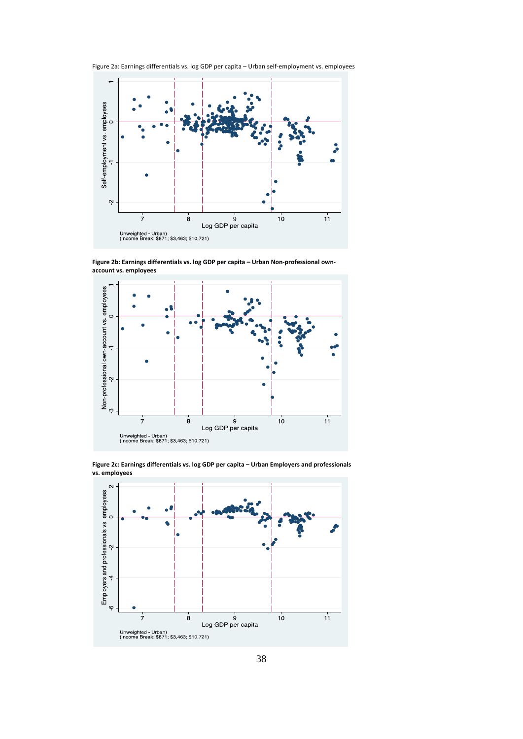



**Figure 2b: Earnings differentials vs. log GDP per capita – Urban Non‐professional own‐ account vs. employees**



**Figure 2c: Earnings differentials vs. log GDP per capita – Urban Employers and professionals vs. employees**

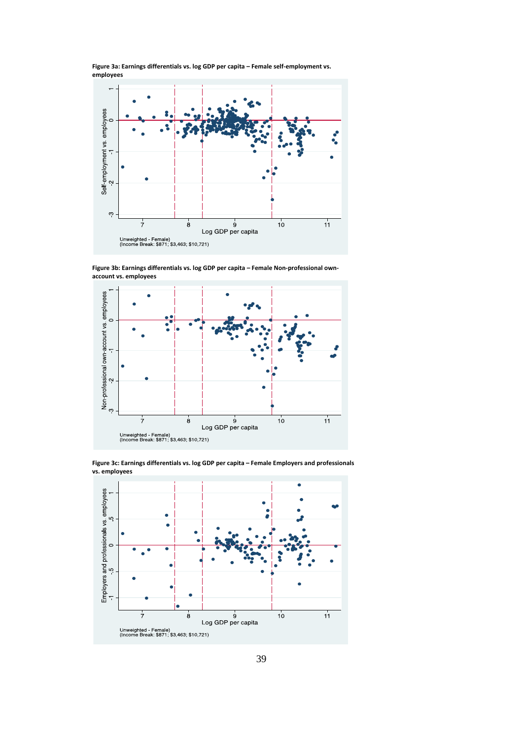

**Figure 3a: Earnings differentials vs. log GDP per capita – Female self‐employment vs.**

**Figure 3b: Earnings differentials vs. log GDP per capita – Female Non‐professional own‐**



**Figure 3c: Earnings differentials vs. log GDP per capita – Female Employers and professionals vs. employees**